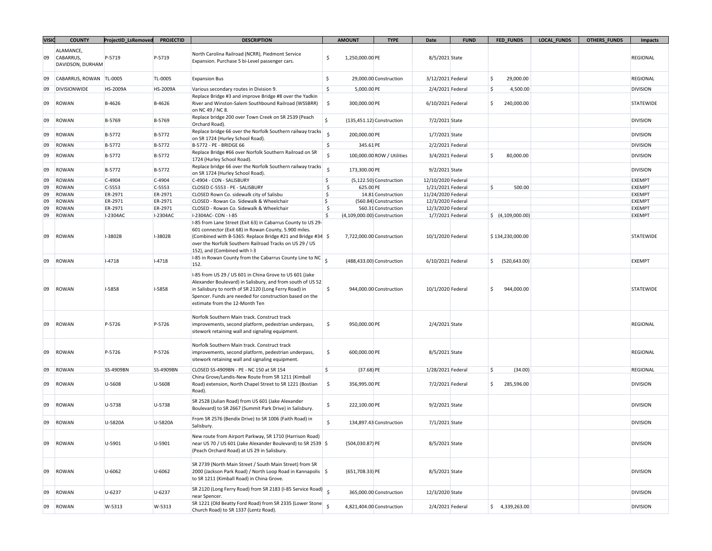| <b>VISIC</b> | <b>COUNTY</b>                              | ProjectID_LsRemoved | <b>PROJECTID</b> | <b>DESCRIPTION</b>                                                                                                                                                                                                                                                              |                     | <b>AMOUNT</b>      | <b>TYPE</b>                 | Date               | <b>FUND</b> |              | <b>FED FUNDS</b>             | <b>LOCAL_FUNDS</b> | <b>OTHERS_FUNDS</b> | <b>Impacts</b>  |
|--------------|--------------------------------------------|---------------------|------------------|---------------------------------------------------------------------------------------------------------------------------------------------------------------------------------------------------------------------------------------------------------------------------------|---------------------|--------------------|-----------------------------|--------------------|-------------|--------------|------------------------------|--------------------|---------------------|-----------------|
| 09           | ALAMANCE,<br>CABARRUS,<br>DAVIDSON, DURHAM | P-5719              | P-5719           | North Carolina Railroad (NCRR), Piedmont Service<br>Expansion. Purchase 5 bi-Level passenger cars.                                                                                                                                                                              | \$                  | 1,250,000.00 PE    |                             | 8/5/2021 State     |             |              |                              |                    |                     | REGIONAL        |
| 09           | CABARRUS, ROWAN   TL-0005                  |                     | TL-0005          | <b>Expansion Bus</b>                                                                                                                                                                                                                                                            | \$                  |                    | 29,000.00 Construction      | 3/12/2021 Federal  |             | S.           | 29,000.00                    |                    |                     | REGIONAL        |
| 09           | DIVISIONWIDE                               | HS-2009A            | <b>HS-2009A</b>  | Various secondary routes in Division 9.                                                                                                                                                                                                                                         | \$                  | 5,000.00 PE        |                             | 2/4/2021 Federal   |             | S.           | 4,500.00                     |                    |                     | <b>DIVISION</b> |
| 09           | ROWAN                                      | B-4626              | B-4626           | Replace Bridge #3 and improve Bridge #8 over the Yadkin<br>River and Winston-Salem Southbound Railroad (WSSBRR)<br>on NC 49 / NC 8.                                                                                                                                             | \$                  | 300,000.00 PE      |                             | 6/10/2021 Federal  |             | S.           | 240,000.00                   |                    |                     | STATEWIDE       |
| 09           | ROWAN                                      | B-5769              | B-5769           | Replace bridge 200 over Town Creek on SR 2539 (Peach<br>Orchard Road).                                                                                                                                                                                                          | $\mathsf{\hat{S}}$  |                    | $(135,451.12)$ Construction | 7/2/2021 State     |             |              |                              |                    |                     | <b>DIVISION</b> |
| 09           | ROWAN                                      | B-5772              | B-5772           | Replace bridge 66 over the Norfolk Southern railway tracks<br>on SR 1724 (Hurley School Road).                                                                                                                                                                                  | $\mathsf{\hat{S}}$  | 200,000.00 PE      |                             | 1/7/2021 State     |             |              |                              |                    |                     | <b>DIVISION</b> |
| 09           | ROWAN                                      | B-5772              | B-5772           | B-5772 - PE - BRIDGE 66                                                                                                                                                                                                                                                         | \$                  | 345.61 PE          |                             | 2/2/2021 Federal   |             |              |                              |                    |                     | <b>DIVISION</b> |
| 09           | ROWAN                                      | B-5772              | B-5772           | Replace Bridge #66 over Norfolk Southern Railroad on SR<br>1724 (Hurley School Road).                                                                                                                                                                                           | $\ddot{\mathsf{S}}$ |                    | 100,000.00 ROW / Utilities  | 3/4/2021 Federal   |             | S.           | 80,000.00                    |                    |                     | <b>DIVISION</b> |
| 09           | ROWAN                                      | B-5772              | B-5772           | Replace bridge 66 over the Norfolk Southern railway tracks<br>on SR 1724 (Hurley School Road).                                                                                                                                                                                  | $\zeta$             | 173,300.00 PE      |                             | 9/2/2021 State     |             |              |                              |                    |                     | <b>DIVISION</b> |
| 09           | ROWAN                                      | $C-4904$            | $C-4904$         | C-4904 - CON - SALISBURY                                                                                                                                                                                                                                                        | \$                  |                    | (5,122.50) Construction     | 12/10/2020 Federal |             |              |                              |                    |                     | <b>EXEMPT</b>   |
| 09           | ROWAN                                      | $C-5553$            | $C-5553$         | CLOSED C-5553 - PE - SALISBURY                                                                                                                                                                                                                                                  | \$                  | 625.00 PE          |                             | 1/21/2021 Federal  |             | S,           | 500.00                       |                    |                     | <b>EXEMPT</b>   |
| 09           | ROWAN                                      | ER-2971             | ER-2971          | CLOSED Rown Co. sidewalk city of Salisbu                                                                                                                                                                                                                                        | \$                  |                    | 14.81 Construction          | 11/24/2020 Federal |             |              |                              |                    |                     | <b>EXEMPT</b>   |
| 09           | ROWAN                                      | ER-2971             | ER-2971          | CLOSED - Rowan Co. Sidewalk & Wheelchair                                                                                                                                                                                                                                        | \$                  |                    | (560.84) Construction       | 12/3/2020 Federal  |             |              |                              |                    |                     | <b>EXEMPT</b>   |
| 09           | ROWAN                                      | ER-2971             | ER-2971          | CLOSED - Rowan Co. Sidewalk & Wheelchair                                                                                                                                                                                                                                        | \$                  |                    | 560.31 Construction         | 12/3/2020 Federal  |             |              |                              |                    |                     | <b>EXEMPT</b>   |
| 09           | ROWAN                                      | I-2304AC            | I-2304AC         | I-2304AC- CON - I-85                                                                                                                                                                                                                                                            | Ś.                  |                    | (4,109,000.00) Construction | 1/7/2021 Federal   |             |              | $\frac{1}{2}$ (4,109,000.00) |                    |                     | <b>EXEMPT</b>   |
| 09           | ROWAN                                      | I-3802B             | $I-3802B$        | I-85 from Lane Street (Exit 63) in Cabarrus County to US 29-<br>601 connector (Exit 68) in Rowan County, 5.900 miles.<br>(Combined with B-5365: Replace Bridge #21 and Bridge #34 \$<br>over the Norfolk Southern Railroad Tracks on US 29 / US<br>152), and (Combined with I-3 |                     |                    | 7,722,000.00 Construction   | 10/1/2020 Federal  |             |              | \$134,230,000.00             |                    |                     | STATEWIDE       |
| 09           | ROWAN                                      | $I-4718$            | $I-4718$         | 1-85 in Rowan County from the Cabarrus County Line to NC 5<br>152.                                                                                                                                                                                                              |                     |                    | (488,433.00) Construction   | 6/10/2021 Federal  |             | $\mathsf{S}$ | (520, 643.00)                |                    |                     | <b>EXEMPT</b>   |
| 09           | ROWAN                                      | <b>I-5858</b>       | I-5858           | I-85 from US 29 / US 601 in China Grove to US 601 (Jake<br>Alexander Boulevard) in Salisbury, and from south of US 52<br>in Salisbury to north of SR 2120 (Long Ferry Road) in<br>Spencer. Funds are needed for construction based on the<br>estimate from the 12-Month Ten     | \$                  |                    | 944,000.00 Construction     | 10/1/2020 Federal  |             | \$.          | 944,000.00                   |                    |                     | STATEWIDE       |
| 09           | ROWAN                                      | P-5726              | P-5726           | Norfolk Southern Main track. Construct track<br>improvements, second platform, pedestrian underpass,<br>sitework retaining wall and signaling equipment.                                                                                                                        | \$                  | 950,000.00 PE      |                             | 2/4/2021 State     |             |              |                              |                    |                     | REGIONAL        |
| 09           | ROWAN                                      | P-5726              | P-5726           | Norfolk Southern Main track. Construct track<br>improvements, second platform, pedestrian underpass,<br>sitework retaining wall and signaling equipment.                                                                                                                        | \$                  | 600,000.00 PE      |                             | 8/5/2021 State     |             |              |                              |                    |                     | REGIONAL        |
| 09           | ROWAN                                      | SS-4909BN           | SS-4909BN        | CLOSED SS-4909BN - PE - NC 150 at SR 154                                                                                                                                                                                                                                        | \$                  | $(37.68)$ PE       |                             | 1/28/2021 Federal  |             | S.           | (34.00)                      |                    |                     | REGIONAL        |
| 09           | ROWAN                                      | U-5608              | U-5608           | China Grove/Landis-New Route from SR 1211 (Kimball<br>Road) extension, North Chapel Street to SR 1221 (Bostian<br>Road).                                                                                                                                                        | \$                  | 356,995.00 PE      |                             | 7/2/2021 Federal   |             | S.           | 285,596.00                   |                    |                     | DIVISION        |
| 09           | ROWAN                                      | U-5738              | U-5738           | SR 2528 (Julian Road) from US 601 (Jake Alexander<br>Boulevard) to SR 2667 (Summit Park Drive) in Salisbury.                                                                                                                                                                    | \$                  | 222,100.00 PE      |                             | 9/2/2021 State     |             |              |                              |                    |                     | <b>DIVISION</b> |
| 09           | ROWAN                                      | U-5820A             | U-5820A          | From SR 2576 (Bendix Drive) to SR 1006 (Faith Road) in<br>Salisbury.                                                                                                                                                                                                            | \$                  |                    | 134,897.43 Construction     | 7/1/2021 State     |             |              |                              |                    |                     | <b>DIVISION</b> |
| 09           | <b>ROWAN</b>                               | U-5901              | U-5901           | New route from Airport Parkway, SR 1710 (Harrison Road)<br>near US 70 / US 601 (Jake Alexander Boulevard) to SR 2539 \$<br>(Peach Orchard Road) at US 29 in Salisbury.                                                                                                          |                     | $(504, 030.87)$ PE |                             | 8/5/2021 State     |             |              |                              |                    |                     | <b>DIVISION</b> |
| 09           | ROWAN                                      | U-6062              | $U - 6062$       | SR 2739 (North Main Street / South Main Street) from SR<br>2000 (Jackson Park Road) / North Loop Road in Kannapolis \$<br>to SR 1211 (Kimball Road) in China Grove.                                                                                                             |                     | (651,708.33) PE    |                             | 8/5/2021 State     |             |              |                              |                    |                     | <b>DIVISION</b> |
| 09           | ROWAN                                      | U-6237              | U-6237           | SR 2120 (Long Ferry Road) from SR 2183 (I-85 Service Road) \$<br>near Spencer.                                                                                                                                                                                                  |                     |                    | 365,000.00 Construction     | 12/3/2020 State    |             |              |                              |                    |                     | <b>DIVISION</b> |
| 09           | ROWAN                                      | W-5313              | W-5313           | SR 1221 (Old Beatty Ford Road) from SR 2335 (Lower Stone<br>Church Road) to SR 1337 (Lentz Road).                                                                                                                                                                               | $\leq$              |                    | 4,821,404.00 Construction   | 2/4/2021 Federal   |             |              | \$4,339,263.00               |                    |                     | <b>DIVISION</b> |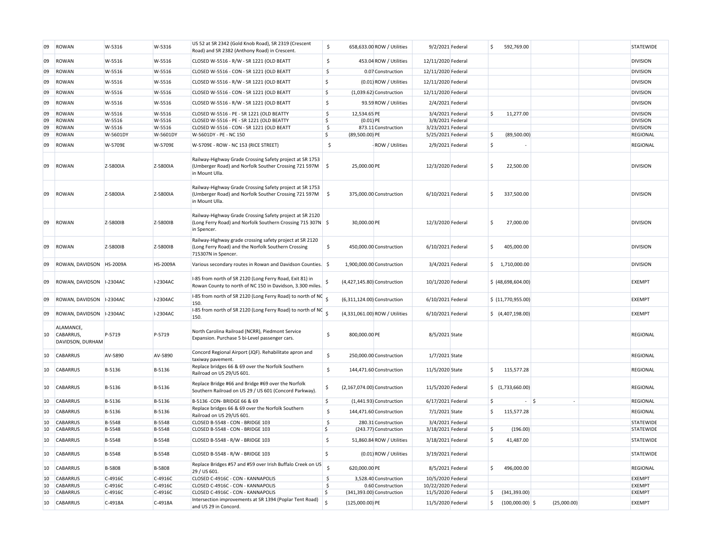| 09       | ROWAN                                      | W-5316            | W-5316            | US 52 at SR 2342 (Gold Knob Road), SR 2319 (Crescent<br>Road) and SR 2382 (Anthony Road) in Crescent.                                  | \$                  |                             | 658,633.00 ROW / Utilities     | 9/2/2021 Federal                      | \$           | 592,769.00         |             | <b>STATEWIDE</b>                 |
|----------|--------------------------------------------|-------------------|-------------------|----------------------------------------------------------------------------------------------------------------------------------------|---------------------|-----------------------------|--------------------------------|---------------------------------------|--------------|--------------------|-------------|----------------------------------|
| 09       | ROWAN                                      | W-5516            | W-5516            | CLOSED W-5516 - R/W - SR 1221 (OLD BEATT                                                                                               | \$                  |                             | 453.04 ROW / Utilities         | 12/11/2020 Federal                    |              |                    |             | <b>DIVISION</b>                  |
| 09       | ROWAN                                      | W-5516            | W-5516            | CLOSED W-5516 - CON - SR 1221 (OLD BEATT                                                                                               | \$                  |                             | 0.07 Construction              | 12/11/2020 Federal                    |              |                    |             | <b>DIVISION</b>                  |
| 09       | ROWAN                                      | W-5516            | W-5516            | CLOSED W-5516 - R/W - SR 1221 (OLD BEATT                                                                                               | \$                  |                             | (0.01) ROW / Utilities         | 12/11/2020 Federal                    |              |                    |             | <b>DIVISION</b>                  |
| 09       | ROWAN                                      | W-5516            | W-5516            | CLOSED W-5516 - CON - SR 1221 (OLD BEATT                                                                                               | Ś                   |                             | (1,039.62) Construction        | 12/11/2020 Federal                    |              |                    |             | <b>DIVISION</b>                  |
| 09       | ROWAN                                      | W-5516            | W-5516            | CLOSED W-5516 - R/W - SR 1221 (OLD BEATT                                                                                               | \$                  |                             | 93.59 ROW / Utilities          | 2/4/2021 Federal                      |              |                    |             | <b>DIVISION</b>                  |
| 09       | ROWAN                                      | W-5516            | W-5516            | CLOSED W-5516 - PE - SR 1221 (OLD BEATTY                                                                                               | \$                  | 12,534.65 PE                |                                | 3/4/2021 Federal                      | l\$          | 11,277.00          |             | <b>DIVISION</b>                  |
| 09       | ROWAN                                      | W-5516            | W-5516            | CLOSED W-5516 - PE - SR 1221 (OLD BEATTY                                                                                               | \$                  | $(0.01)$ PE                 |                                | 3/8/2021 Federal                      |              |                    |             | <b>DIVISION</b>                  |
| 09       | ROWAN                                      | W-5516            | W-5516            | CLOSED W-5516 - CON - SR 1221 (OLD BEATT                                                                                               | \$                  |                             | 873.11 Construction            | 3/23/2021 Federal                     |              |                    |             | <b>DIVISION</b>                  |
| 09       | ROWAN                                      | W-5601DY          | W-5601DY          | W-5601DY - PE - NC 150                                                                                                                 | \$                  | (89,500.00) PE              |                                | 5/25/2021 Federal                     | l\$          | (89,500.00)        |             | REGIONAL                         |
| 09       | ROWAN                                      | W-5709E           | W-5709E           | W-5709E - ROW - NC 153 (RICE STREET)                                                                                                   | \$                  |                             | ROW / Utilities                | 2/9/2021 Federal                      | l\$          |                    |             | REGIONAL                         |
| 09       | ROWAN                                      | Z-5800IA          | Z-5800IA          | Railway-Highway Grade Crossing Safety project at SR 1753<br>(Umberger Road) and Norfolk Souther Crossing 721 597M<br>in Mount Ulla.    | $\ddot{\varsigma}$  | 25,000.00 PE                |                                | 12/3/2020 Federal                     | <sub>S</sub> | 22,500.00          |             | <b>DIVISION</b>                  |
| 09       | ROWAN                                      | Z-5800IA          | Z-5800IA          | Railway-Highway Grade Crossing Safety project at SR 1753<br>(Umberger Road) and Norfolk Souther Crossing 721 597M<br>in Mount Ulla.    | $\ddot{\varsigma}$  |                             | 375,000.00 Construction        | 6/10/2021 Federal                     | \$           | 337,500.00         |             | <b>DIVISION</b>                  |
| 09       | ROWAN                                      | Z-5800IB          | Z-5800IB          | Railway-Highway Grade Crossing Safety project at SR 2120<br>(Long Ferry Road) and Norfolk Southern Crossing 715 307N \$<br>in Spencer. |                     | 30,000.00 PE                |                                | 12/3/2020 Federal                     | $\zeta$      | 27,000.00          |             | <b>DIVISION</b>                  |
| 09       | ROWAN                                      | Z-5800IB          | Z-5800IB          | Railway-Highway grade crossing safety project at SR 2120<br>(Long Ferry Road) and the Norfolk Southern Crossing<br>715307N in Spencer. | \$                  |                             | 450,000.00 Construction        | 6/10/2021 Federal                     | <sub>S</sub> | 405,000.00         |             | <b>DIVISION</b>                  |
| 09       | ROWAN, DAVIDSON HS-2009A                   |                   | HS-2009A          | Various secondary routes in Rowan and Davidson Counties. \$                                                                            |                     | 1,900,000.00 Construction   |                                | 3/4/2021 Federal                      |              | \$1,710,000.00     |             | <b>DIVISION</b>                  |
| 09       | ROWAN, DAVIDSON   I-2304AC                 |                   | I-2304AC          | I-85 from north of SR 2120 (Long Ferry Road, Exit 81) in<br>Rowan County to north of NC 150 in Davidson, 3.300 miles.                  |                     | (4,427,145.80) Construction |                                | 10/1/2020 Federal                     |              | \$ (48,698,604.00) |             | <b>EXEMPT</b>                    |
| 09       | ROWAN, DAVIDSON 1-2304AC                   |                   | I-2304AC          | 1-85 from north of SR 2120 (Long Ferry Road) to north of NC 5<br>150.                                                                  |                     | (6,311,124.00) Construction |                                | 6/10/2021 Federal                     |              | \$(11,770,955.00)  |             | <b>EXEMPT</b>                    |
| 09       | ROWAN, DAVIDSON 1-2304AC                   |                   | I-2304AC          | 1-85 from north of SR 2120 (Long Ferry Road) to north of NC 5<br>150.                                                                  |                     |                             | (4,331,061.00) ROW / Utilities | 6/10/2021 Federal                     |              | \$(4,407,198.00)   |             | <b>EXEMPT</b>                    |
| 10       | ALAMANCE,<br>CABARRUS,<br>DAVIDSON, DURHAM | P-5719            | P-5719            | North Carolina Railroad (NCRR), Piedmont Service<br>Expansion. Purchase 5 bi-Level passenger cars.                                     | $\ddot{\mathsf{S}}$ | 800,000.00 PE               |                                | 8/5/2021 State                        |              |                    |             | REGIONAL                         |
| 10       | <b>CABARRUS</b>                            | AV-5890           | AV-5890           | Concord Regional Airport (JQF). Rehabilitate apron and<br>taxiway pavement.                                                            | \$                  |                             | 250,000.00 Construction        | 1/7/2021 State                        |              |                    |             | REGIONAL                         |
| 10       | <b>CABARRUS</b>                            | B-5136            | B-5136            | Replace bridges 66 & 69 over the Norfolk Southern<br>Railroad on US 29/US 601.                                                         | \$                  |                             | 144,471.60 Construction        | 11/5/2020 State                       | \$           | 115,577.28         |             | REGIONAL                         |
| 10       | <b>CABARRUS</b>                            | B-5136            | B-5136            | Replace Bridge #66 and Bridge #69 over the Norfolk<br>Southern Railroad on US 29 / US 601 (Concord Parkway).                           | \$                  | (2,167,074.00) Construction |                                | 11/5/2020 Federal                     |              | \$(1,733,660.00)   |             | REGIONAL                         |
| 10       | <b>CABARRUS</b>                            | B-5136            | B-5136            | B-5136 -CON- BRIDGE 66 & 69                                                                                                            | \$                  |                             | (1,441.93) Construction        | 6/17/2021 Federal                     | $\zeta$      | $-$ 5              | ä,          | REGIONAL                         |
| 10       | <b>CABARRUS</b>                            | B-5136            | B-5136            | Replace bridges 66 & 69 over the Norfolk Southern<br>Railroad on US 29/US 601.                                                         | $\ddot{\varsigma}$  |                             | 144,471.60 Construction        | 7/1/2021 State                        | \$           | 115,577.28         |             | REGIONAL                         |
| 10       | <b>CABARRUS</b>                            | B-5548            | B-5548            | CLOSED B-5548 - CON - BRIDGE 103                                                                                                       | $\ddot{\mathsf{S}}$ |                             | 280.31 Construction            | 3/4/2021 Federal                      |              |                    |             | <b>STATEWIDE</b>                 |
| 10       | <b>CABARRUS</b>                            | B-5548            | B-5548            | CLOSED B-5548 - CON - BRIDGE 103                                                                                                       | \$                  |                             | (243.77) Construction          | 3/18/2021 Federal                     | <sub>S</sub> | (196.00)           |             | <b>STATEWIDE</b>                 |
| 10       | <b>CABARRUS</b>                            | B-5548            | B-5548            | CLOSED B-5548 - R/W - BRIDGE 103                                                                                                       | \$                  |                             | 51,860.84 ROW / Utilities      | 3/18/2021 Federal                     | <sub>S</sub> | 41,487.00          |             | <b>STATEWIDE</b>                 |
|          |                                            |                   |                   |                                                                                                                                        |                     |                             |                                |                                       |              |                    |             |                                  |
| 10       | <b>CABARRUS</b>                            | B-5548            | B-5548            | CLOSED B-5548 - R/W - BRIDGE 103<br>Replace Bridges #57 and #59 over Irish Buffalo Creek on US                                         | Ś                   |                             | (0.01) ROW / Utilities         | 3/19/2021 Federal                     |              |                    |             | <b>STATEWIDE</b>                 |
| 10       | <b>CABARRUS</b><br>CABARRUS                | B-5808<br>C-4916C | B-5808<br>C-4916C | 29 / US 601.<br>CLOSED C-4916C - CON - KANNAPOLIS                                                                                      | <sub>S</sub><br>\$  | 620,000.00 PE               | 3,528.40 Construction          | 8/5/2021 Federal<br>10/5/2020 Federal | \$           | 496,000.00         |             | <b>REGIONAL</b><br><b>EXEMPT</b> |
| 10<br>10 | <b>CABARRUS</b>                            | C-4916C           | C-4916C           | CLOSED C-4916C - CON - KANNAPOLIS                                                                                                      | \$                  |                             | 0.60 Construction              | 10/22/2020 Federal                    |              |                    |             | <b>EXEMPT</b>                    |
| 10       | <b>CABARRUS</b>                            | C-4916C           | C-4916C           | CLOSED C-4916C - CON - KANNAPOLIS                                                                                                      | \$                  |                             | (341,393.00) Construction      | 11/5/2020 Federal                     | \$           | (341, 393.00)      |             | <b>EXEMPT</b>                    |
|          |                                            |                   |                   | Intersection improvements at SR 1394 (Poplar Tent Road)                                                                                |                     |                             |                                |                                       |              |                    |             |                                  |
| 10       | <b>CABARRUS</b>                            | C-4918A           | C-4918A           | and US 29 in Concord.                                                                                                                  | Ś                   | (125,000.00) PE             |                                | 11/5/2020 Federal                     | \$           | $(100,000.00)$ \$  | (25,000.00) | <b>EXEMPT</b>                    |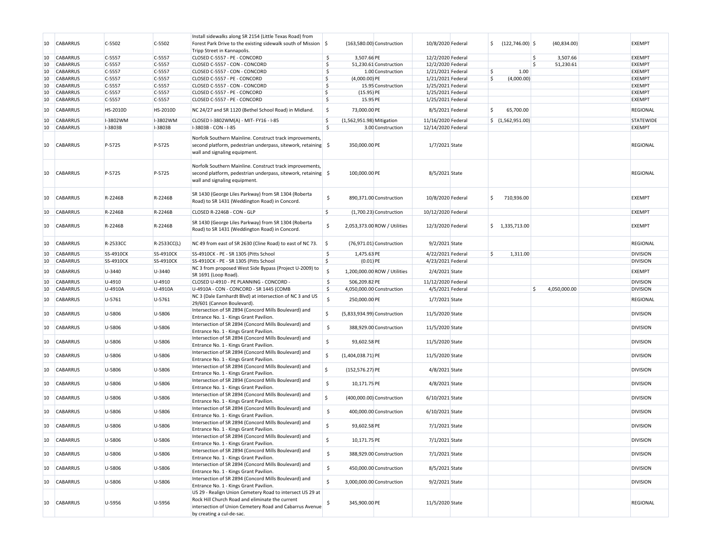| 10 | <b>CABARRUS</b> | C-5502    | $C-5502$    | Install sidewalks along SR 2154 (Little Texas Road) from<br>Forest Park Drive to the existing sidewalk south of Mission $\frac{1}{5}$<br>Tripp Street in Kannapolis.                                 |                    |                             | (163,580.00) Construction    | 10/8/2020 Federal  | $(122, 746.00)$ \$<br>\$ | (40,834.00)        | <b>EXEMPT</b>    |
|----|-----------------|-----------|-------------|------------------------------------------------------------------------------------------------------------------------------------------------------------------------------------------------------|--------------------|-----------------------------|------------------------------|--------------------|--------------------------|--------------------|------------------|
| 10 | <b>CABARRUS</b> | C-5557    | $C-5557$    | CLOSED C-5557 - PE - CONCORD                                                                                                                                                                         | \$                 | 3,507.66 PE                 |                              | 12/2/2020 Federal  |                          | Ŝ<br>3,507.66      | <b>EXEMPT</b>    |
| 10 | <b>CABARRUS</b> | C-5557    | $C-5557$    | CLOSED C-5557 - CON - CONCORD                                                                                                                                                                        | <sub>S</sub>       |                             | 51.230.61 Construction       | 12/2/2020 Federal  |                          | Ś<br>51,230.61     | <b>EXEMPT</b>    |
| 10 | <b>CABARRUS</b> | C-5557    | $C-5557$    | CLOSED C-5557 - CON - CONCORD                                                                                                                                                                        | \$                 |                             | 1.00 Construction            | 1/21/2021 Federal  | 1.00<br>-\$              |                    | <b>EXEMPT</b>    |
| 10 | <b>CABARRUS</b> | C-5557    | $C-5557$    | CLOSED C-5557 - PE - CONCORD                                                                                                                                                                         | \$                 | $(4,000.00)$ PE             |                              | 1/21/2021 Federal  | Ŝ.<br>(4,000.00)         |                    | <b>EXEMPT</b>    |
|    |                 |           |             |                                                                                                                                                                                                      |                    |                             |                              |                    |                          |                    |                  |
| 10 | <b>CABARRUS</b> | C-5557    | $C-5557$    | CLOSED C-5557 - CON - CONCORD                                                                                                                                                                        | \$                 |                             | 15.95 Construction           | 1/25/2021 Federal  |                          |                    | <b>EXEMPT</b>    |
| 10 | <b>CABARRUS</b> | C-5557    | $C-5557$    | CLOSED C-5557 - PE - CONCORD                                                                                                                                                                         | \$                 | $(15.95)$ PE                |                              | 1/25/2021 Federal  |                          |                    | <b>EXEMPT</b>    |
| 10 | CABARRUS        | C-5557    | $C-5557$    | CLOSED C-5557 - PE - CONCORD                                                                                                                                                                         | \$                 | 15.95 PE                    |                              | 1/25/2021 Federal  |                          |                    | <b>EXEMPT</b>    |
| 10 | <b>CABARRUS</b> | HS-2010D  | HS-2010D    | NC 24/27 and SR 1120 (Bethel School Road) in Midland.                                                                                                                                                | \$                 | 73,000.00 PE                |                              | 8/5/2021 Federal   | 65,700.00                |                    | <b>REGIONAL</b>  |
| 10 | CABARRUS        | I-3802WM  | I-3802WM    | CLOSED I-3802WM(A) - MIT- FY16 - I-85                                                                                                                                                                | \$                 | (1,562,951.98) Mitigation   |                              | 11/16/2020 Federal | \$(1,562,951.00)         |                    | <b>STATEWIDE</b> |
| 10 | <b>CABARRUS</b> | I-3803B   | $I-3803B$   | I-3803B - CON - I-85                                                                                                                                                                                 | \$                 |                             | 3.00 Construction            | 12/14/2020 Federal |                          |                    | <b>EXEMPT</b>    |
| 10 | <b>CABARRUS</b> | P-5725    | P-5725      | Norfolk Southern Mainline. Construct track improvements,<br>second platform, pedestrian underpass, sitework, retaining \$<br>wall and signaling equipment.                                           |                    | 350,000.00 PE               |                              | 1/7/2021 State     |                          |                    | REGIONAL         |
| 10 | <b>CABARRUS</b> | P-5725    | P-5725      | Norfolk Southern Mainline. Construct track improvements,<br>second platform, pedestrian underpass, sitework, retaining \$<br>wall and signaling equipment.                                           |                    | 100,000.00 PE               |                              | 8/5/2021 State     |                          |                    | REGIONAL         |
| 10 | <b>CABARRUS</b> | R-2246B   | R-2246B     | SR 1430 (George Liles Parkway) from SR 1304 (Roberta<br>Road) to SR 1431 (Weddington Road) in Concord.                                                                                               | \$                 |                             | 890,371.00 Construction      | 10/8/2020 Federal  | \$<br>710,936.00         |                    | <b>EXEMPT</b>    |
| 10 | <b>CABARRUS</b> | R-2246B   | R-2246B     | CLOSED R-2246B - CON - GLP                                                                                                                                                                           | \$                 |                             | (1,700.23) Construction      | 10/12/2020 Federal |                          |                    | <b>EXEMPT</b>    |
| 10 | <b>CABARRUS</b> | R-2246B   | R-2246B     | SR 1430 (George Liles Parkway) from SR 1304 (Roberta<br>Road) to SR 1431 (Weddington Road) in Concord.                                                                                               | \$                 |                             | 2,053,373.00 ROW / Utilities | 12/3/2020 Federal  | \$1,335,713.00           |                    | EXEMPT           |
| 10 | CABARRUS        | R-2533CC  | R-2533CC(L) | NC 49 from east of SR 2630 (Cline Road) to east of NC 73.                                                                                                                                            | $\vert$ \$         |                             | (76,971.01) Construction     | 9/2/2021 State     |                          |                    | REGIONAL         |
| 10 | CABARRUS        | SS-4910CK | SS-4910CK   | SS-4910CK - PE - SR 1305 (Pitts School                                                                                                                                                               | \$                 | 1,475.63 PE                 |                              | 4/22/2021 Federal  | \$<br>1,311.00           |                    | <b>DIVISION</b>  |
| 10 | CABARRUS        | SS-4910CK | SS-4910CK   | SS-4910CK - PE - SR 1305 (Pitts School                                                                                                                                                               | \$                 | $(0.01)$ PE                 |                              | 4/23/2021 Federal  |                          |                    | <b>DIVISION</b>  |
|    |                 |           |             | NC 3 from proposed West Side Bypass (Project U-2009) to                                                                                                                                              |                    |                             |                              |                    |                          |                    |                  |
| 10 | CABARRUS        | U-3440    | U-3440      | SR 1691 (Loop Road).                                                                                                                                                                                 | $\mathsf S$        |                             | 1,200,000.00 ROW / Utilities | 2/4/2021 State     |                          |                    | <b>EXEMPT</b>    |
| 10 | <b>CABARRUS</b> | U-4910    | $U-4910$    | CLOSED U-4910 - PE PLANNING - CONCORD -                                                                                                                                                              | $\ddot{\varsigma}$ | 506,209.82 PE               |                              | 11/12/2020 Federal |                          |                    | <b>DIVISION</b>  |
| 10 | <b>CABARRUS</b> | U-4910A   | $U-4910A$   | U-4910A - CON - CONCORD - SR 1445 (COMB                                                                                                                                                              | \$                 |                             | 4,050,000.00 Construction    | 4/5/2021 Federal   |                          | \$<br>4,050,000.00 | <b>DIVISION</b>  |
| 10 | <b>CABARRUS</b> | U-5761    | U-5761      | NC 3 (Dale Earnhardt Blvd) at intersection of NC 3 and US<br>29/601 (Cannon Boulevard).                                                                                                              | \$                 | 250,000.00 PE               |                              | 1/7/2021 State     |                          |                    | REGIONAL         |
| 10 | <b>CABARRUS</b> | U-5806    | U-5806      | Intersection of SR 2894 (Concord Mills Boulevard) and<br>Entrance No. 1 - Kings Grant Pavilion.                                                                                                      | \$                 | (5,833,934.99) Construction |                              | 11/5/2020 State    |                          |                    | <b>DIVISION</b>  |
| 10 | <b>CABARRUS</b> | U-5806    | U-5806      | Intersection of SR 2894 (Concord Mills Boulevard) and<br>Entrance No. 1 - Kings Grant Pavilion.                                                                                                      | \$                 |                             | 388,929.00 Construction      | 11/5/2020 State    |                          |                    | <b>DIVISION</b>  |
| 10 | <b>CABARRUS</b> | U-5806    | U-5806      | Intersection of SR 2894 (Concord Mills Boulevard) and<br>Entrance No. 1 - Kings Grant Pavilion.                                                                                                      | \$                 | 93,602.58 PE                |                              | 11/5/2020 State    |                          |                    | <b>DIVISION</b>  |
| 10 | <b>CABARRUS</b> | U-5806    | U-5806      | Intersection of SR 2894 (Concord Mills Boulevard) and                                                                                                                                                | \$                 | $(1,404,038.71)$ PE         |                              | 11/5/2020 State    |                          |                    | <b>DIVISION</b>  |
| 10 | <b>CABARRUS</b> | U-5806    | U-5806      | Entrance No. 1 - Kings Grant Pavilion.<br>Intersection of SR 2894 (Concord Mills Boulevard) and                                                                                                      | \$                 | $(152, 576.27)$ PE          |                              | 4/8/2021 State     |                          |                    | <b>DIVISION</b>  |
|    |                 |           |             | Entrance No. 1 - Kings Grant Pavilion.<br>Intersection of SR 2894 (Concord Mills Boulevard) and                                                                                                      | \$                 |                             |                              |                    |                          |                    |                  |
| 10 | CABARRUS        | U-5806    | U-5806      | Entrance No. 1 - Kings Grant Pavilion.<br>Intersection of SR 2894 (Concord Mills Boulevard) and                                                                                                      |                    | 10,171.75 PE                |                              | 4/8/2021 State     |                          |                    | <b>DIVISION</b>  |
| 10 | <b>CABARRUS</b> | U-5806    | U-5806      | Entrance No. 1 - Kings Grant Pavilion.<br>Intersection of SR 2894 (Concord Mills Boulevard) and                                                                                                      | \$.                |                             | (400,000.00) Construction    | 6/10/2021 State    |                          |                    | <b>DIVISION</b>  |
| 10 | <b>CABARRUS</b> | U-5806    | U-5806      | Entrance No. 1 - Kings Grant Pavilion.                                                                                                                                                               | \$                 |                             | 400,000.00 Construction      | 6/10/2021 State    |                          |                    | <b>DIVISION</b>  |
| 10 | <b>CABARRUS</b> | U-5806    | U-5806      | Intersection of SR 2894 (Concord Mills Boulevard) and<br>Entrance No. 1 - Kings Grant Pavilion.                                                                                                      | \$                 | 93,602.58 PE                |                              | 7/1/2021 State     |                          |                    | <b>DIVISION</b>  |
| 10 | <b>CABARRUS</b> | U-5806    | U-5806      | Intersection of SR 2894 (Concord Mills Boulevard) and<br>Entrance No. 1 - Kings Grant Pavilion.                                                                                                      | \$                 | 10,171.75 PE                |                              | 7/1/2021 State     |                          |                    | <b>DIVISION</b>  |
| 10 | <b>CABARRUS</b> | U-5806    | U-5806      | Intersection of SR 2894 (Concord Mills Boulevard) and<br>Entrance No. 1 - Kings Grant Pavilion.                                                                                                      | \$                 |                             | 388,929.00 Construction      | 7/1/2021 State     |                          |                    | <b>DIVISION</b>  |
| 10 | CABARRUS        | U-5806    | U-5806      | Intersection of SR 2894 (Concord Mills Boulevard) and<br>Entrance No. 1 - Kings Grant Pavilion.                                                                                                      | \$                 |                             | 450,000.00 Construction      | 8/5/2021 State     |                          |                    | <b>DIVISION</b>  |
| 10 | <b>CABARRUS</b> | U-5806    | U-5806      | Intersection of SR 2894 (Concord Mills Boulevard) and<br>Entrance No. 1 - Kings Grant Pavilion.                                                                                                      | \$                 |                             | 3,000,000.00 Construction    | 9/2/2021 State     |                          |                    | <b>DIVISION</b>  |
|    |                 |           |             |                                                                                                                                                                                                      |                    |                             |                              |                    |                          |                    |                  |
| 10 | <b>CABARRUS</b> | U-5956    | U-5956      | US 29 - Realign Union Cemetery Road to intersect US 29 at<br>Rock Hill Church Road and eliminate the current<br>intersection of Union Cemetery Road and Cabarrus Avenue<br>by creating a cul-de-sac. | \$,                | 345,900.00 PE               |                              | 11/5/2020 State    |                          |                    | REGIONAL         |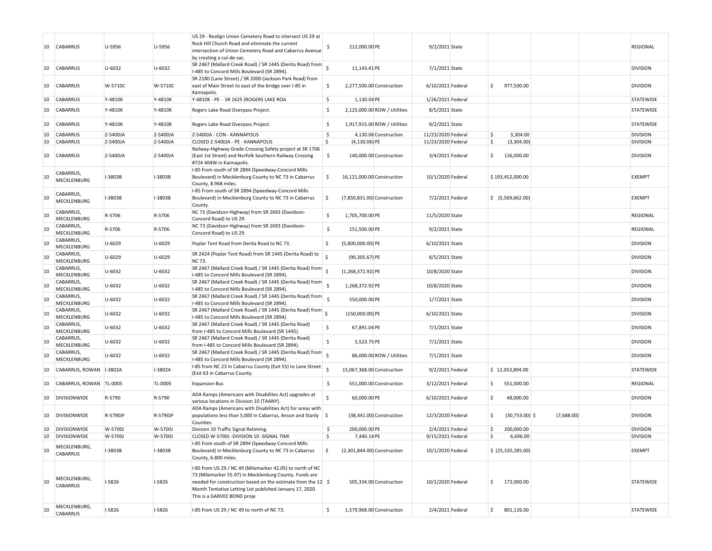| 10 | <b>CABARRUS</b>           | U-5956   | U-5956     | US 29 - Realign Union Cemetery Road to intersect US 29 at<br>Rock Hill Church Road and eliminate the current<br>intersection of Union Cemetery Road and Cabarrus Avenue<br>by creating a cul-de-sac.                                                                           |                    | 212,000.00 PE               |                              | 9/2/2021 State     |    |                   |            | <b>REGIONAL</b> |
|----|---------------------------|----------|------------|--------------------------------------------------------------------------------------------------------------------------------------------------------------------------------------------------------------------------------------------------------------------------------|--------------------|-----------------------------|------------------------------|--------------------|----|-------------------|------------|-----------------|
| 10 | <b>CABARRUS</b>           | U-6032   | U-6032     | $\frac{1}{\sqrt{2}}$ SR 2467 (Mallard Creek Road) / SR 1445 (Derita Road) from<br>I-485 to Concord Mills Boulevard (SR 2894).                                                                                                                                                  |                    | 11,143.41 PE                |                              | 7/1/2021 State     |    |                   |            | <b>DIVISION</b> |
| 10 | CABARRUS                  | W-5710C  | W-5710C    | SR 2180 (Lane Street) / SR 2000 (Jackson Park Road) from<br>east of Main Street to east of the bridge over I-85 in<br>Kannapolis.                                                                                                                                              | Ş.                 | 2,277,500.00 Construction   |                              | 6/10/2021 Federal  | \$ | 977,500.00        |            | <b>DIVISION</b> |
| 10 | <b>CABARRUS</b>           | Y-4810K  | Y-4810K    | Y-4810K - PE - SR 1625 (ROGERS LAKE ROA                                                                                                                                                                                                                                        | \$                 | 1,130.04 PE                 |                              | 1/26/2021 Federal  |    |                   |            | STATEWIDE       |
| 10 | <b>CABARRUS</b>           | Y-4810K  | Y-4810K    | Rogers Lake Road Overpass Project.                                                                                                                                                                                                                                             | \$                 |                             | 2,125,000.00 ROW / Utilities | 8/5/2021 State     |    |                   |            | STATEWIDE       |
| 10 | <b>CABARRUS</b>           | Y-4810K  | Y-4810K    | Rogers Lake Road Overpass Project.                                                                                                                                                                                                                                             | \$                 |                             | 1,917,915.00 ROW / Utilities | 9/2/2021 State     |    |                   |            | STATEWIDE       |
| 10 | <b>CABARRUS</b>           | Z-5400JA | Z-5400JA   | Z-5400JA - CON - KANNAPOLIS                                                                                                                                                                                                                                                    | \$                 |                             | 4,130.06 Construction        | 11/23/2020 Federal | \$ | 3,304.00          |            | <b>DIVISION</b> |
| 10 | <b>CABARRUS</b>           | Z-5400JA | Z-5400JA   | CLOSED Z-5400JA - PE - KANNAPOLIS                                                                                                                                                                                                                                              | \$                 | $(4, 130.06)$ PE            |                              | 11/23/2020 Federal | \$ | (3,304.00)        |            | <b>DIVISION</b> |
| 10 | <b>CABARRUS</b>           | Z-5400JA | Z-5400JA   | Railway-Highway Grade Crossing Safety project at SR 1706<br>(East 1st Street) and Norfolk Southern Railway Crossing<br>#724 404W in Kannapolis.                                                                                                                                | \$                 |                             | 140,000.00 Construction      | 3/4/2021 Federal   | \$ | 126,000.00        |            | <b>DIVISION</b> |
| 10 | CABARRUS,<br>MECKLENBURG  | I-3803B  | I-3803B    | I-85 from south of SR 2894 (Speedway-Concord Mills<br>Boulevard) in Mecklenburg County to NC 73 in Cabarrus<br>County, 8.968 miles.                                                                                                                                            | \$                 | 16,121,000.00 Construction  |                              | 10/1/2020 Federal  |    | \$193,452,000.00  |            | EXEMPT          |
| 10 | CABARRUS,<br>MECKLENBURG  | I-3803B  | I-3803B    | I-85 From south of SR 2894 (Speedway-Concord Mills<br>Boulevard) in Mecklenburg County to NC 73 in Cabarrus<br>County.                                                                                                                                                         | \$                 | (7,850,831.00) Construction |                              | 7/2/2021 Federal   |    | \$ (5,569,662.00) |            | <b>EXEMPT</b>   |
| 10 | CABARRUS,<br>MECKLENBURG  | R-5706   | R-5706     | NC 73 (Davidson Highway) from SR 2693 (Davidson-<br>Concord Road) to US 29.                                                                                                                                                                                                    | \$                 | 1,705,700.00 PE             |                              | 11/5/2020 State    |    |                   |            | <b>REGIONAL</b> |
| 10 | CABARRUS,<br>MECKLENBURG  | R-5706   | R-5706     | NC 73 (Davidson Highway) from SR 2693 (Davidson-<br>Concord Road) to US 29.                                                                                                                                                                                                    | \$                 | 151.500.00 PE               |                              | 9/2/2021 State     |    |                   |            | <b>REGIONAL</b> |
| 10 | CABARRUS,<br>MECKLENBURG  | U-6029   | U-6029     | Poplar Tent Road from Derita Road to NC 73.                                                                                                                                                                                                                                    | \$                 | $(5,800,000.00)$ PE         |                              | 6/10/2021 State    |    |                   |            | <b>DIVISION</b> |
| 10 | CABARRUS,<br>MECKLENBURG  | U-6029   | $U - 6029$ | SR 2424 (Poplar Tent Road) from SR 1445 (Derita Road) to<br><b>NC 73.</b>                                                                                                                                                                                                      | $\dot{\mathsf{S}}$ | $(90, 305.67)$ PE           |                              | 8/5/2021 State     |    |                   |            | <b>DIVISION</b> |
| 10 | CABARRUS,<br>MECKLENBURG  | U-6032   | U-6032     | SR 2467 (Mallard Creek Road) / SR 1445 (Derita Road) from<br>I-485 to Concord Mills Boulevard (SR 2894).                                                                                                                                                                       |                    | $(1,268,372.92)$ PE         |                              | 10/8/2020 State    |    |                   |            | <b>DIVISION</b> |
| 10 | CABARRUS,<br>MECKLENBURG  | U-6032   | U-6032     | SR 2467 (Mallard Creek Road) / SR 1445 (Derita Road) from<br>I-485 to Concord Mills Boulevard (SR 2894).                                                                                                                                                                       | $\ddot{\varsigma}$ | 1,268,372.92 PE             |                              | 10/8/2020 State    |    |                   |            | <b>DIVISION</b> |
| 10 | CABARRUS,<br>MECKLENBURG  | U-6032   | U-6032     | SR 2467 (Mallard Creek Road) / SR 1445 (Derita Road) from<br>I-485 to Concord Mills Boulevard (SR 2894).                                                                                                                                                                       | <sub>S</sub>       | 550,000.00 PE               |                              | 1/7/2021 State     |    |                   |            | <b>DIVISION</b> |
| 10 | CABARRUS,<br>MECKLENBURG  | U-6032   | U-6032     | SR 2467 (Mallard Creek Road) / SR 1445 (Derita Road) from 5<br>I-485 to Concord Mills Boulevard (SR 2894).                                                                                                                                                                     |                    | $(150,000.00)$ PE           |                              | 6/10/2021 State    |    |                   |            | <b>DIVISION</b> |
| 10 | CABARRUS,<br>MECKLENBURG  | U-6032   | U-6032     | SR 2467 (Mallard Creek Road) / SR 1445 (Derita Road)<br>from I-485 to Concord Mills Boulevard (SR 1445).                                                                                                                                                                       | \$                 | 67,891.04 PE                |                              | 7/1/2021 State     |    |                   |            | <b>DIVISION</b> |
| 10 | CABARRUS,<br>MECKLENBURG  | U-6032   | U-6032     | SR 2467 (Mallard Creek Road) / SR 1445 (Derita Road)<br>from I-485 to Concord Mills Boulevard (SR 2894).                                                                                                                                                                       | Ŝ.                 | 5,523.75 PE                 |                              | 7/1/2021 State     |    |                   |            | <b>DIVISION</b> |
| 10 | CABARRUS,<br>MECKLENBURG  | U-6032   | U-6032     | SR 2467 (Mallard Creek Road) / SR 1445 (Derita Road) from<br>I-485 to Concord Mills Boulevard (SR 2894).                                                                                                                                                                       | $\zeta$            |                             | 86,000.00 ROW / Utilities    | 7/1/2021 State     |    |                   |            | <b>DIVISION</b> |
| 10 | CABARRUS, ROWAN   I-3802A |          | I-3802A    | I-85 from NC 23 in Cabarrus County (Exit 55) to Lane Street<br>(Exit 63 in Cabarrus County.                                                                                                                                                                                    | -Ś                 | 15,067,368.00 Construction  |                              | 9/2/2021 Federal   |    | \$12,053,894.00   |            | STATEWIDE       |
| 10 | CABARRUS, ROWAN TL-0005   |          | TL-0005    | <b>Expansion Bus</b>                                                                                                                                                                                                                                                           | \$                 |                             | 551,000.00 Construction      | 3/12/2021 Federal  | \$ | 551,000.00        |            | <b>REGIONAL</b> |
| 10 | <b>DIVISIONWIDE</b>       | R-5790   | R-5790     | ADA Ramps (Americans with Disabilites Act) upgrades at<br>various locations in Division 10 (TAANY).                                                                                                                                                                            | Ś                  | 60,000.00 PE                |                              | 6/10/2021 Federal  | Ŝ. | 48,000.00         |            | <b>DIVISION</b> |
| 10 | <b>DIVISIONWIDE</b>       | R-5790JF | R-5790JF   | ADA Ramps (Americans with Disabilities Act) for areas with<br>populations less than 5,000 in Cabarrus, Anson and Stanly $\frac{1}{5}$<br>Counties.                                                                                                                             |                    |                             | (38,441.00) Construction     | 12/3/2020 Federal  | Ŝ. | $(30,753.00)$ \$  | (7,688.00) | <b>DIVISION</b> |
| 10 | <b>DIVISIONWIDE</b>       | W-5700J  | W-5700J    | Division 10 Traffic Signal Retiming.                                                                                                                                                                                                                                           | \$                 | 200,000.00 PE               |                              | 2/4/2021 Federal   | \$ | 200,000.00        |            | <b>DIVISION</b> |
| 10 | <b>DIVISIONWIDE</b>       | W-5700J  | W-5700J    | CLOSED W-5700J -DIVISION 10 -SIGNAL TIMI                                                                                                                                                                                                                                       | \$                 | 7,440.14 PE                 |                              | 9/15/2021 Federal  |    | 6,696.00          |            | <b>DIVISION</b> |
| 10 | MECKLENBURG,<br>CABARRUS  | I-3803B  | I-3803B    | I-85 from south of SR 2894 (Speedway-Concord Mills<br>Boulevard) in Mecklenburg County to NC 73 in Cabarrus<br>County, 6.800 miles.                                                                                                                                            | \$                 | (2,301,844.00) Construction |                              | 10/1/2020 Federal  |    | \$(25,320,285.00) |            | <b>EXEMPT</b>   |
| 10 | MECKLENBURG,<br>CABARRUS  | I-5826   | I-5826     | I-85 from US 29 / NC 49 (Milemarker 42.05) to north of NC<br>73 (Milemarker 55.97) in Mecklenburg County. Funds are<br>needed for construction based on the estimate from the 12 \$<br>Month Tentative Letting List published January 17, 2020.<br>This is a GARVEE BOND proje |                    |                             | 505,334.00 Construction      | 10/1/2020 Federal  | \$ | 172,000.00        |            | STATEWIDE       |
| 10 | MECKLENBURG,<br>CABARRUS  | $I-5826$ | $1-5826$   | I-85 from US 29 / NC 49 to north of NC 73.                                                                                                                                                                                                                                     | \$                 | 1,579,968.00 Construction   |                              | 2/4/2021 Federal   | \$ | 801,126.00        |            | STATEWIDE       |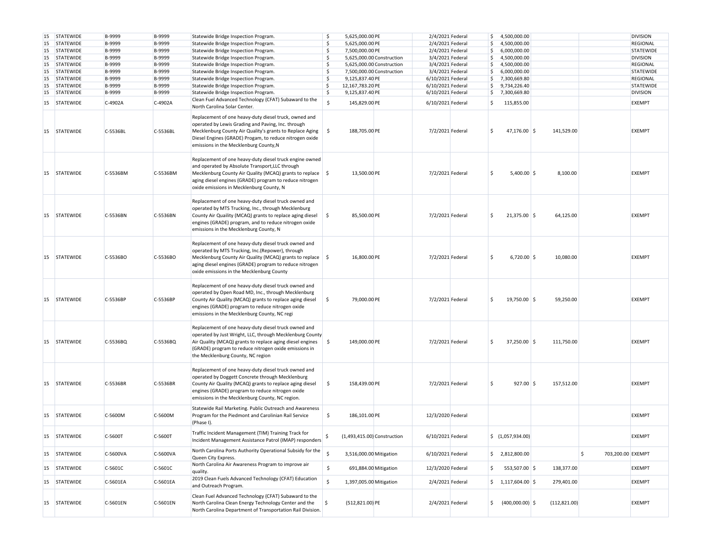| 15        | <b>STATEWIDE</b> | B-9999   | B-9999   | Statewide Bridge Inspection Program.                                                                                                                                                                                                                                              | \$                 | 5,625,000.00 PE             | 2/4/2021 Federal  |     | \$4,500,000.00                  |               |                         | <b>DIVISION</b>  |
|-----------|------------------|----------|----------|-----------------------------------------------------------------------------------------------------------------------------------------------------------------------------------------------------------------------------------------------------------------------------------|--------------------|-----------------------------|-------------------|-----|---------------------------------|---------------|-------------------------|------------------|
| 15        | <b>STATEWIDE</b> | B-9999   | B-9999   | Statewide Bridge Inspection Program.                                                                                                                                                                                                                                              | \$                 | 5,625,000.00 PE             | 2/4/2021 Federal  | \$  | 4,500,000.00                    |               |                         | <b>REGIONAL</b>  |
| 15        | <b>STATEWIDE</b> | B-9999   | B-9999   | Statewide Bridge Inspection Program.                                                                                                                                                                                                                                              | \$                 | 7,500,000.00 PE             | 2/4/2021 Federal  | S,  | 6,000,000.00                    |               |                         | <b>STATEWIDE</b> |
| 15        | <b>STATEWIDE</b> | B-9999   | B-9999   | Statewide Bridge Inspection Program.                                                                                                                                                                                                                                              | \$                 | 5,625,000.00 Construction   | 3/4/2021 Federal  | \$  | 4,500,000.00                    |               |                         | <b>DIVISION</b>  |
| 15        | <b>STATEWIDE</b> | B-9999   | B-9999   | Statewide Bridge Inspection Program.                                                                                                                                                                                                                                              | \$                 | 5,625,000.00 Construction   | 3/4/2021 Federal  | \$  | 4,500,000.00                    |               |                         | REGIONAL         |
| 15        | <b>STATEWIDE</b> | B-9999   | B-9999   | Statewide Bridge Inspection Program.                                                                                                                                                                                                                                              | \$                 | 7,500,000.00 Construction   | 3/4/2021 Federal  | \$  | 6,000,000.00                    |               |                         | <b>STATEWIDE</b> |
| 15        | <b>STATEWIDE</b> | B-9999   | B-9999   | Statewide Bridge Inspection Program.                                                                                                                                                                                                                                              | \$                 | 9,125,837.40 PE             | 6/10/2021 Federal | \$  | 7,300,669.80                    |               |                         | REGIONAL         |
| 15        | <b>STATEWIDE</b> | B-9999   | B-9999   | Statewide Bridge Inspection Program.                                                                                                                                                                                                                                              | \$                 | 12,167,783.20 PE            | 6/10/2021 Federal | \$. | 9,734,226.40                    |               |                         | <b>STATEWIDE</b> |
| 15        | STATEWIDE        | B-9999   | B-9999   | Statewide Bridge Inspection Program.                                                                                                                                                                                                                                              | \$                 | 9,125,837.40 PE             | 6/10/2021 Federal |     | \$7,300,669.80                  |               |                         | <b>DIVISION</b>  |
| 15        | <b>STATEWIDE</b> | C-4902A  | C-4902A  | Clean Fuel Advanced Technology (CFAT) Subaward to the                                                                                                                                                                                                                             | $\mathsf{\hat{S}}$ | 145,829.00 PE               | 6/10/2021 Federal | \$  | 115,855.00                      |               |                         | <b>EXEMPT</b>    |
|           |                  |          |          | North Carolina Solar Center.                                                                                                                                                                                                                                                      |                    |                             |                   |     |                                 |               |                         |                  |
| 15        | <b>STATEWIDE</b> | C-5536BL | C-5536BL | Replacement of one heavy-duty diesel truck, owned and<br>operated by Lewis Grading and Paving, Inc. through<br>Mecklenburg County Air Quality's grants to Replace Aging<br>Diesel Engines (GRADE) Progam, to reduce nitrogen oxide<br>emissions in the Mecklenburg County, N      | \$                 | 188,705.00 PE               | 7/2/2021 Federal  |     | 47,176.00 \$                    | 141,529.00    |                         | <b>EXEMPT</b>    |
| 15        | <b>STATEWIDE</b> | C-5536BM | C-5536BM | Replacement of one heavy-duty diesel truck engine owned<br>and operated by Absolute Transport, LLC through<br>Mecklenburg County Air Quality (MCAQ) grants to replace \ \$<br>aging diesel engines (GRADE) program to reduce nitrogen<br>oxide emissions in Mecklenburg County, N |                    | 13,500.00 PE                | 7/2/2021 Federal  |     | $5,400.00$ \$                   | 8,100.00      |                         | <b>EXEMPT</b>    |
| <b>15</b> | <b>STATEWIDE</b> | C-5536BN | C-5536BN | Replacement of one heavy-duty diesel truck owned and<br>operated by MTS Trucking, Inc., through Mecklenburg<br>County Air Quaility (MCAQ) grants to replace aging diesel<br>engines (GRADE) program, and to reduce nitrogen oxide<br>emissions in the Mecklenburg County, N       | \$                 | 85,500.00 PE                | 7/2/2021 Federal  |     | $21,375.00$ \$                  | 64,125.00     |                         | <b>EXEMPT</b>    |
| 15        | <b>STATEWIDE</b> | C-5536BO | C-5536BO | Replacement of one heavy-duty diesel truck owned and<br>operated by MTS Trucking, Inc.(Repower), through<br>Mecklenburg County Air Quality (MCAQ) grants to replace \ \$<br>aging diesel engines (GRADE) program to reduce nitrogen<br>oxide emissions in the Mecklenburg County  |                    | 16,800.00 PE                | 7/2/2021 Federal  |     | $6,720.00$ \$                   | 10,080.00     |                         | <b>EXEMPT</b>    |
| 15        | <b>STATEWIDE</b> | C-5536BP | C-5536BP | Replacement of one heavy-duty diesel truck owned and<br>operated by Open Road MD, Inc., through Mecklenburg<br>County Air Quality (MCAQ) grants to replace aging diesel<br>engines (GRADE) program to reduce nitrogen oxide<br>emissions in the Mecklenburg County, NC regi       | \$                 | 79,000.00 PE                | 7/2/2021 Federal  |     | 19,750.00 \$                    | 59,250.00     |                         | <b>EXEMPT</b>    |
| 15        | <b>STATEWIDE</b> | C-5536BQ | C-5536BQ | Replacement of one heavy-duty diesel truck owned and<br>operated by Just Wright, LLC, through Mecklenburg County<br>Air Quality (MCAQ) grants to replace aging diesel engines<br>(GRADE) program to reduce nitrogen oxide emissions in<br>the Mecklenburg County, NC region       | \$                 | 149,000.00 PE               | 7/2/2021 Federal  |     | 37,250.00 \$                    | 111,750.00    |                         | <b>EXEMPT</b>    |
|           | 15 STATEWIDE     | C-5536BR | C-5536BR | Replacement of one heavy-duty diesel truck owned and<br>operated by Doggett Concrete through Mecklenburg<br>County Air Quality (MCAQ) grants to replace aging diesel<br>engines (GRADE) program to reduce nitrogen oxide<br>emissions in the Mecklenburg County, NC region.       | \$                 | 158,439.00 PE               | 7/2/2021 Federal  |     | $927.00$ \$                     | 157,512.00    |                         | <b>EXEMPT</b>    |
| 15        | <b>STATEWIDE</b> | C-5600M  | C-5600M  | Statewide Rail Marketing. Public Outreach and Awareness<br>Program for the Piedmont and Carolinian Rail Service<br>(Phase I).                                                                                                                                                     | \$                 | 186,101.00 PE               | 12/3/2020 Federal |     |                                 |               |                         | <b>EXEMPT</b>    |
|           | 15 STATEWIDE     | C-5600T  | C-5600T  | Traffic Incident Management (TIM) Training Track for<br>Incident Management Assistance Patrol (IMAP) responders                                                                                                                                                                   |                    | (1,493,415.00) Construction | 6/10/2021 Federal |     | \$(1,057,934.00)                |               |                         | EXEMPT           |
| 15        | <b>STATEWIDE</b> | C-5600VA | C-5600VA | North Carolina Ports Authority Operational Subsidy for the<br>Queen City Express.                                                                                                                                                                                                 | \$                 | 3,516,000.00 Mitigation     | 6/10/2021 Federal |     | \$2,812,800.00                  |               | \$<br>703,200.00 EXEMPT |                  |
| <b>15</b> | <b>STATEWIDE</b> | C-5601C  | C-5601C  | North Carolina Air Awareness Program to improve air<br>quality.                                                                                                                                                                                                                   | \$                 | 691,884.00 Mitigation       | 12/3/2020 Federal | .s  | 553,507.00 \$                   | 138,377.00    |                         | EXEMPT           |
| 15        | STATEWIDE        | C-5601EA | C-5601EA | 2019 Clean Fuels Advanced Technology (CFAT) Education<br>and Outreach Program.                                                                                                                                                                                                    | \$                 | 1,397,005.00 Mitigation     | 2/4/2021 Federal  |     | $\frac{1}{2}$ , 1,117,604.00 \$ | 279,401.00    |                         | EXEMPT           |
| 15        | <b>STATEWIDE</b> | C-5601EN | C-5601EN | Clean Fuel Advanced Technology (CFAT) Subaward to the<br>North Carolina Clean Energy Technology Center and the<br>North Carolina Department of Transportation Rail Division.                                                                                                      | ۱\$.               | (512,821.00) PE             | 2/4/2021 Federal  | \$  | $(400,000.00)$ \$               | (112, 821.00) |                         | EXEMPT           |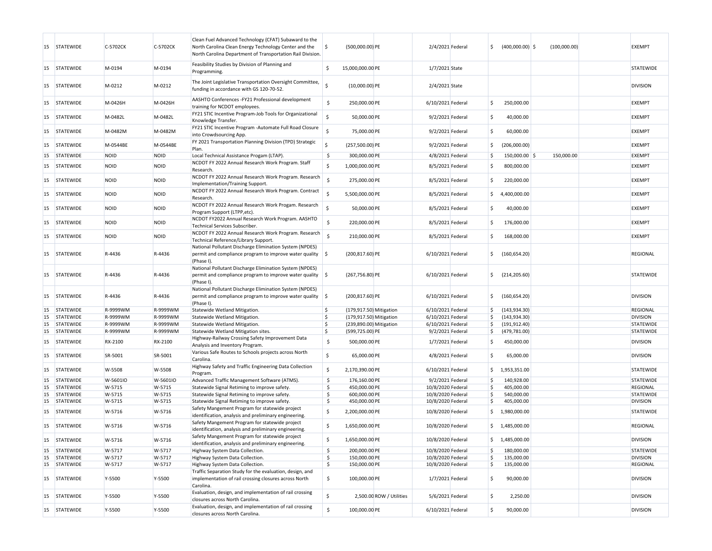| 15        | <b>STATEWIDE</b> | C-5702CK    | C-5702CK    | Clean Fuel Advanced Technology (CFAT) Subaward to the<br>North Carolina Clean Energy Technology Center and the<br>North Carolina Department of Transportation Rail Division. | S,                 | (500,000.00) PE         |                          | 2/4/2021 Federal  | Ś.                  | $(400,000.00)$ \$ | (100,000.00) | <b>EXEMPT</b>    |
|-----------|------------------|-------------|-------------|------------------------------------------------------------------------------------------------------------------------------------------------------------------------------|--------------------|-------------------------|--------------------------|-------------------|---------------------|-------------------|--------------|------------------|
| 15        | <b>STATEWIDE</b> | M-0194      | M-0194      | Feasibility Studies by Division of Planning and<br>Programming.                                                                                                              | Ŝ.                 | 15,000,000.00 PE        |                          | 1/7/2021 State    |                     |                   |              | STATEWIDE        |
| 15        | <b>STATEWIDE</b> | M-0212      | M-0212      | The Joint Legislative Transportation Oversight Committee,<br>funding in accordance with GS 120-70-52.                                                                        | Ś                  | $(10,000.00)$ PE        |                          | 2/4/2021 State    |                     |                   |              | <b>DIVISION</b>  |
| 15        | <b>STATEWIDE</b> | M-0426H     | M-0426H     | AASHTO Conferences -FY21 Professional development<br>training for NCDOT employees.                                                                                           | \$                 | 250,000.00 PE           |                          | 6/10/2021 Federal | S.                  | 250,000.00        |              | <b>EXEMPT</b>    |
| 15        | <b>STATEWIDE</b> | M-0482L     | M-0482L     | FY21 STIC Incentive Program-Job Tools for Organizational<br>Knowledge Transfer.                                                                                              | \$                 | 50,000.00 PE            |                          | 9/2/2021 Federal  | l \$                | 40,000.00         |              | EXEMPT           |
| 15        | <b>STATEWIDE</b> | M-0482M     | M-0482M     | FY21 STIC Incentive Program -Automate Full Road Closure<br>into Crowdsourcing App.                                                                                           | $\sf S$            | 75,000.00 PE            |                          | 9/2/2021 Federal  | Ś                   | 60,000.00         |              | <b>EXEMPT</b>    |
| 15        | <b>STATEWIDE</b> | M-0544BE    | M-0544BE    | FY 2021 Transportation Planning Division (TPD) Strategic<br>Plan.                                                                                                            | Ś                  | (257,500.00) PE         |                          | 9/2/2021 Federal  | \$                  | (206,000.00)      |              | <b>EXEMPT</b>    |
| 15        | <b>STATEWIDE</b> | <b>NOID</b> | <b>NOID</b> | Local Technical Assistance Progam (LTAP).                                                                                                                                    | $\ddot{\varsigma}$ | 300,000.00 PE           |                          | 4/8/2021 Federal  | Ś                   | 150,000.00 \$     | 150.000.00   | <b>EXEMPT</b>    |
| 15        | <b>STATEWIDE</b> | <b>NOID</b> | <b>NOID</b> | NCDOT FY 2022 Annual Research Work Program. Staff<br>Research.                                                                                                               | \$                 | 1,000,000.00 PE         |                          | 8/5/2021 Federal  | Ś                   | 800,000.00        |              | <b>EXEMPT</b>    |
| 15        | <b>STATEWIDE</b> | <b>NOID</b> | <b>NOID</b> | NCDOT FY 2022 Annual Research Work Program. Research<br>Implementation/Training Support.                                                                                     | \$                 | 275,000.00 PE           |                          | 8/5/2021 Federal  | Ś                   | 220,000.00        |              | <b>EXEMPT</b>    |
| 15        | <b>STATEWIDE</b> | <b>NOID</b> | <b>NOID</b> | NCDOT FY 2022 Annual Research Work Program. Contract<br>Research.                                                                                                            | $\mathsf{\hat{S}}$ | 5,500,000.00 PE         |                          | 8/5/2021 Federal  | \$                  | 4,400,000.00      |              | EXEMPT           |
| 15        | <b>STATEWIDE</b> | <b>NOID</b> | <b>NOID</b> | NCDOT FY 2022 Annual Research Work Progam. Research<br>Program Support (LTPP,etc).                                                                                           | $\mathsf{\hat{S}}$ | 50,000.00 PE            |                          | 8/5/2021 Federal  | Ś                   | 40,000.00         |              | EXEMPT           |
| 15        | <b>STATEWIDE</b> | <b>NOID</b> | <b>NOID</b> | NCDOT FY2022 Annual Research Work Program. AASHTO<br>Technical Services Subscriber.                                                                                          | \$                 | 220,000.00 PE           |                          | 8/5/2021 Federal  | Ś                   | 176,000.00        |              | EXEMPT           |
| 15        | <b>STATEWIDE</b> | <b>NOID</b> | <b>NOID</b> | NCDOT FY 2022 Annual Research Work Program. Research<br>Technical Reference/Library Support.                                                                                 | <sub>S</sub>       | 210,000.00 PE           |                          | 8/5/2021 Federal  | Ś                   | 168,000.00        |              | EXEMPT           |
| 15        | <b>STATEWIDE</b> | R-4436      | R-4436      | National Pollutant Discharge Elimination System (NPDES)<br>permit and compliance program to improve water quality $\frac{1}{2}$<br>(Phase I).                                |                    | (200,817.60) PE         |                          | 6/10/2021 Federal | \$                  | (160, 654.20)     |              | REGIONAL         |
| 15        | <b>STATEWIDE</b> | R-4436      | R-4436      | National Pollutant Discharge Elimination System (NPDES)<br>permit and compliance program to improve water quality $\frac{1}{2}$<br>(Phase I).                                |                    | (267,756.80) PE         |                          | 6/10/2021 Federal | \$                  | (214, 205.60)     |              | <b>STATEWIDE</b> |
| 15        | <b>STATEWIDE</b> | R-4436      | R-4436      | National Pollutant Discharge Elimination System (NPDES)<br>permit and compliance program to improve water quality $\frac{1}{2}$<br>(Phase I).                                |                    | (200,817.60) PE         |                          | 6/10/2021 Federal | Ś                   | (160, 654.20)     |              | <b>DIVISION</b>  |
| 15        | <b>STATEWIDE</b> | R-9999WM    | R-9999WM    | Statewide Wetland Mitigation.                                                                                                                                                | \$                 | (179,917.50) Mitigation |                          | 6/10/2021 Federal | $\ddot{\mathsf{s}}$ | (143, 934.30)     |              | <b>REGIONAL</b>  |
| 15        | <b>STATEWIDE</b> | R-9999WM    | R-9999WM    | Statewide Wetland Mitigation.                                                                                                                                                | \$                 | (179,917.50) Mitigation |                          | 6/10/2021 Federal | Ś                   | (143, 934.30)     |              | <b>DIVISION</b>  |
| 15        | <b>STATEWIDE</b> | R-9999WM    | R-9999WM    | Statewide Wetland Mitigation.                                                                                                                                                | \$                 | (239,890.00) Mitigation |                          | 6/10/2021 Federal | \$.                 | (191, 912.40)     |              | <b>STATEWIDE</b> |
| 15        | <b>STATEWIDE</b> | R-9999WM    | R-9999WM    | Statewide Wetland Mitigation sites.                                                                                                                                          | \$                 | (599,725.00) PE         |                          | 9/2/2021 Federal  | l\$                 | (479, 781.00)     |              | <b>STATEWIDE</b> |
| 15        | <b>STATEWIDE</b> | RX-2100     | RX-2100     | Highway-Railway Crossing Safety Improvement Data<br>Analysis and Inventory Program.                                                                                          | \$                 | 500,000.00 PE           |                          | 1/7/2021 Federal  | Ś                   | 450,000.00        |              | <b>DIVISION</b>  |
| 15        | <b>STATEWIDE</b> | SR-5001     | SR-5001     | Various Safe Routes to Schools projects across North<br>Carolina.                                                                                                            | \$                 | 65,000.00 PE            |                          | 4/8/2021 Federal  | Ś                   | 65,000.00         |              | <b>DIVISION</b>  |
| 15        | <b>STATEWIDE</b> | W-5508      | W-5508      | Highway Safety and Traffic Engineering Data Collection<br>Program.                                                                                                           | \$                 | 2,170,390.00 PE         |                          | 6/10/2021 Federal | \$                  | 1,953,351.00      |              | <b>STATEWIDE</b> |
| 15        | <b>STATEWIDE</b> | W-5601IO    | W-5601IO    | Advanced Traffic Management Software (ATMS).                                                                                                                                 | \$                 | 176,160.00 PE           |                          | 9/2/2021 Federal  | l\$                 | 140,928.00        |              | <b>STATEWIDE</b> |
| 15        | <b>STATEWIDE</b> | W-5715      | W-5715      | Statewide Signal Retiming to improve safety.                                                                                                                                 | \$                 | 450,000.00 PE           |                          | 10/8/2020 Federal | Ś                   | 405,000.00        |              | <b>REGIONAL</b>  |
| 15        | <b>STATEWIDE</b> | W-5715      | W-5715      | Statewide Signal Retiming to improve safety.                                                                                                                                 | \$                 | 600,000.00 PE           |                          | 10/8/2020 Federal | \$                  | 540,000.00        |              | <b>STATEWIDE</b> |
| <b>15</b> | <b>STATEWIDE</b> | W-5715      | W-5715      | Statewide Signal Retiming to improve safety.                                                                                                                                 | \$                 | 450,000.00 PE           |                          | 10/8/2020 Federal | Ś                   | 405,000.00        |              | <b>DIVISION</b>  |
| 15        | <b>STATEWIDE</b> | W-5716      | W-5716      | Safety Mangement Program for statewide project<br>identification, analysis and preliminary engineering.                                                                      | \$                 | 2,200,000.00 PE         |                          | 10/8/2020 Federal | \$                  | 1,980,000.00      |              | <b>STATEWIDE</b> |
| 15        | <b>STATEWIDE</b> | W-5716      | W-5716      | Safety Mangement Program for statewide project<br>identification, analysis and preliminary engineering.                                                                      | \$                 | 1,650,000.00 PE         |                          | 10/8/2020 Federal |                     | \$1,485,000.00    |              | REGIONAL         |
|           | 15 STATEWIDE     | W-5716      | W-5716      | Safety Mangement Program for statewide project<br>identification, analysis and preliminary engineering.                                                                      | \$                 | 1,650,000.00 PE         |                          | 10/8/2020 Federal | \$                  | 1,485,000.00      |              | <b>DIVISION</b>  |
|           | 15 STATEWIDE     | W-5717      | W-5717      | Highway System Data Collection.                                                                                                                                              | $\frac{1}{2}$      | 200,000.00 PE           |                          | 10/8/2020 Federal | Ś                   | 180,000.00        |              | <b>STATEWIDE</b> |
|           | 15 STATEWIDE     | W-5717      | W-5717      | Highway System Data Collection.                                                                                                                                              | \$                 | 150,000.00 PE           |                          | 10/8/2020 Federal | Ś                   | 135,000.00        |              | <b>DIVISION</b>  |
|           | 15 STATEWIDE     | W-5717      | W-5717      | Highway System Data Collection.                                                                                                                                              | \$                 | 150,000.00 PE           |                          | 10/8/2020 Federal | Ś                   | 135,000.00        |              | <b>REGIONAL</b>  |
|           | 15 STATEWIDE     | Y-5500      | Y-5500      | Traffic Separation Study for the evaluation, design, and<br>implementation of rail crossing closures across North<br>Carolina.                                               | \$                 | 100,000.00 PE           |                          | 1/7/2021 Federal  | l\$                 | 90,000.00         |              | <b>DIVISION</b>  |
| 15        | STATEWIDE        | Y-5500      | Y-5500      | Evaluation, design, and implementation of rail crossing<br>closures across North Carolina.                                                                                   | \$                 |                         | 2,500.00 ROW / Utilities | 5/6/2021 Federal  | l\$                 | 2,250.00          |              | <b>DIVISION</b>  |
|           | 15 STATEWIDE     | Y-5500      | Y-5500      | Evaluation, design, and implementation of rail crossing<br>closures across North Carolina.                                                                                   | \$                 | 100,000.00 PE           |                          | 6/10/2021 Federal | \$                  | 90,000.00         |              | <b>DIVISION</b>  |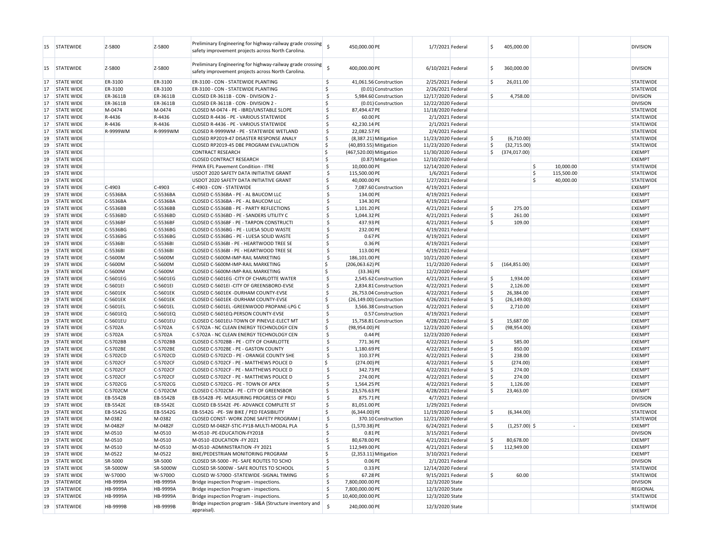| Preliminary Engineering for highway-railway grade crossing<br>-S<br>6/10/2021 Federal<br><b>STATEWIDE</b><br>Z-5800<br>Z-5800<br>400.000.00 PE<br>.s<br>360.000.00<br><b>DIVISION</b><br>15<br>safety improvement projects across North Carolina.<br>ER-3100<br>ER-3100<br>ER-3100 - CON - STATEWIDE PLANTING<br>\$<br>2/25/2021 Federal<br>l S<br>26,011.00<br>STATEWIDE<br>17<br><b>STATE WIDE</b><br>41,061.56 Construction<br>ER-3100<br>Ś.<br>STATEWIDE<br>17<br><b>STATE WIDE</b><br>ER-3100<br>ER-3100 - CON - STATEWIDE PLANTING<br>(0.01) Construction<br>2/26/2021 Federal<br>-Ś<br>12/17/2020 Federal<br>17<br><b>STATE WIDE</b><br>ER-3611B<br>ER-3611B<br>CLOSED ER-3611B - CON - DIVISION 2 -<br>5,984.60 Construction<br>4,758.00<br><b>DIVISION</b><br>17<br><b>STATE WIDE</b><br>ER-3611B<br>ER-3611B<br>CLOSED ER-3611B - CON - DIVISION 2 -<br>Ŝ.<br>(0.01) Construction<br>12/22/2020 Federal<br><b>DIVISION</b><br><b>STATE WIDE</b><br>M-0474<br>M-0474<br>87,494.47 PE<br>17<br>CLOSED M-0474 - PE - IBRD/UNSTABLE SLOPE<br>-Ś<br>11/18/2020 Federal<br><b>STATEWIDE</b><br><b>STATE WIDE</b><br>R-4436<br>R-4436<br>\$<br>60.00 PE<br>2/1/2021 Federal<br><b>STATEWIDE</b><br>17<br>CLOSED R-4436 - PE - VARIOUS STATEWIDE<br>R-4436<br>\$<br>2/1/2021 Federal<br>17<br><b>STATE WIDE</b><br>R-4436<br>CLOSED R-4436 - PE - VARIOUS STATEWIDE<br>42,230.14 PE<br><b>STATEWIDE</b><br>.s<br>17<br><b>STATE WIDE</b><br>R-9999WM<br>R-9999WM<br>CLOSED R-9999WM - PE - STATEWIDE WETLAND<br>22,082.57 PE<br>2/4/2021 Federal<br>STATEWIDE<br>Š.<br>19<br><b>STATE WIDE</b><br>CLOSED RP2019-47 DISASTER RESPONSE ANALY<br>$(8,387.21)$ Mitigation<br>11/23/2020 Federal<br>.s<br>(6,710.00)<br><b>STATEWIDE</b><br>\$<br>(32, 715.00)<br><b>STATEWIDE</b><br>19<br><b>STATE WIDE</b><br>CLOSED RP2019-45 DBE PROGRAM EVALUATION<br>(40,893.55) Mitigation<br>11/23/2020 Federal<br>S.<br><b>STATE WIDE</b><br><b>CONTRACT RESEARCH</b><br>\$<br>11/30/2020 Federal<br>\$<br>(374, 017.00)<br><b>EXEMPT</b><br>19<br>(467,520.00) Mitigation<br>Ś<br><b>EXEMPT</b><br>19<br><b>STATE WIDE</b><br><b>CLOSED CONTRACT RESEARCH</b><br>(0.87) Mitigation<br>12/10/2020 Federal<br><sub>S</sub><br>10,000.00 PE<br>\$<br>10,000.00<br>19<br><b>STATE WIDE</b><br>FHWA EFL Pavement Condition - ITRE<br>12/14/2020 Federal<br><b>STATEWIDE</b><br>Ŝ<br>115,500.00<br>19<br><b>STATE WIDE</b><br>USDOT 2020 SAFETY DATA INITIATIVE GRANT<br>-Ś<br>115,500.00 PE<br>1/6/2021 Federal<br><b>STATEWIDE</b><br>S.<br>Ŝ<br>40,000.00<br>19<br><b>STATE WIDE</b><br>USDOT 2020 SAFETY DATA INITIATIVE GRANT<br>40,000.00 PE<br>1/27/2021 Federal<br>STATEWIDE<br><b>STATE WIDE</b><br>$C-4903$<br>$C-4903$<br>C-4903 - CON - STATEWIDE<br>\$<br>4/19/2021 Federal<br><b>EXEMPT</b><br>19<br>7,087.60 Construction<br>C-5536BA<br>C-5536BA<br>.s<br><b>EXEMPT</b><br>19<br><b>STATE WIDE</b><br>CLOSED C-5536BA - PE - AL BAUCOM LLC<br>134.00 PE<br>4/19/2021 Federal<br>.s<br><b>EXEMPT</b><br>19<br><b>STATE WIDE</b><br>C-5536BA<br>C-5536BA<br>CLOSED C-5536BA - PE - AL BAUCOM LLC<br>134.30 PE<br>4/19/2021 Federal<br>S.<br>275.00<br>19<br><b>STATE WIDE</b><br>C-5536BB<br>C-5536BB<br>CLOSED C-5536BB - PE - PARTY REFLECTIONS<br>-S<br>1,101.20 PE<br>4/21/2021 Federal<br><b>EXEMPT</b><br>C-5536BD<br>C-5536BD<br>\$<br>1,044.32 PE<br>\$<br>261.00<br><b>EXEMPT</b><br>19<br><b>STATE WIDE</b><br>CLOSED C-5536BD - PE - SANDERS UTILITY C<br>4/21/2021 Federal<br><b>STATE WIDE</b><br>C-5536BF<br>C-5536BF<br>S,<br>437.93 PE<br>4/21/2021 Federal<br>Ŝ.<br>109.00<br><b>EXEMPT</b><br>19<br>CLOSED C-5536BF - PE - TARPON CONSTRUCT<br>C-5536BG<br>S,<br><b>EXEMPT</b><br>19<br><b>STATE WIDE</b><br>C-5536BG<br>CLOSED C-5536BG - PE - LUESA SOLID WASTE<br>232.00 PE<br>4/19/2021 Federal<br>C-5536BG<br>C-5536BG<br>-Ś<br>0.67 PE<br><b>EXEMPT</b><br>19<br><b>STATE WIDE</b><br>CLOSED C-5536BG - PE - LUESA SOLID WASTE<br>4/19/2021 Federal<br>C-5536BI<br>\$<br>0.36 PE<br><b>EXEMPT</b><br>19<br><b>STATE WIDE</b><br>C-5536BI<br>CLOSED C-5536BI - PE - HEARTWOOD TREE SE<br>4/19/2021 Federal<br>S,<br>113.00 PE<br><b>EXEMPT</b><br>19<br><b>STATE WIDE</b><br>C-5536BI<br>C-5536BI<br>CLOSED C-5536BI - PE - HEARTWOOD TREE SE<br>4/19/2021 Federal<br><b>STATE WIDE</b><br>C-5600M<br>C-5600M<br>CLOSED C-5600M-IMP-RAIL MARKETING<br>\$<br>186,101.00 PE<br>10/21/2020 Federal<br><b>EXEMPT</b><br>19<br>C-5600M<br>Ś.<br>(164, 851.00)<br><b>EXEMPT</b><br>19<br><b>STATE WIDE</b><br>C-5600M<br>CLOSED C-5600M-IMP-RAIL MARKETING<br>$(206,063.62)$ PE<br>11/2/2020 Federal<br>\$<br>Ś<br>C-5600M<br><b>EXEMPT</b><br>19<br><b>STATE WIDE</b><br>C-5600M<br>CLOSED C-5600M-IMP-RAIL MARKETING<br>$(33.36)$ PE<br>12/2/2020 Federal<br>\$<br>19<br><b>STATE WIDE</b><br>C-5601EG<br>C-5601EG<br>CLOSED C-5601EG - CITY OF CHARLOTTE WATER<br>2,545.62 Construction<br>4/21/2021 Federal<br>l\$<br>1,934.00<br><b>EXEMPT</b><br>C-5601EI<br>C-5601EI<br>\$<br>2,126.00<br><b>EXEMPT</b><br>19<br><b>STATE WIDE</b><br>CLOSED C-5601EI -CITY OF GREENSBORO-EVSE<br>2,834.81 Construction<br>4/22/2021 Federal<br>S.<br><b>STATE WIDE</b><br>C-5601EK<br>C-5601EK<br>CLOSED C-5601EK -DURHAM COUNTY-EVSE<br>.s<br>4/22/2021 Federal<br>l\$<br>26,384.00<br><b>EXEMPT</b><br>19<br>26,753.04 Construction<br>C-5601EK<br>Ś.<br>Ś<br><b>EXEMPT</b><br>19<br><b>STATE WIDE</b><br>C-5601EK<br>CLOSED C-5601EK -DURHAM COUNTY-EVSE<br>4/26/2021 Federal<br>(26, 149.00)<br>(26,149.00) Construction<br>C-5601EL<br>\$<br><b>EXEMPT</b><br>19<br><b>STATE WIDE</b><br>C-5601EL<br>CLOSED C-5601EL -GREENWOOD PROPANE-LPG C<br>3,566.38 Construction<br>4/22/2021 Federal<br>-Ś<br>2,710.00<br>C-5601EQ<br>\$<br><b>EXEMPT</b><br>19<br><b>STATE WIDE</b><br>C-5601EQ<br>CLOSED C-5601EQ-PERSON COUNTY-EVSE<br>0.57 Construction<br>4/19/2021 Federal<br><b>EXEMPT</b><br>19<br><b>STATE WIDE</b><br>C-5601EU<br>C-5601EU<br>CLOSED C-5601EU-TOWN OF PINEVLE-ELECT MT<br>-\$<br>15,758.81 Construction<br>4/28/2021 Federal<br>Ś<br>15,687.00<br><b>STATE WIDE</b><br>C-5702A<br>C-5702A<br>\$<br>(98,954.00) PE<br>12/23/2020 Federal<br>Ŝ.<br>(98, 954.00)<br><b>EXEMPT</b><br>19<br>C-5702A - NC CLEAN ENERGY TECHNOLOGY CEN<br>C-5702A<br>\$<br><b>EXEMPT</b><br>19<br><b>STATE WIDE</b><br>C-5702A<br>C-5702A - NC CLEAN ENERGY TECHNOLOGY CEN<br>0.44 PE<br>12/23/2020 Federal<br>.s<br>Ŝ.<br>585.00<br><b>EXEMPT</b><br>19<br><b>STATE WIDE</b><br>C-5702BB<br>C-5702BB<br>CLOSED C-5702BB - PE - CITY OF CHARLOTTE<br>771.36 PE<br>4/22/2021 Federal<br>850.00<br>19<br><b>STATE WIDE</b><br>C-5702BE<br>C-5702BE<br>CLOSED C-5702BE - PE - GASTON COUNTY<br>-S<br>1,180.69 PE<br>4/22/2021 Federal<br>.s<br><b>EXEMPT</b><br><b>STATE WIDE</b><br>C-5702CD<br>C-5702CD<br>S,<br>310.37 PE<br>\$<br>238.00<br><b>EXEMPT</b><br>19<br>CLOSED C-5702CD - PE - ORANGE COUNTY SHE<br>4/22/2021 Federal<br>C-5702CF<br>C-5702CF<br>Ś.<br>$(274.00)$ PE<br>4/22/2021 Federal<br>l\$<br>(274.00)<br><b>EXEMPT</b><br>19<br><b>STATE WIDE</b><br>CLOSED C-5702CF - PE - MATTHEWS POLICE D<br>C-5702CF<br>S,<br>342.73 PE<br>Ś<br>274.00<br><b>EXEMPT</b><br>19<br><b>STATE WIDE</b><br>C-5702CF<br>CLOSED C-5702CF - PE - MATTHEWS POLICE D<br>4/22/2021 Federal<br>C-5702CF<br>Ŝ.<br>274.00<br><b>EXEMPT</b><br>19<br><b>STATE WIDE</b><br>C-5702CF<br>CLOSED C-5702CF - PE - MATTHEWS POLICE D<br>-\$<br>274.00 PE<br>4/22/2021 Federal<br>19<br><b>STATE WIDE</b><br>C-5702CG<br>C-5702CG<br>CLOSED C-5702CG - PE - TOWN OF APEX<br>-S<br>1,564.25 PE<br>4/22/2021 Federal<br>۱Ś<br>1,126.00<br><b>EXEMPT</b><br><b>STATE WIDE</b><br>C-5702CM<br>C-5702CM<br>23,576.63 PE<br>23,463.00<br><b>EXEMPT</b><br>19<br>CLOSED C-5702CM - PE - CITY OF GREENSBOR<br>-Ś<br>4/28/2021 Federal<br>-Ś<br><b>STATE WIDE</b><br>EB-5542B<br>EB-5542B<br>S,<br>875.71 PE<br>4/7/2021 Federal<br><b>DIVISION</b><br>19<br>EB-5542B -PE- MEASURING PROGRESS OF PROJ<br>EB-5542E<br>EB-5542E<br>\$<br><b>DIVISION</b><br>19<br><b>STATE WIDE</b><br>CLOSED EB-5542E -PE- ADVANCE COMPLETE ST<br>81,051.00 PE<br>1/29/2021 Federal<br>Ś<br>19<br><b>STATE WIDE</b><br>EB-5542G<br>EB-5542G<br>EB-5542G -PE- SW BIKE / PED FEASIBILITY<br>(6.344.00) PE<br>11/19/2020 Federal<br>.s<br>(6,344.00)<br>STATEWIDE<br>19<br><b>STATE WIDE</b><br>M-0382<br>M-0382<br>CLOSED CONST- WORK ZONE SAFETY PROGRAM<br>-S<br>370.10 Construction<br>12/21/2020 Federal<br><b>STATEWIDE</b><br>M-0482F<br>Š.<br>$(1,257.00)$ \$<br><b>EXEMPT</b><br>19<br><b>STATE WIDE</b><br>M-0482F<br>CLOSED M-0482F-STIC-FY18-MULTI-MODAL PLA<br>$(1,570.38)$ PE<br>6/24/2021 Federal<br>۱Ś<br>$\sim$<br>19 STATE WIDE<br>M-0510<br>M-0510<br>\$<br>3/15/2021 Federal<br><b>DIVISION</b><br>M-0510 -PE-EDUCATION-FY2018<br>0.81 PE<br>4/21/2021 Federal<br>80,678.00<br><b>EXEMPT</b><br>19 STATE WIDE<br>M-0510<br>M-0510<br>M-0510 - EDUCATION - FY 2021<br>80,678.00 PE<br>\$<br>$\ddot{\mathsf{S}}$<br><b>STATE WIDE</b><br>M-0510<br>M-0510<br>\$<br><b>EXEMPT</b><br>19<br>M-0510 - ADMINISTRATION - FY 2021<br>112,949.00 PE<br>4/21/2021 Federal<br>112,949.00<br><b>STATE WIDE</b><br>M-0522<br>M-0522<br>Š.<br>3/10/2021 Federal<br><b>EXEMPT</b><br>19<br>BIKE/PEDESTRIAN MONITORING PROGRAM<br>$(2,353.11)$ Mitigation<br>19<br><b>STATE WIDE</b><br>SR-5000<br>SR-5000<br>CLOSED SR-5000 - PE- SAFE ROUTES TO SCHO<br>\$<br>0.06 PE<br>2/1/2021 Federal<br><b>DIVISION</b><br><b>STATE WIDE</b><br>SR-5000W<br>SR-5000W<br>CLOSED SR-5000W - SAFE ROUTES TO SCHOOL<br>\$<br>0.33 PE<br>12/14/2020 Federal<br>STATEWIDE<br>19<br>\$<br>\$<br>60.00<br>19<br><b>STATE WIDE</b><br>W-57000<br>W-57000<br>CLOSED W-57000 -STATEWIDE -SIGNAL TIMING<br>67.28 PE<br>9/15/2021 Federal<br>STATEWIDE<br>\$<br>19<br><b>STATEWIDE</b><br><b>HB-9999A</b><br><b>HB-9999A</b><br>7,800,000.00 PE<br>12/3/2020 State<br><b>DIVISION</b><br>Bridge inspection Program - inspections.<br><b>STATEWIDE</b><br>HB-9999A<br><b>HB-9999A</b><br>\$<br>7,800,000.00 PE<br>12/3/2020 State<br><b>REGIONAL</b><br>19<br>Bridge inspection Program - inspections.<br>19<br><b>STATEWIDE</b><br>HB-9999A<br><b>HB-9999A</b><br>Bridge inspection Program - inspections.<br>\$<br>10,400,000.00 PE<br>12/3/2020 State<br>STATEWIDE<br>Bridge inspection program - SI&A (Structure inventory and<br>Ś<br>HB-9999B<br>HB-9999B<br>240,000.00 PE<br><b>STATEWIDE</b><br>12/3/2020 State<br>STATEWIDE<br>19<br>appraisal). | 15 | <b>STATEWIDE</b> | Z-5800 | Z-5800 | Preliminary Engineering for highway-railway grade crossing<br>safety improvement projects across North Carolina. | 450,000.00 PE | 1/7/2021 Federal | \$ | 405,000.00 |  | <b>DIVISION</b> |
|------------------------------------------------------------------------------------------------------------------------------------------------------------------------------------------------------------------------------------------------------------------------------------------------------------------------------------------------------------------------------------------------------------------------------------------------------------------------------------------------------------------------------------------------------------------------------------------------------------------------------------------------------------------------------------------------------------------------------------------------------------------------------------------------------------------------------------------------------------------------------------------------------------------------------------------------------------------------------------------------------------------------------------------------------------------------------------------------------------------------------------------------------------------------------------------------------------------------------------------------------------------------------------------------------------------------------------------------------------------------------------------------------------------------------------------------------------------------------------------------------------------------------------------------------------------------------------------------------------------------------------------------------------------------------------------------------------------------------------------------------------------------------------------------------------------------------------------------------------------------------------------------------------------------------------------------------------------------------------------------------------------------------------------------------------------------------------------------------------------------------------------------------------------------------------------------------------------------------------------------------------------------------------------------------------------------------------------------------------------------------------------------------------------------------------------------------------------------------------------------------------------------------------------------------------------------------------------------------------------------------------------------------------------------------------------------------------------------------------------------------------------------------------------------------------------------------------------------------------------------------------------------------------------------------------------------------------------------------------------------------------------------------------------------------------------------------------------------------------------------------------------------------------------------------------------------------------------------------------------------------------------------------------------------------------------------------------------------------------------------------------------------------------------------------------------------------------------------------------------------------------------------------------------------------------------------------------------------------------------------------------------------------------------------------------------------------------------------------------------------------------------------------------------------------------------------------------------------------------------------------------------------------------------------------------------------------------------------------------------------------------------------------------------------------------------------------------------------------------------------------------------------------------------------------------------------------------------------------------------------------------------------------------------------------------------------------------------------------------------------------------------------------------------------------------------------------------------------------------------------------------------------------------------------------------------------------------------------------------------------------------------------------------------------------------------------------------------------------------------------------------------------------------------------------------------------------------------------------------------------------------------------------------------------------------------------------------------------------------------------------------------------------------------------------------------------------------------------------------------------------------------------------------------------------------------------------------------------------------------------------------------------------------------------------------------------------------------------------------------------------------------------------------------------------------------------------------------------------------------------------------------------------------------------------------------------------------------------------------------------------------------------------------------------------------------------------------------------------------------------------------------------------------------------------------------------------------------------------------------------------------------------------------------------------------------------------------------------------------------------------------------------------------------------------------------------------------------------------------------------------------------------------------------------------------------------------------------------------------------------------------------------------------------------------------------------------------------------------------------------------------------------------------------------------------------------------------------------------------------------------------------------------------------------------------------------------------------------------------------------------------------------------------------------------------------------------------------------------------------------------------------------------------------------------------------------------------------------------------------------------------------------------------------------------------------------------------------------------------------------------------------------------------------------------------------------------------------------------------------------------------------------------------------------------------------------------------------------------------------------------------------------------------------------------------------------------------------------------------------------------------------------------------------------------------------------------------------------------------------------------------------------------------------------------------------------------------------------------------------------------------------------------------------------------------------------------------------------------------------------------------------------------------------------------------------------------------------------------------------------------------------------------------------------------------------------------------------------------------------------------------------------------------------------------------------------------------------------------------------------------------------------------------------------------------------------------------------------------------------------------------------------------------------------------------------------------------------------------------------------------------------------------------------------------------------------------------------------------------------------------------------------------------------------------------------------------------------------------------------------------------------------------------------------------------------------------------------------------------------------------------------------------------------------------------------------------------------------------------------------------------------------------------------------------------------------------------------------------------------------------------------------------------------------------------------------------------------------------------------------------------------------------------------------------------------------------------------------------------------------------------------------------------------------------------------------------------------------------------------------------------------------------------------------------------------------------------------------------------------------------------------------------------------------------------------------------------------------------------------------------------------------------------------------------------------------------------------------------------------------------------------------------------------------------------------------------------------------------------------------------------------------------------------------------------------------------------------------------------------------------------------------------------------------------------------------------------------------------------------------------------------------------------------------------------------------------------------------------------------------------------------------------------------------------------------------------------------------------------------------------------------------------------------------------------------------------------------------------------------------------|----|------------------|--------|--------|------------------------------------------------------------------------------------------------------------------|---------------|------------------|----|------------|--|-----------------|
|                                                                                                                                                                                                                                                                                                                                                                                                                                                                                                                                                                                                                                                                                                                                                                                                                                                                                                                                                                                                                                                                                                                                                                                                                                                                                                                                                                                                                                                                                                                                                                                                                                                                                                                                                                                                                                                                                                                                                                                                                                                                                                                                                                                                                                                                                                                                                                                                                                                                                                                                                                                                                                                                                                                                                                                                                                                                                                                                                                                                                                                                                                                                                                                                                                                                                                                                                                                                                                                                                                                                                                                                                                                                                                                                                                                                                                                                                                                                                                                                                                                                                                                                                                                                                                                                                                                                                                                                                                                                                                                                                                                                                                                                                                                                                                                                                                                                                                                                                                                                                                                                                                                                                                                                                                                                                                                                                                                                                                                                                                                                                                                                                                                                                                                                                                                                                                                                                                                                                                                                                                                                                                                                                                                                                                                                                                                                                                                                                                                                                                                                                                                                                                                                                                                                                                                                                                                                                                                                                                                                                                                                                                                                                                                                                                                                                                                                                                                                                                                                                                                                                                                                                                                                                                                                                                                                                                                                                                                                                                                                                                                                                                                                                                                                                                                                                                                                                                                                                                                                                                                                                                                                                                                                                                                                                                                                                                                                                                                                                                                                                                                                                                                                                                                                                                                                                                                                                                                                                                                                                                                                                                                                                                                                                                                                                                                                                                                                                                                                                                                                                                                                                                                                                                                                                                                                                                                                                                                                                                                                                                      |    |                  |        |        |                                                                                                                  |               |                  |    |            |  |                 |
|                                                                                                                                                                                                                                                                                                                                                                                                                                                                                                                                                                                                                                                                                                                                                                                                                                                                                                                                                                                                                                                                                                                                                                                                                                                                                                                                                                                                                                                                                                                                                                                                                                                                                                                                                                                                                                                                                                                                                                                                                                                                                                                                                                                                                                                                                                                                                                                                                                                                                                                                                                                                                                                                                                                                                                                                                                                                                                                                                                                                                                                                                                                                                                                                                                                                                                                                                                                                                                                                                                                                                                                                                                                                                                                                                                                                                                                                                                                                                                                                                                                                                                                                                                                                                                                                                                                                                                                                                                                                                                                                                                                                                                                                                                                                                                                                                                                                                                                                                                                                                                                                                                                                                                                                                                                                                                                                                                                                                                                                                                                                                                                                                                                                                                                                                                                                                                                                                                                                                                                                                                                                                                                                                                                                                                                                                                                                                                                                                                                                                                                                                                                                                                                                                                                                                                                                                                                                                                                                                                                                                                                                                                                                                                                                                                                                                                                                                                                                                                                                                                                                                                                                                                                                                                                                                                                                                                                                                                                                                                                                                                                                                                                                                                                                                                                                                                                                                                                                                                                                                                                                                                                                                                                                                                                                                                                                                                                                                                                                                                                                                                                                                                                                                                                                                                                                                                                                                                                                                                                                                                                                                                                                                                                                                                                                                                                                                                                                                                                                                                                                                                                                                                                                                                                                                                                                                                                                                                                                                                                                                                      |    |                  |        |        |                                                                                                                  |               |                  |    |            |  |                 |
|                                                                                                                                                                                                                                                                                                                                                                                                                                                                                                                                                                                                                                                                                                                                                                                                                                                                                                                                                                                                                                                                                                                                                                                                                                                                                                                                                                                                                                                                                                                                                                                                                                                                                                                                                                                                                                                                                                                                                                                                                                                                                                                                                                                                                                                                                                                                                                                                                                                                                                                                                                                                                                                                                                                                                                                                                                                                                                                                                                                                                                                                                                                                                                                                                                                                                                                                                                                                                                                                                                                                                                                                                                                                                                                                                                                                                                                                                                                                                                                                                                                                                                                                                                                                                                                                                                                                                                                                                                                                                                                                                                                                                                                                                                                                                                                                                                                                                                                                                                                                                                                                                                                                                                                                                                                                                                                                                                                                                                                                                                                                                                                                                                                                                                                                                                                                                                                                                                                                                                                                                                                                                                                                                                                                                                                                                                                                                                                                                                                                                                                                                                                                                                                                                                                                                                                                                                                                                                                                                                                                                                                                                                                                                                                                                                                                                                                                                                                                                                                                                                                                                                                                                                                                                                                                                                                                                                                                                                                                                                                                                                                                                                                                                                                                                                                                                                                                                                                                                                                                                                                                                                                                                                                                                                                                                                                                                                                                                                                                                                                                                                                                                                                                                                                                                                                                                                                                                                                                                                                                                                                                                                                                                                                                                                                                                                                                                                                                                                                                                                                                                                                                                                                                                                                                                                                                                                                                                                                                                                                                                                      |    |                  |        |        |                                                                                                                  |               |                  |    |            |  |                 |
|                                                                                                                                                                                                                                                                                                                                                                                                                                                                                                                                                                                                                                                                                                                                                                                                                                                                                                                                                                                                                                                                                                                                                                                                                                                                                                                                                                                                                                                                                                                                                                                                                                                                                                                                                                                                                                                                                                                                                                                                                                                                                                                                                                                                                                                                                                                                                                                                                                                                                                                                                                                                                                                                                                                                                                                                                                                                                                                                                                                                                                                                                                                                                                                                                                                                                                                                                                                                                                                                                                                                                                                                                                                                                                                                                                                                                                                                                                                                                                                                                                                                                                                                                                                                                                                                                                                                                                                                                                                                                                                                                                                                                                                                                                                                                                                                                                                                                                                                                                                                                                                                                                                                                                                                                                                                                                                                                                                                                                                                                                                                                                                                                                                                                                                                                                                                                                                                                                                                                                                                                                                                                                                                                                                                                                                                                                                                                                                                                                                                                                                                                                                                                                                                                                                                                                                                                                                                                                                                                                                                                                                                                                                                                                                                                                                                                                                                                                                                                                                                                                                                                                                                                                                                                                                                                                                                                                                                                                                                                                                                                                                                                                                                                                                                                                                                                                                                                                                                                                                                                                                                                                                                                                                                                                                                                                                                                                                                                                                                                                                                                                                                                                                                                                                                                                                                                                                                                                                                                                                                                                                                                                                                                                                                                                                                                                                                                                                                                                                                                                                                                                                                                                                                                                                                                                                                                                                                                                                                                                                                                                      |    |                  |        |        |                                                                                                                  |               |                  |    |            |  |                 |
|                                                                                                                                                                                                                                                                                                                                                                                                                                                                                                                                                                                                                                                                                                                                                                                                                                                                                                                                                                                                                                                                                                                                                                                                                                                                                                                                                                                                                                                                                                                                                                                                                                                                                                                                                                                                                                                                                                                                                                                                                                                                                                                                                                                                                                                                                                                                                                                                                                                                                                                                                                                                                                                                                                                                                                                                                                                                                                                                                                                                                                                                                                                                                                                                                                                                                                                                                                                                                                                                                                                                                                                                                                                                                                                                                                                                                                                                                                                                                                                                                                                                                                                                                                                                                                                                                                                                                                                                                                                                                                                                                                                                                                                                                                                                                                                                                                                                                                                                                                                                                                                                                                                                                                                                                                                                                                                                                                                                                                                                                                                                                                                                                                                                                                                                                                                                                                                                                                                                                                                                                                                                                                                                                                                                                                                                                                                                                                                                                                                                                                                                                                                                                                                                                                                                                                                                                                                                                                                                                                                                                                                                                                                                                                                                                                                                                                                                                                                                                                                                                                                                                                                                                                                                                                                                                                                                                                                                                                                                                                                                                                                                                                                                                                                                                                                                                                                                                                                                                                                                                                                                                                                                                                                                                                                                                                                                                                                                                                                                                                                                                                                                                                                                                                                                                                                                                                                                                                                                                                                                                                                                                                                                                                                                                                                                                                                                                                                                                                                                                                                                                                                                                                                                                                                                                                                                                                                                                                                                                                                                                                      |    |                  |        |        |                                                                                                                  |               |                  |    |            |  |                 |
|                                                                                                                                                                                                                                                                                                                                                                                                                                                                                                                                                                                                                                                                                                                                                                                                                                                                                                                                                                                                                                                                                                                                                                                                                                                                                                                                                                                                                                                                                                                                                                                                                                                                                                                                                                                                                                                                                                                                                                                                                                                                                                                                                                                                                                                                                                                                                                                                                                                                                                                                                                                                                                                                                                                                                                                                                                                                                                                                                                                                                                                                                                                                                                                                                                                                                                                                                                                                                                                                                                                                                                                                                                                                                                                                                                                                                                                                                                                                                                                                                                                                                                                                                                                                                                                                                                                                                                                                                                                                                                                                                                                                                                                                                                                                                                                                                                                                                                                                                                                                                                                                                                                                                                                                                                                                                                                                                                                                                                                                                                                                                                                                                                                                                                                                                                                                                                                                                                                                                                                                                                                                                                                                                                                                                                                                                                                                                                                                                                                                                                                                                                                                                                                                                                                                                                                                                                                                                                                                                                                                                                                                                                                                                                                                                                                                                                                                                                                                                                                                                                                                                                                                                                                                                                                                                                                                                                                                                                                                                                                                                                                                                                                                                                                                                                                                                                                                                                                                                                                                                                                                                                                                                                                                                                                                                                                                                                                                                                                                                                                                                                                                                                                                                                                                                                                                                                                                                                                                                                                                                                                                                                                                                                                                                                                                                                                                                                                                                                                                                                                                                                                                                                                                                                                                                                                                                                                                                                                                                                                                                                      |    |                  |        |        |                                                                                                                  |               |                  |    |            |  |                 |
|                                                                                                                                                                                                                                                                                                                                                                                                                                                                                                                                                                                                                                                                                                                                                                                                                                                                                                                                                                                                                                                                                                                                                                                                                                                                                                                                                                                                                                                                                                                                                                                                                                                                                                                                                                                                                                                                                                                                                                                                                                                                                                                                                                                                                                                                                                                                                                                                                                                                                                                                                                                                                                                                                                                                                                                                                                                                                                                                                                                                                                                                                                                                                                                                                                                                                                                                                                                                                                                                                                                                                                                                                                                                                                                                                                                                                                                                                                                                                                                                                                                                                                                                                                                                                                                                                                                                                                                                                                                                                                                                                                                                                                                                                                                                                                                                                                                                                                                                                                                                                                                                                                                                                                                                                                                                                                                                                                                                                                                                                                                                                                                                                                                                                                                                                                                                                                                                                                                                                                                                                                                                                                                                                                                                                                                                                                                                                                                                                                                                                                                                                                                                                                                                                                                                                                                                                                                                                                                                                                                                                                                                                                                                                                                                                                                                                                                                                                                                                                                                                                                                                                                                                                                                                                                                                                                                                                                                                                                                                                                                                                                                                                                                                                                                                                                                                                                                                                                                                                                                                                                                                                                                                                                                                                                                                                                                                                                                                                                                                                                                                                                                                                                                                                                                                                                                                                                                                                                                                                                                                                                                                                                                                                                                                                                                                                                                                                                                                                                                                                                                                                                                                                                                                                                                                                                                                                                                                                                                                                                                                                      |    |                  |        |        |                                                                                                                  |               |                  |    |            |  |                 |
|                                                                                                                                                                                                                                                                                                                                                                                                                                                                                                                                                                                                                                                                                                                                                                                                                                                                                                                                                                                                                                                                                                                                                                                                                                                                                                                                                                                                                                                                                                                                                                                                                                                                                                                                                                                                                                                                                                                                                                                                                                                                                                                                                                                                                                                                                                                                                                                                                                                                                                                                                                                                                                                                                                                                                                                                                                                                                                                                                                                                                                                                                                                                                                                                                                                                                                                                                                                                                                                                                                                                                                                                                                                                                                                                                                                                                                                                                                                                                                                                                                                                                                                                                                                                                                                                                                                                                                                                                                                                                                                                                                                                                                                                                                                                                                                                                                                                                                                                                                                                                                                                                                                                                                                                                                                                                                                                                                                                                                                                                                                                                                                                                                                                                                                                                                                                                                                                                                                                                                                                                                                                                                                                                                                                                                                                                                                                                                                                                                                                                                                                                                                                                                                                                                                                                                                                                                                                                                                                                                                                                                                                                                                                                                                                                                                                                                                                                                                                                                                                                                                                                                                                                                                                                                                                                                                                                                                                                                                                                                                                                                                                                                                                                                                                                                                                                                                                                                                                                                                                                                                                                                                                                                                                                                                                                                                                                                                                                                                                                                                                                                                                                                                                                                                                                                                                                                                                                                                                                                                                                                                                                                                                                                                                                                                                                                                                                                                                                                                                                                                                                                                                                                                                                                                                                                                                                                                                                                                                                                                                                                      |    |                  |        |        |                                                                                                                  |               |                  |    |            |  |                 |
|                                                                                                                                                                                                                                                                                                                                                                                                                                                                                                                                                                                                                                                                                                                                                                                                                                                                                                                                                                                                                                                                                                                                                                                                                                                                                                                                                                                                                                                                                                                                                                                                                                                                                                                                                                                                                                                                                                                                                                                                                                                                                                                                                                                                                                                                                                                                                                                                                                                                                                                                                                                                                                                                                                                                                                                                                                                                                                                                                                                                                                                                                                                                                                                                                                                                                                                                                                                                                                                                                                                                                                                                                                                                                                                                                                                                                                                                                                                                                                                                                                                                                                                                                                                                                                                                                                                                                                                                                                                                                                                                                                                                                                                                                                                                                                                                                                                                                                                                                                                                                                                                                                                                                                                                                                                                                                                                                                                                                                                                                                                                                                                                                                                                                                                                                                                                                                                                                                                                                                                                                                                                                                                                                                                                                                                                                                                                                                                                                                                                                                                                                                                                                                                                                                                                                                                                                                                                                                                                                                                                                                                                                                                                                                                                                                                                                                                                                                                                                                                                                                                                                                                                                                                                                                                                                                                                                                                                                                                                                                                                                                                                                                                                                                                                                                                                                                                                                                                                                                                                                                                                                                                                                                                                                                                                                                                                                                                                                                                                                                                                                                                                                                                                                                                                                                                                                                                                                                                                                                                                                                                                                                                                                                                                                                                                                                                                                                                                                                                                                                                                                                                                                                                                                                                                                                                                                                                                                                                                                                                                                                      |    |                  |        |        |                                                                                                                  |               |                  |    |            |  |                 |
|                                                                                                                                                                                                                                                                                                                                                                                                                                                                                                                                                                                                                                                                                                                                                                                                                                                                                                                                                                                                                                                                                                                                                                                                                                                                                                                                                                                                                                                                                                                                                                                                                                                                                                                                                                                                                                                                                                                                                                                                                                                                                                                                                                                                                                                                                                                                                                                                                                                                                                                                                                                                                                                                                                                                                                                                                                                                                                                                                                                                                                                                                                                                                                                                                                                                                                                                                                                                                                                                                                                                                                                                                                                                                                                                                                                                                                                                                                                                                                                                                                                                                                                                                                                                                                                                                                                                                                                                                                                                                                                                                                                                                                                                                                                                                                                                                                                                                                                                                                                                                                                                                                                                                                                                                                                                                                                                                                                                                                                                                                                                                                                                                                                                                                                                                                                                                                                                                                                                                                                                                                                                                                                                                                                                                                                                                                                                                                                                                                                                                                                                                                                                                                                                                                                                                                                                                                                                                                                                                                                                                                                                                                                                                                                                                                                                                                                                                                                                                                                                                                                                                                                                                                                                                                                                                                                                                                                                                                                                                                                                                                                                                                                                                                                                                                                                                                                                                                                                                                                                                                                                                                                                                                                                                                                                                                                                                                                                                                                                                                                                                                                                                                                                                                                                                                                                                                                                                                                                                                                                                                                                                                                                                                                                                                                                                                                                                                                                                                                                                                                                                                                                                                                                                                                                                                                                                                                                                                                                                                                                                                      |    |                  |        |        |                                                                                                                  |               |                  |    |            |  |                 |
|                                                                                                                                                                                                                                                                                                                                                                                                                                                                                                                                                                                                                                                                                                                                                                                                                                                                                                                                                                                                                                                                                                                                                                                                                                                                                                                                                                                                                                                                                                                                                                                                                                                                                                                                                                                                                                                                                                                                                                                                                                                                                                                                                                                                                                                                                                                                                                                                                                                                                                                                                                                                                                                                                                                                                                                                                                                                                                                                                                                                                                                                                                                                                                                                                                                                                                                                                                                                                                                                                                                                                                                                                                                                                                                                                                                                                                                                                                                                                                                                                                                                                                                                                                                                                                                                                                                                                                                                                                                                                                                                                                                                                                                                                                                                                                                                                                                                                                                                                                                                                                                                                                                                                                                                                                                                                                                                                                                                                                                                                                                                                                                                                                                                                                                                                                                                                                                                                                                                                                                                                                                                                                                                                                                                                                                                                                                                                                                                                                                                                                                                                                                                                                                                                                                                                                                                                                                                                                                                                                                                                                                                                                                                                                                                                                                                                                                                                                                                                                                                                                                                                                                                                                                                                                                                                                                                                                                                                                                                                                                                                                                                                                                                                                                                                                                                                                                                                                                                                                                                                                                                                                                                                                                                                                                                                                                                                                                                                                                                                                                                                                                                                                                                                                                                                                                                                                                                                                                                                                                                                                                                                                                                                                                                                                                                                                                                                                                                                                                                                                                                                                                                                                                                                                                                                                                                                                                                                                                                                                                                                                      |    |                  |        |        |                                                                                                                  |               |                  |    |            |  |                 |
|                                                                                                                                                                                                                                                                                                                                                                                                                                                                                                                                                                                                                                                                                                                                                                                                                                                                                                                                                                                                                                                                                                                                                                                                                                                                                                                                                                                                                                                                                                                                                                                                                                                                                                                                                                                                                                                                                                                                                                                                                                                                                                                                                                                                                                                                                                                                                                                                                                                                                                                                                                                                                                                                                                                                                                                                                                                                                                                                                                                                                                                                                                                                                                                                                                                                                                                                                                                                                                                                                                                                                                                                                                                                                                                                                                                                                                                                                                                                                                                                                                                                                                                                                                                                                                                                                                                                                                                                                                                                                                                                                                                                                                                                                                                                                                                                                                                                                                                                                                                                                                                                                                                                                                                                                                                                                                                                                                                                                                                                                                                                                                                                                                                                                                                                                                                                                                                                                                                                                                                                                                                                                                                                                                                                                                                                                                                                                                                                                                                                                                                                                                                                                                                                                                                                                                                                                                                                                                                                                                                                                                                                                                                                                                                                                                                                                                                                                                                                                                                                                                                                                                                                                                                                                                                                                                                                                                                                                                                                                                                                                                                                                                                                                                                                                                                                                                                                                                                                                                                                                                                                                                                                                                                                                                                                                                                                                                                                                                                                                                                                                                                                                                                                                                                                                                                                                                                                                                                                                                                                                                                                                                                                                                                                                                                                                                                                                                                                                                                                                                                                                                                                                                                                                                                                                                                                                                                                                                                                                                                                                                      |    |                  |        |        |                                                                                                                  |               |                  |    |            |  |                 |
|                                                                                                                                                                                                                                                                                                                                                                                                                                                                                                                                                                                                                                                                                                                                                                                                                                                                                                                                                                                                                                                                                                                                                                                                                                                                                                                                                                                                                                                                                                                                                                                                                                                                                                                                                                                                                                                                                                                                                                                                                                                                                                                                                                                                                                                                                                                                                                                                                                                                                                                                                                                                                                                                                                                                                                                                                                                                                                                                                                                                                                                                                                                                                                                                                                                                                                                                                                                                                                                                                                                                                                                                                                                                                                                                                                                                                                                                                                                                                                                                                                                                                                                                                                                                                                                                                                                                                                                                                                                                                                                                                                                                                                                                                                                                                                                                                                                                                                                                                                                                                                                                                                                                                                                                                                                                                                                                                                                                                                                                                                                                                                                                                                                                                                                                                                                                                                                                                                                                                                                                                                                                                                                                                                                                                                                                                                                                                                                                                                                                                                                                                                                                                                                                                                                                                                                                                                                                                                                                                                                                                                                                                                                                                                                                                                                                                                                                                                                                                                                                                                                                                                                                                                                                                                                                                                                                                                                                                                                                                                                                                                                                                                                                                                                                                                                                                                                                                                                                                                                                                                                                                                                                                                                                                                                                                                                                                                                                                                                                                                                                                                                                                                                                                                                                                                                                                                                                                                                                                                                                                                                                                                                                                                                                                                                                                                                                                                                                                                                                                                                                                                                                                                                                                                                                                                                                                                                                                                                                                                                                                                      |    |                  |        |        |                                                                                                                  |               |                  |    |            |  |                 |
|                                                                                                                                                                                                                                                                                                                                                                                                                                                                                                                                                                                                                                                                                                                                                                                                                                                                                                                                                                                                                                                                                                                                                                                                                                                                                                                                                                                                                                                                                                                                                                                                                                                                                                                                                                                                                                                                                                                                                                                                                                                                                                                                                                                                                                                                                                                                                                                                                                                                                                                                                                                                                                                                                                                                                                                                                                                                                                                                                                                                                                                                                                                                                                                                                                                                                                                                                                                                                                                                                                                                                                                                                                                                                                                                                                                                                                                                                                                                                                                                                                                                                                                                                                                                                                                                                                                                                                                                                                                                                                                                                                                                                                                                                                                                                                                                                                                                                                                                                                                                                                                                                                                                                                                                                                                                                                                                                                                                                                                                                                                                                                                                                                                                                                                                                                                                                                                                                                                                                                                                                                                                                                                                                                                                                                                                                                                                                                                                                                                                                                                                                                                                                                                                                                                                                                                                                                                                                                                                                                                                                                                                                                                                                                                                                                                                                                                                                                                                                                                                                                                                                                                                                                                                                                                                                                                                                                                                                                                                                                                                                                                                                                                                                                                                                                                                                                                                                                                                                                                                                                                                                                                                                                                                                                                                                                                                                                                                                                                                                                                                                                                                                                                                                                                                                                                                                                                                                                                                                                                                                                                                                                                                                                                                                                                                                                                                                                                                                                                                                                                                                                                                                                                                                                                                                                                                                                                                                                                                                                                                                                      |    |                  |        |        |                                                                                                                  |               |                  |    |            |  |                 |
|                                                                                                                                                                                                                                                                                                                                                                                                                                                                                                                                                                                                                                                                                                                                                                                                                                                                                                                                                                                                                                                                                                                                                                                                                                                                                                                                                                                                                                                                                                                                                                                                                                                                                                                                                                                                                                                                                                                                                                                                                                                                                                                                                                                                                                                                                                                                                                                                                                                                                                                                                                                                                                                                                                                                                                                                                                                                                                                                                                                                                                                                                                                                                                                                                                                                                                                                                                                                                                                                                                                                                                                                                                                                                                                                                                                                                                                                                                                                                                                                                                                                                                                                                                                                                                                                                                                                                                                                                                                                                                                                                                                                                                                                                                                                                                                                                                                                                                                                                                                                                                                                                                                                                                                                                                                                                                                                                                                                                                                                                                                                                                                                                                                                                                                                                                                                                                                                                                                                                                                                                                                                                                                                                                                                                                                                                                                                                                                                                                                                                                                                                                                                                                                                                                                                                                                                                                                                                                                                                                                                                                                                                                                                                                                                                                                                                                                                                                                                                                                                                                                                                                                                                                                                                                                                                                                                                                                                                                                                                                                                                                                                                                                                                                                                                                                                                                                                                                                                                                                                                                                                                                                                                                                                                                                                                                                                                                                                                                                                                                                                                                                                                                                                                                                                                                                                                                                                                                                                                                                                                                                                                                                                                                                                                                                                                                                                                                                                                                                                                                                                                                                                                                                                                                                                                                                                                                                                                                                                                                                                                                      |    |                  |        |        |                                                                                                                  |               |                  |    |            |  |                 |
|                                                                                                                                                                                                                                                                                                                                                                                                                                                                                                                                                                                                                                                                                                                                                                                                                                                                                                                                                                                                                                                                                                                                                                                                                                                                                                                                                                                                                                                                                                                                                                                                                                                                                                                                                                                                                                                                                                                                                                                                                                                                                                                                                                                                                                                                                                                                                                                                                                                                                                                                                                                                                                                                                                                                                                                                                                                                                                                                                                                                                                                                                                                                                                                                                                                                                                                                                                                                                                                                                                                                                                                                                                                                                                                                                                                                                                                                                                                                                                                                                                                                                                                                                                                                                                                                                                                                                                                                                                                                                                                                                                                                                                                                                                                                                                                                                                                                                                                                                                                                                                                                                                                                                                                                                                                                                                                                                                                                                                                                                                                                                                                                                                                                                                                                                                                                                                                                                                                                                                                                                                                                                                                                                                                                                                                                                                                                                                                                                                                                                                                                                                                                                                                                                                                                                                                                                                                                                                                                                                                                                                                                                                                                                                                                                                                                                                                                                                                                                                                                                                                                                                                                                                                                                                                                                                                                                                                                                                                                                                                                                                                                                                                                                                                                                                                                                                                                                                                                                                                                                                                                                                                                                                                                                                                                                                                                                                                                                                                                                                                                                                                                                                                                                                                                                                                                                                                                                                                                                                                                                                                                                                                                                                                                                                                                                                                                                                                                                                                                                                                                                                                                                                                                                                                                                                                                                                                                                                                                                                                                                                      |    |                  |        |        |                                                                                                                  |               |                  |    |            |  |                 |
|                                                                                                                                                                                                                                                                                                                                                                                                                                                                                                                                                                                                                                                                                                                                                                                                                                                                                                                                                                                                                                                                                                                                                                                                                                                                                                                                                                                                                                                                                                                                                                                                                                                                                                                                                                                                                                                                                                                                                                                                                                                                                                                                                                                                                                                                                                                                                                                                                                                                                                                                                                                                                                                                                                                                                                                                                                                                                                                                                                                                                                                                                                                                                                                                                                                                                                                                                                                                                                                                                                                                                                                                                                                                                                                                                                                                                                                                                                                                                                                                                                                                                                                                                                                                                                                                                                                                                                                                                                                                                                                                                                                                                                                                                                                                                                                                                                                                                                                                                                                                                                                                                                                                                                                                                                                                                                                                                                                                                                                                                                                                                                                                                                                                                                                                                                                                                                                                                                                                                                                                                                                                                                                                                                                                                                                                                                                                                                                                                                                                                                                                                                                                                                                                                                                                                                                                                                                                                                                                                                                                                                                                                                                                                                                                                                                                                                                                                                                                                                                                                                                                                                                                                                                                                                                                                                                                                                                                                                                                                                                                                                                                                                                                                                                                                                                                                                                                                                                                                                                                                                                                                                                                                                                                                                                                                                                                                                                                                                                                                                                                                                                                                                                                                                                                                                                                                                                                                                                                                                                                                                                                                                                                                                                                                                                                                                                                                                                                                                                                                                                                                                                                                                                                                                                                                                                                                                                                                                                                                                                                                                      |    |                  |        |        |                                                                                                                  |               |                  |    |            |  |                 |
|                                                                                                                                                                                                                                                                                                                                                                                                                                                                                                                                                                                                                                                                                                                                                                                                                                                                                                                                                                                                                                                                                                                                                                                                                                                                                                                                                                                                                                                                                                                                                                                                                                                                                                                                                                                                                                                                                                                                                                                                                                                                                                                                                                                                                                                                                                                                                                                                                                                                                                                                                                                                                                                                                                                                                                                                                                                                                                                                                                                                                                                                                                                                                                                                                                                                                                                                                                                                                                                                                                                                                                                                                                                                                                                                                                                                                                                                                                                                                                                                                                                                                                                                                                                                                                                                                                                                                                                                                                                                                                                                                                                                                                                                                                                                                                                                                                                                                                                                                                                                                                                                                                                                                                                                                                                                                                                                                                                                                                                                                                                                                                                                                                                                                                                                                                                                                                                                                                                                                                                                                                                                                                                                                                                                                                                                                                                                                                                                                                                                                                                                                                                                                                                                                                                                                                                                                                                                                                                                                                                                                                                                                                                                                                                                                                                                                                                                                                                                                                                                                                                                                                                                                                                                                                                                                                                                                                                                                                                                                                                                                                                                                                                                                                                                                                                                                                                                                                                                                                                                                                                                                                                                                                                                                                                                                                                                                                                                                                                                                                                                                                                                                                                                                                                                                                                                                                                                                                                                                                                                                                                                                                                                                                                                                                                                                                                                                                                                                                                                                                                                                                                                                                                                                                                                                                                                                                                                                                                                                                                                                                      |    |                  |        |        |                                                                                                                  |               |                  |    |            |  |                 |
|                                                                                                                                                                                                                                                                                                                                                                                                                                                                                                                                                                                                                                                                                                                                                                                                                                                                                                                                                                                                                                                                                                                                                                                                                                                                                                                                                                                                                                                                                                                                                                                                                                                                                                                                                                                                                                                                                                                                                                                                                                                                                                                                                                                                                                                                                                                                                                                                                                                                                                                                                                                                                                                                                                                                                                                                                                                                                                                                                                                                                                                                                                                                                                                                                                                                                                                                                                                                                                                                                                                                                                                                                                                                                                                                                                                                                                                                                                                                                                                                                                                                                                                                                                                                                                                                                                                                                                                                                                                                                                                                                                                                                                                                                                                                                                                                                                                                                                                                                                                                                                                                                                                                                                                                                                                                                                                                                                                                                                                                                                                                                                                                                                                                                                                                                                                                                                                                                                                                                                                                                                                                                                                                                                                                                                                                                                                                                                                                                                                                                                                                                                                                                                                                                                                                                                                                                                                                                                                                                                                                                                                                                                                                                                                                                                                                                                                                                                                                                                                                                                                                                                                                                                                                                                                                                                                                                                                                                                                                                                                                                                                                                                                                                                                                                                                                                                                                                                                                                                                                                                                                                                                                                                                                                                                                                                                                                                                                                                                                                                                                                                                                                                                                                                                                                                                                                                                                                                                                                                                                                                                                                                                                                                                                                                                                                                                                                                                                                                                                                                                                                                                                                                                                                                                                                                                                                                                                                                                                                                                                                                      |    |                  |        |        |                                                                                                                  |               |                  |    |            |  |                 |
|                                                                                                                                                                                                                                                                                                                                                                                                                                                                                                                                                                                                                                                                                                                                                                                                                                                                                                                                                                                                                                                                                                                                                                                                                                                                                                                                                                                                                                                                                                                                                                                                                                                                                                                                                                                                                                                                                                                                                                                                                                                                                                                                                                                                                                                                                                                                                                                                                                                                                                                                                                                                                                                                                                                                                                                                                                                                                                                                                                                                                                                                                                                                                                                                                                                                                                                                                                                                                                                                                                                                                                                                                                                                                                                                                                                                                                                                                                                                                                                                                                                                                                                                                                                                                                                                                                                                                                                                                                                                                                                                                                                                                                                                                                                                                                                                                                                                                                                                                                                                                                                                                                                                                                                                                                                                                                                                                                                                                                                                                                                                                                                                                                                                                                                                                                                                                                                                                                                                                                                                                                                                                                                                                                                                                                                                                                                                                                                                                                                                                                                                                                                                                                                                                                                                                                                                                                                                                                                                                                                                                                                                                                                                                                                                                                                                                                                                                                                                                                                                                                                                                                                                                                                                                                                                                                                                                                                                                                                                                                                                                                                                                                                                                                                                                                                                                                                                                                                                                                                                                                                                                                                                                                                                                                                                                                                                                                                                                                                                                                                                                                                                                                                                                                                                                                                                                                                                                                                                                                                                                                                                                                                                                                                                                                                                                                                                                                                                                                                                                                                                                                                                                                                                                                                                                                                                                                                                                                                                                                                                                                      |    |                  |        |        |                                                                                                                  |               |                  |    |            |  |                 |
|                                                                                                                                                                                                                                                                                                                                                                                                                                                                                                                                                                                                                                                                                                                                                                                                                                                                                                                                                                                                                                                                                                                                                                                                                                                                                                                                                                                                                                                                                                                                                                                                                                                                                                                                                                                                                                                                                                                                                                                                                                                                                                                                                                                                                                                                                                                                                                                                                                                                                                                                                                                                                                                                                                                                                                                                                                                                                                                                                                                                                                                                                                                                                                                                                                                                                                                                                                                                                                                                                                                                                                                                                                                                                                                                                                                                                                                                                                                                                                                                                                                                                                                                                                                                                                                                                                                                                                                                                                                                                                                                                                                                                                                                                                                                                                                                                                                                                                                                                                                                                                                                                                                                                                                                                                                                                                                                                                                                                                                                                                                                                                                                                                                                                                                                                                                                                                                                                                                                                                                                                                                                                                                                                                                                                                                                                                                                                                                                                                                                                                                                                                                                                                                                                                                                                                                                                                                                                                                                                                                                                                                                                                                                                                                                                                                                                                                                                                                                                                                                                                                                                                                                                                                                                                                                                                                                                                                                                                                                                                                                                                                                                                                                                                                                                                                                                                                                                                                                                                                                                                                                                                                                                                                                                                                                                                                                                                                                                                                                                                                                                                                                                                                                                                                                                                                                                                                                                                                                                                                                                                                                                                                                                                                                                                                                                                                                                                                                                                                                                                                                                                                                                                                                                                                                                                                                                                                                                                                                                                                                                                      |    |                  |        |        |                                                                                                                  |               |                  |    |            |  |                 |
|                                                                                                                                                                                                                                                                                                                                                                                                                                                                                                                                                                                                                                                                                                                                                                                                                                                                                                                                                                                                                                                                                                                                                                                                                                                                                                                                                                                                                                                                                                                                                                                                                                                                                                                                                                                                                                                                                                                                                                                                                                                                                                                                                                                                                                                                                                                                                                                                                                                                                                                                                                                                                                                                                                                                                                                                                                                                                                                                                                                                                                                                                                                                                                                                                                                                                                                                                                                                                                                                                                                                                                                                                                                                                                                                                                                                                                                                                                                                                                                                                                                                                                                                                                                                                                                                                                                                                                                                                                                                                                                                                                                                                                                                                                                                                                                                                                                                                                                                                                                                                                                                                                                                                                                                                                                                                                                                                                                                                                                                                                                                                                                                                                                                                                                                                                                                                                                                                                                                                                                                                                                                                                                                                                                                                                                                                                                                                                                                                                                                                                                                                                                                                                                                                                                                                                                                                                                                                                                                                                                                                                                                                                                                                                                                                                                                                                                                                                                                                                                                                                                                                                                                                                                                                                                                                                                                                                                                                                                                                                                                                                                                                                                                                                                                                                                                                                                                                                                                                                                                                                                                                                                                                                                                                                                                                                                                                                                                                                                                                                                                                                                                                                                                                                                                                                                                                                                                                                                                                                                                                                                                                                                                                                                                                                                                                                                                                                                                                                                                                                                                                                                                                                                                                                                                                                                                                                                                                                                                                                                                                                      |    |                  |        |        |                                                                                                                  |               |                  |    |            |  |                 |
|                                                                                                                                                                                                                                                                                                                                                                                                                                                                                                                                                                                                                                                                                                                                                                                                                                                                                                                                                                                                                                                                                                                                                                                                                                                                                                                                                                                                                                                                                                                                                                                                                                                                                                                                                                                                                                                                                                                                                                                                                                                                                                                                                                                                                                                                                                                                                                                                                                                                                                                                                                                                                                                                                                                                                                                                                                                                                                                                                                                                                                                                                                                                                                                                                                                                                                                                                                                                                                                                                                                                                                                                                                                                                                                                                                                                                                                                                                                                                                                                                                                                                                                                                                                                                                                                                                                                                                                                                                                                                                                                                                                                                                                                                                                                                                                                                                                                                                                                                                                                                                                                                                                                                                                                                                                                                                                                                                                                                                                                                                                                                                                                                                                                                                                                                                                                                                                                                                                                                                                                                                                                                                                                                                                                                                                                                                                                                                                                                                                                                                                                                                                                                                                                                                                                                                                                                                                                                                                                                                                                                                                                                                                                                                                                                                                                                                                                                                                                                                                                                                                                                                                                                                                                                                                                                                                                                                                                                                                                                                                                                                                                                                                                                                                                                                                                                                                                                                                                                                                                                                                                                                                                                                                                                                                                                                                                                                                                                                                                                                                                                                                                                                                                                                                                                                                                                                                                                                                                                                                                                                                                                                                                                                                                                                                                                                                                                                                                                                                                                                                                                                                                                                                                                                                                                                                                                                                                                                                                                                                                                                      |    |                  |        |        |                                                                                                                  |               |                  |    |            |  |                 |
|                                                                                                                                                                                                                                                                                                                                                                                                                                                                                                                                                                                                                                                                                                                                                                                                                                                                                                                                                                                                                                                                                                                                                                                                                                                                                                                                                                                                                                                                                                                                                                                                                                                                                                                                                                                                                                                                                                                                                                                                                                                                                                                                                                                                                                                                                                                                                                                                                                                                                                                                                                                                                                                                                                                                                                                                                                                                                                                                                                                                                                                                                                                                                                                                                                                                                                                                                                                                                                                                                                                                                                                                                                                                                                                                                                                                                                                                                                                                                                                                                                                                                                                                                                                                                                                                                                                                                                                                                                                                                                                                                                                                                                                                                                                                                                                                                                                                                                                                                                                                                                                                                                                                                                                                                                                                                                                                                                                                                                                                                                                                                                                                                                                                                                                                                                                                                                                                                                                                                                                                                                                                                                                                                                                                                                                                                                                                                                                                                                                                                                                                                                                                                                                                                                                                                                                                                                                                                                                                                                                                                                                                                                                                                                                                                                                                                                                                                                                                                                                                                                                                                                                                                                                                                                                                                                                                                                                                                                                                                                                                                                                                                                                                                                                                                                                                                                                                                                                                                                                                                                                                                                                                                                                                                                                                                                                                                                                                                                                                                                                                                                                                                                                                                                                                                                                                                                                                                                                                                                                                                                                                                                                                                                                                                                                                                                                                                                                                                                                                                                                                                                                                                                                                                                                                                                                                                                                                                                                                                                                                                                      |    |                  |        |        |                                                                                                                  |               |                  |    |            |  |                 |
|                                                                                                                                                                                                                                                                                                                                                                                                                                                                                                                                                                                                                                                                                                                                                                                                                                                                                                                                                                                                                                                                                                                                                                                                                                                                                                                                                                                                                                                                                                                                                                                                                                                                                                                                                                                                                                                                                                                                                                                                                                                                                                                                                                                                                                                                                                                                                                                                                                                                                                                                                                                                                                                                                                                                                                                                                                                                                                                                                                                                                                                                                                                                                                                                                                                                                                                                                                                                                                                                                                                                                                                                                                                                                                                                                                                                                                                                                                                                                                                                                                                                                                                                                                                                                                                                                                                                                                                                                                                                                                                                                                                                                                                                                                                                                                                                                                                                                                                                                                                                                                                                                                                                                                                                                                                                                                                                                                                                                                                                                                                                                                                                                                                                                                                                                                                                                                                                                                                                                                                                                                                                                                                                                                                                                                                                                                                                                                                                                                                                                                                                                                                                                                                                                                                                                                                                                                                                                                                                                                                                                                                                                                                                                                                                                                                                                                                                                                                                                                                                                                                                                                                                                                                                                                                                                                                                                                                                                                                                                                                                                                                                                                                                                                                                                                                                                                                                                                                                                                                                                                                                                                                                                                                                                                                                                                                                                                                                                                                                                                                                                                                                                                                                                                                                                                                                                                                                                                                                                                                                                                                                                                                                                                                                                                                                                                                                                                                                                                                                                                                                                                                                                                                                                                                                                                                                                                                                                                                                                                                                                                      |    |                  |        |        |                                                                                                                  |               |                  |    |            |  |                 |
|                                                                                                                                                                                                                                                                                                                                                                                                                                                                                                                                                                                                                                                                                                                                                                                                                                                                                                                                                                                                                                                                                                                                                                                                                                                                                                                                                                                                                                                                                                                                                                                                                                                                                                                                                                                                                                                                                                                                                                                                                                                                                                                                                                                                                                                                                                                                                                                                                                                                                                                                                                                                                                                                                                                                                                                                                                                                                                                                                                                                                                                                                                                                                                                                                                                                                                                                                                                                                                                                                                                                                                                                                                                                                                                                                                                                                                                                                                                                                                                                                                                                                                                                                                                                                                                                                                                                                                                                                                                                                                                                                                                                                                                                                                                                                                                                                                                                                                                                                                                                                                                                                                                                                                                                                                                                                                                                                                                                                                                                                                                                                                                                                                                                                                                                                                                                                                                                                                                                                                                                                                                                                                                                                                                                                                                                                                                                                                                                                                                                                                                                                                                                                                                                                                                                                                                                                                                                                                                                                                                                                                                                                                                                                                                                                                                                                                                                                                                                                                                                                                                                                                                                                                                                                                                                                                                                                                                                                                                                                                                                                                                                                                                                                                                                                                                                                                                                                                                                                                                                                                                                                                                                                                                                                                                                                                                                                                                                                                                                                                                                                                                                                                                                                                                                                                                                                                                                                                                                                                                                                                                                                                                                                                                                                                                                                                                                                                                                                                                                                                                                                                                                                                                                                                                                                                                                                                                                                                                                                                                                                                      |    |                  |        |        |                                                                                                                  |               |                  |    |            |  |                 |
|                                                                                                                                                                                                                                                                                                                                                                                                                                                                                                                                                                                                                                                                                                                                                                                                                                                                                                                                                                                                                                                                                                                                                                                                                                                                                                                                                                                                                                                                                                                                                                                                                                                                                                                                                                                                                                                                                                                                                                                                                                                                                                                                                                                                                                                                                                                                                                                                                                                                                                                                                                                                                                                                                                                                                                                                                                                                                                                                                                                                                                                                                                                                                                                                                                                                                                                                                                                                                                                                                                                                                                                                                                                                                                                                                                                                                                                                                                                                                                                                                                                                                                                                                                                                                                                                                                                                                                                                                                                                                                                                                                                                                                                                                                                                                                                                                                                                                                                                                                                                                                                                                                                                                                                                                                                                                                                                                                                                                                                                                                                                                                                                                                                                                                                                                                                                                                                                                                                                                                                                                                                                                                                                                                                                                                                                                                                                                                                                                                                                                                                                                                                                                                                                                                                                                                                                                                                                                                                                                                                                                                                                                                                                                                                                                                                                                                                                                                                                                                                                                                                                                                                                                                                                                                                                                                                                                                                                                                                                                                                                                                                                                                                                                                                                                                                                                                                                                                                                                                                                                                                                                                                                                                                                                                                                                                                                                                                                                                                                                                                                                                                                                                                                                                                                                                                                                                                                                                                                                                                                                                                                                                                                                                                                                                                                                                                                                                                                                                                                                                                                                                                                                                                                                                                                                                                                                                                                                                                                                                                                                                      |    |                  |        |        |                                                                                                                  |               |                  |    |            |  |                 |
|                                                                                                                                                                                                                                                                                                                                                                                                                                                                                                                                                                                                                                                                                                                                                                                                                                                                                                                                                                                                                                                                                                                                                                                                                                                                                                                                                                                                                                                                                                                                                                                                                                                                                                                                                                                                                                                                                                                                                                                                                                                                                                                                                                                                                                                                                                                                                                                                                                                                                                                                                                                                                                                                                                                                                                                                                                                                                                                                                                                                                                                                                                                                                                                                                                                                                                                                                                                                                                                                                                                                                                                                                                                                                                                                                                                                                                                                                                                                                                                                                                                                                                                                                                                                                                                                                                                                                                                                                                                                                                                                                                                                                                                                                                                                                                                                                                                                                                                                                                                                                                                                                                                                                                                                                                                                                                                                                                                                                                                                                                                                                                                                                                                                                                                                                                                                                                                                                                                                                                                                                                                                                                                                                                                                                                                                                                                                                                                                                                                                                                                                                                                                                                                                                                                                                                                                                                                                                                                                                                                                                                                                                                                                                                                                                                                                                                                                                                                                                                                                                                                                                                                                                                                                                                                                                                                                                                                                                                                                                                                                                                                                                                                                                                                                                                                                                                                                                                                                                                                                                                                                                                                                                                                                                                                                                                                                                                                                                                                                                                                                                                                                                                                                                                                                                                                                                                                                                                                                                                                                                                                                                                                                                                                                                                                                                                                                                                                                                                                                                                                                                                                                                                                                                                                                                                                                                                                                                                                                                                                                                                      |    |                  |        |        |                                                                                                                  |               |                  |    |            |  |                 |
|                                                                                                                                                                                                                                                                                                                                                                                                                                                                                                                                                                                                                                                                                                                                                                                                                                                                                                                                                                                                                                                                                                                                                                                                                                                                                                                                                                                                                                                                                                                                                                                                                                                                                                                                                                                                                                                                                                                                                                                                                                                                                                                                                                                                                                                                                                                                                                                                                                                                                                                                                                                                                                                                                                                                                                                                                                                                                                                                                                                                                                                                                                                                                                                                                                                                                                                                                                                                                                                                                                                                                                                                                                                                                                                                                                                                                                                                                                                                                                                                                                                                                                                                                                                                                                                                                                                                                                                                                                                                                                                                                                                                                                                                                                                                                                                                                                                                                                                                                                                                                                                                                                                                                                                                                                                                                                                                                                                                                                                                                                                                                                                                                                                                                                                                                                                                                                                                                                                                                                                                                                                                                                                                                                                                                                                                                                                                                                                                                                                                                                                                                                                                                                                                                                                                                                                                                                                                                                                                                                                                                                                                                                                                                                                                                                                                                                                                                                                                                                                                                                                                                                                                                                                                                                                                                                                                                                                                                                                                                                                                                                                                                                                                                                                                                                                                                                                                                                                                                                                                                                                                                                                                                                                                                                                                                                                                                                                                                                                                                                                                                                                                                                                                                                                                                                                                                                                                                                                                                                                                                                                                                                                                                                                                                                                                                                                                                                                                                                                                                                                                                                                                                                                                                                                                                                                                                                                                                                                                                                                                                                      |    |                  |        |        |                                                                                                                  |               |                  |    |            |  |                 |
|                                                                                                                                                                                                                                                                                                                                                                                                                                                                                                                                                                                                                                                                                                                                                                                                                                                                                                                                                                                                                                                                                                                                                                                                                                                                                                                                                                                                                                                                                                                                                                                                                                                                                                                                                                                                                                                                                                                                                                                                                                                                                                                                                                                                                                                                                                                                                                                                                                                                                                                                                                                                                                                                                                                                                                                                                                                                                                                                                                                                                                                                                                                                                                                                                                                                                                                                                                                                                                                                                                                                                                                                                                                                                                                                                                                                                                                                                                                                                                                                                                                                                                                                                                                                                                                                                                                                                                                                                                                                                                                                                                                                                                                                                                                                                                                                                                                                                                                                                                                                                                                                                                                                                                                                                                                                                                                                                                                                                                                                                                                                                                                                                                                                                                                                                                                                                                                                                                                                                                                                                                                                                                                                                                                                                                                                                                                                                                                                                                                                                                                                                                                                                                                                                                                                                                                                                                                                                                                                                                                                                                                                                                                                                                                                                                                                                                                                                                                                                                                                                                                                                                                                                                                                                                                                                                                                                                                                                                                                                                                                                                                                                                                                                                                                                                                                                                                                                                                                                                                                                                                                                                                                                                                                                                                                                                                                                                                                                                                                                                                                                                                                                                                                                                                                                                                                                                                                                                                                                                                                                                                                                                                                                                                                                                                                                                                                                                                                                                                                                                                                                                                                                                                                                                                                                                                                                                                                                                                                                                                                                                      |    |                  |        |        |                                                                                                                  |               |                  |    |            |  |                 |
|                                                                                                                                                                                                                                                                                                                                                                                                                                                                                                                                                                                                                                                                                                                                                                                                                                                                                                                                                                                                                                                                                                                                                                                                                                                                                                                                                                                                                                                                                                                                                                                                                                                                                                                                                                                                                                                                                                                                                                                                                                                                                                                                                                                                                                                                                                                                                                                                                                                                                                                                                                                                                                                                                                                                                                                                                                                                                                                                                                                                                                                                                                                                                                                                                                                                                                                                                                                                                                                                                                                                                                                                                                                                                                                                                                                                                                                                                                                                                                                                                                                                                                                                                                                                                                                                                                                                                                                                                                                                                                                                                                                                                                                                                                                                                                                                                                                                                                                                                                                                                                                                                                                                                                                                                                                                                                                                                                                                                                                                                                                                                                                                                                                                                                                                                                                                                                                                                                                                                                                                                                                                                                                                                                                                                                                                                                                                                                                                                                                                                                                                                                                                                                                                                                                                                                                                                                                                                                                                                                                                                                                                                                                                                                                                                                                                                                                                                                                                                                                                                                                                                                                                                                                                                                                                                                                                                                                                                                                                                                                                                                                                                                                                                                                                                                                                                                                                                                                                                                                                                                                                                                                                                                                                                                                                                                                                                                                                                                                                                                                                                                                                                                                                                                                                                                                                                                                                                                                                                                                                                                                                                                                                                                                                                                                                                                                                                                                                                                                                                                                                                                                                                                                                                                                                                                                                                                                                                                                                                                                                                                      |    |                  |        |        |                                                                                                                  |               |                  |    |            |  |                 |
|                                                                                                                                                                                                                                                                                                                                                                                                                                                                                                                                                                                                                                                                                                                                                                                                                                                                                                                                                                                                                                                                                                                                                                                                                                                                                                                                                                                                                                                                                                                                                                                                                                                                                                                                                                                                                                                                                                                                                                                                                                                                                                                                                                                                                                                                                                                                                                                                                                                                                                                                                                                                                                                                                                                                                                                                                                                                                                                                                                                                                                                                                                                                                                                                                                                                                                                                                                                                                                                                                                                                                                                                                                                                                                                                                                                                                                                                                                                                                                                                                                                                                                                                                                                                                                                                                                                                                                                                                                                                                                                                                                                                                                                                                                                                                                                                                                                                                                                                                                                                                                                                                                                                                                                                                                                                                                                                                                                                                                                                                                                                                                                                                                                                                                                                                                                                                                                                                                                                                                                                                                                                                                                                                                                                                                                                                                                                                                                                                                                                                                                                                                                                                                                                                                                                                                                                                                                                                                                                                                                                                                                                                                                                                                                                                                                                                                                                                                                                                                                                                                                                                                                                                                                                                                                                                                                                                                                                                                                                                                                                                                                                                                                                                                                                                                                                                                                                                                                                                                                                                                                                                                                                                                                                                                                                                                                                                                                                                                                                                                                                                                                                                                                                                                                                                                                                                                                                                                                                                                                                                                                                                                                                                                                                                                                                                                                                                                                                                                                                                                                                                                                                                                                                                                                                                                                                                                                                                                                                                                                                                                      |    |                  |        |        |                                                                                                                  |               |                  |    |            |  |                 |
|                                                                                                                                                                                                                                                                                                                                                                                                                                                                                                                                                                                                                                                                                                                                                                                                                                                                                                                                                                                                                                                                                                                                                                                                                                                                                                                                                                                                                                                                                                                                                                                                                                                                                                                                                                                                                                                                                                                                                                                                                                                                                                                                                                                                                                                                                                                                                                                                                                                                                                                                                                                                                                                                                                                                                                                                                                                                                                                                                                                                                                                                                                                                                                                                                                                                                                                                                                                                                                                                                                                                                                                                                                                                                                                                                                                                                                                                                                                                                                                                                                                                                                                                                                                                                                                                                                                                                                                                                                                                                                                                                                                                                                                                                                                                                                                                                                                                                                                                                                                                                                                                                                                                                                                                                                                                                                                                                                                                                                                                                                                                                                                                                                                                                                                                                                                                                                                                                                                                                                                                                                                                                                                                                                                                                                                                                                                                                                                                                                                                                                                                                                                                                                                                                                                                                                                                                                                                                                                                                                                                                                                                                                                                                                                                                                                                                                                                                                                                                                                                                                                                                                                                                                                                                                                                                                                                                                                                                                                                                                                                                                                                                                                                                                                                                                                                                                                                                                                                                                                                                                                                                                                                                                                                                                                                                                                                                                                                                                                                                                                                                                                                                                                                                                                                                                                                                                                                                                                                                                                                                                                                                                                                                                                                                                                                                                                                                                                                                                                                                                                                                                                                                                                                                                                                                                                                                                                                                                                                                                                                                                      |    |                  |        |        |                                                                                                                  |               |                  |    |            |  |                 |
|                                                                                                                                                                                                                                                                                                                                                                                                                                                                                                                                                                                                                                                                                                                                                                                                                                                                                                                                                                                                                                                                                                                                                                                                                                                                                                                                                                                                                                                                                                                                                                                                                                                                                                                                                                                                                                                                                                                                                                                                                                                                                                                                                                                                                                                                                                                                                                                                                                                                                                                                                                                                                                                                                                                                                                                                                                                                                                                                                                                                                                                                                                                                                                                                                                                                                                                                                                                                                                                                                                                                                                                                                                                                                                                                                                                                                                                                                                                                                                                                                                                                                                                                                                                                                                                                                                                                                                                                                                                                                                                                                                                                                                                                                                                                                                                                                                                                                                                                                                                                                                                                                                                                                                                                                                                                                                                                                                                                                                                                                                                                                                                                                                                                                                                                                                                                                                                                                                                                                                                                                                                                                                                                                                                                                                                                                                                                                                                                                                                                                                                                                                                                                                                                                                                                                                                                                                                                                                                                                                                                                                                                                                                                                                                                                                                                                                                                                                                                                                                                                                                                                                                                                                                                                                                                                                                                                                                                                                                                                                                                                                                                                                                                                                                                                                                                                                                                                                                                                                                                                                                                                                                                                                                                                                                                                                                                                                                                                                                                                                                                                                                                                                                                                                                                                                                                                                                                                                                                                                                                                                                                                                                                                                                                                                                                                                                                                                                                                                                                                                                                                                                                                                                                                                                                                                                                                                                                                                                                                                                                                                      |    |                  |        |        |                                                                                                                  |               |                  |    |            |  |                 |
|                                                                                                                                                                                                                                                                                                                                                                                                                                                                                                                                                                                                                                                                                                                                                                                                                                                                                                                                                                                                                                                                                                                                                                                                                                                                                                                                                                                                                                                                                                                                                                                                                                                                                                                                                                                                                                                                                                                                                                                                                                                                                                                                                                                                                                                                                                                                                                                                                                                                                                                                                                                                                                                                                                                                                                                                                                                                                                                                                                                                                                                                                                                                                                                                                                                                                                                                                                                                                                                                                                                                                                                                                                                                                                                                                                                                                                                                                                                                                                                                                                                                                                                                                                                                                                                                                                                                                                                                                                                                                                                                                                                                                                                                                                                                                                                                                                                                                                                                                                                                                                                                                                                                                                                                                                                                                                                                                                                                                                                                                                                                                                                                                                                                                                                                                                                                                                                                                                                                                                                                                                                                                                                                                                                                                                                                                                                                                                                                                                                                                                                                                                                                                                                                                                                                                                                                                                                                                                                                                                                                                                                                                                                                                                                                                                                                                                                                                                                                                                                                                                                                                                                                                                                                                                                                                                                                                                                                                                                                                                                                                                                                                                                                                                                                                                                                                                                                                                                                                                                                                                                                                                                                                                                                                                                                                                                                                                                                                                                                                                                                                                                                                                                                                                                                                                                                                                                                                                                                                                                                                                                                                                                                                                                                                                                                                                                                                                                                                                                                                                                                                                                                                                                                                                                                                                                                                                                                                                                                                                                                                                      |    |                  |        |        |                                                                                                                  |               |                  |    |            |  |                 |
|                                                                                                                                                                                                                                                                                                                                                                                                                                                                                                                                                                                                                                                                                                                                                                                                                                                                                                                                                                                                                                                                                                                                                                                                                                                                                                                                                                                                                                                                                                                                                                                                                                                                                                                                                                                                                                                                                                                                                                                                                                                                                                                                                                                                                                                                                                                                                                                                                                                                                                                                                                                                                                                                                                                                                                                                                                                                                                                                                                                                                                                                                                                                                                                                                                                                                                                                                                                                                                                                                                                                                                                                                                                                                                                                                                                                                                                                                                                                                                                                                                                                                                                                                                                                                                                                                                                                                                                                                                                                                                                                                                                                                                                                                                                                                                                                                                                                                                                                                                                                                                                                                                                                                                                                                                                                                                                                                                                                                                                                                                                                                                                                                                                                                                                                                                                                                                                                                                                                                                                                                                                                                                                                                                                                                                                                                                                                                                                                                                                                                                                                                                                                                                                                                                                                                                                                                                                                                                                                                                                                                                                                                                                                                                                                                                                                                                                                                                                                                                                                                                                                                                                                                                                                                                                                                                                                                                                                                                                                                                                                                                                                                                                                                                                                                                                                                                                                                                                                                                                                                                                                                                                                                                                                                                                                                                                                                                                                                                                                                                                                                                                                                                                                                                                                                                                                                                                                                                                                                                                                                                                                                                                                                                                                                                                                                                                                                                                                                                                                                                                                                                                                                                                                                                                                                                                                                                                                                                                                                                                                                                      |    |                  |        |        |                                                                                                                  |               |                  |    |            |  |                 |
|                                                                                                                                                                                                                                                                                                                                                                                                                                                                                                                                                                                                                                                                                                                                                                                                                                                                                                                                                                                                                                                                                                                                                                                                                                                                                                                                                                                                                                                                                                                                                                                                                                                                                                                                                                                                                                                                                                                                                                                                                                                                                                                                                                                                                                                                                                                                                                                                                                                                                                                                                                                                                                                                                                                                                                                                                                                                                                                                                                                                                                                                                                                                                                                                                                                                                                                                                                                                                                                                                                                                                                                                                                                                                                                                                                                                                                                                                                                                                                                                                                                                                                                                                                                                                                                                                                                                                                                                                                                                                                                                                                                                                                                                                                                                                                                                                                                                                                                                                                                                                                                                                                                                                                                                                                                                                                                                                                                                                                                                                                                                                                                                                                                                                                                                                                                                                                                                                                                                                                                                                                                                                                                                                                                                                                                                                                                                                                                                                                                                                                                                                                                                                                                                                                                                                                                                                                                                                                                                                                                                                                                                                                                                                                                                                                                                                                                                                                                                                                                                                                                                                                                                                                                                                                                                                                                                                                                                                                                                                                                                                                                                                                                                                                                                                                                                                                                                                                                                                                                                                                                                                                                                                                                                                                                                                                                                                                                                                                                                                                                                                                                                                                                                                                                                                                                                                                                                                                                                                                                                                                                                                                                                                                                                                                                                                                                                                                                                                                                                                                                                                                                                                                                                                                                                                                                                                                                                                                                                                                                                                                      |    |                  |        |        |                                                                                                                  |               |                  |    |            |  |                 |
|                                                                                                                                                                                                                                                                                                                                                                                                                                                                                                                                                                                                                                                                                                                                                                                                                                                                                                                                                                                                                                                                                                                                                                                                                                                                                                                                                                                                                                                                                                                                                                                                                                                                                                                                                                                                                                                                                                                                                                                                                                                                                                                                                                                                                                                                                                                                                                                                                                                                                                                                                                                                                                                                                                                                                                                                                                                                                                                                                                                                                                                                                                                                                                                                                                                                                                                                                                                                                                                                                                                                                                                                                                                                                                                                                                                                                                                                                                                                                                                                                                                                                                                                                                                                                                                                                                                                                                                                                                                                                                                                                                                                                                                                                                                                                                                                                                                                                                                                                                                                                                                                                                                                                                                                                                                                                                                                                                                                                                                                                                                                                                                                                                                                                                                                                                                                                                                                                                                                                                                                                                                                                                                                                                                                                                                                                                                                                                                                                                                                                                                                                                                                                                                                                                                                                                                                                                                                                                                                                                                                                                                                                                                                                                                                                                                                                                                                                                                                                                                                                                                                                                                                                                                                                                                                                                                                                                                                                                                                                                                                                                                                                                                                                                                                                                                                                                                                                                                                                                                                                                                                                                                                                                                                                                                                                                                                                                                                                                                                                                                                                                                                                                                                                                                                                                                                                                                                                                                                                                                                                                                                                                                                                                                                                                                                                                                                                                                                                                                                                                                                                                                                                                                                                                                                                                                                                                                                                                                                                                                                                                      |    |                  |        |        |                                                                                                                  |               |                  |    |            |  |                 |
|                                                                                                                                                                                                                                                                                                                                                                                                                                                                                                                                                                                                                                                                                                                                                                                                                                                                                                                                                                                                                                                                                                                                                                                                                                                                                                                                                                                                                                                                                                                                                                                                                                                                                                                                                                                                                                                                                                                                                                                                                                                                                                                                                                                                                                                                                                                                                                                                                                                                                                                                                                                                                                                                                                                                                                                                                                                                                                                                                                                                                                                                                                                                                                                                                                                                                                                                                                                                                                                                                                                                                                                                                                                                                                                                                                                                                                                                                                                                                                                                                                                                                                                                                                                                                                                                                                                                                                                                                                                                                                                                                                                                                                                                                                                                                                                                                                                                                                                                                                                                                                                                                                                                                                                                                                                                                                                                                                                                                                                                                                                                                                                                                                                                                                                                                                                                                                                                                                                                                                                                                                                                                                                                                                                                                                                                                                                                                                                                                                                                                                                                                                                                                                                                                                                                                                                                                                                                                                                                                                                                                                                                                                                                                                                                                                                                                                                                                                                                                                                                                                                                                                                                                                                                                                                                                                                                                                                                                                                                                                                                                                                                                                                                                                                                                                                                                                                                                                                                                                                                                                                                                                                                                                                                                                                                                                                                                                                                                                                                                                                                                                                                                                                                                                                                                                                                                                                                                                                                                                                                                                                                                                                                                                                                                                                                                                                                                                                                                                                                                                                                                                                                                                                                                                                                                                                                                                                                                                                                                                                                                                      |    |                  |        |        |                                                                                                                  |               |                  |    |            |  |                 |
|                                                                                                                                                                                                                                                                                                                                                                                                                                                                                                                                                                                                                                                                                                                                                                                                                                                                                                                                                                                                                                                                                                                                                                                                                                                                                                                                                                                                                                                                                                                                                                                                                                                                                                                                                                                                                                                                                                                                                                                                                                                                                                                                                                                                                                                                                                                                                                                                                                                                                                                                                                                                                                                                                                                                                                                                                                                                                                                                                                                                                                                                                                                                                                                                                                                                                                                                                                                                                                                                                                                                                                                                                                                                                                                                                                                                                                                                                                                                                                                                                                                                                                                                                                                                                                                                                                                                                                                                                                                                                                                                                                                                                                                                                                                                                                                                                                                                                                                                                                                                                                                                                                                                                                                                                                                                                                                                                                                                                                                                                                                                                                                                                                                                                                                                                                                                                                                                                                                                                                                                                                                                                                                                                                                                                                                                                                                                                                                                                                                                                                                                                                                                                                                                                                                                                                                                                                                                                                                                                                                                                                                                                                                                                                                                                                                                                                                                                                                                                                                                                                                                                                                                                                                                                                                                                                                                                                                                                                                                                                                                                                                                                                                                                                                                                                                                                                                                                                                                                                                                                                                                                                                                                                                                                                                                                                                                                                                                                                                                                                                                                                                                                                                                                                                                                                                                                                                                                                                                                                                                                                                                                                                                                                                                                                                                                                                                                                                                                                                                                                                                                                                                                                                                                                                                                                                                                                                                                                                                                                                                                                      |    |                  |        |        |                                                                                                                  |               |                  |    |            |  |                 |
|                                                                                                                                                                                                                                                                                                                                                                                                                                                                                                                                                                                                                                                                                                                                                                                                                                                                                                                                                                                                                                                                                                                                                                                                                                                                                                                                                                                                                                                                                                                                                                                                                                                                                                                                                                                                                                                                                                                                                                                                                                                                                                                                                                                                                                                                                                                                                                                                                                                                                                                                                                                                                                                                                                                                                                                                                                                                                                                                                                                                                                                                                                                                                                                                                                                                                                                                                                                                                                                                                                                                                                                                                                                                                                                                                                                                                                                                                                                                                                                                                                                                                                                                                                                                                                                                                                                                                                                                                                                                                                                                                                                                                                                                                                                                                                                                                                                                                                                                                                                                                                                                                                                                                                                                                                                                                                                                                                                                                                                                                                                                                                                                                                                                                                                                                                                                                                                                                                                                                                                                                                                                                                                                                                                                                                                                                                                                                                                                                                                                                                                                                                                                                                                                                                                                                                                                                                                                                                                                                                                                                                                                                                                                                                                                                                                                                                                                                                                                                                                                                                                                                                                                                                                                                                                                                                                                                                                                                                                                                                                                                                                                                                                                                                                                                                                                                                                                                                                                                                                                                                                                                                                                                                                                                                                                                                                                                                                                                                                                                                                                                                                                                                                                                                                                                                                                                                                                                                                                                                                                                                                                                                                                                                                                                                                                                                                                                                                                                                                                                                                                                                                                                                                                                                                                                                                                                                                                                                                                                                                                                                      |    |                  |        |        |                                                                                                                  |               |                  |    |            |  |                 |
|                                                                                                                                                                                                                                                                                                                                                                                                                                                                                                                                                                                                                                                                                                                                                                                                                                                                                                                                                                                                                                                                                                                                                                                                                                                                                                                                                                                                                                                                                                                                                                                                                                                                                                                                                                                                                                                                                                                                                                                                                                                                                                                                                                                                                                                                                                                                                                                                                                                                                                                                                                                                                                                                                                                                                                                                                                                                                                                                                                                                                                                                                                                                                                                                                                                                                                                                                                                                                                                                                                                                                                                                                                                                                                                                                                                                                                                                                                                                                                                                                                                                                                                                                                                                                                                                                                                                                                                                                                                                                                                                                                                                                                                                                                                                                                                                                                                                                                                                                                                                                                                                                                                                                                                                                                                                                                                                                                                                                                                                                                                                                                                                                                                                                                                                                                                                                                                                                                                                                                                                                                                                                                                                                                                                                                                                                                                                                                                                                                                                                                                                                                                                                                                                                                                                                                                                                                                                                                                                                                                                                                                                                                                                                                                                                                                                                                                                                                                                                                                                                                                                                                                                                                                                                                                                                                                                                                                                                                                                                                                                                                                                                                                                                                                                                                                                                                                                                                                                                                                                                                                                                                                                                                                                                                                                                                                                                                                                                                                                                                                                                                                                                                                                                                                                                                                                                                                                                                                                                                                                                                                                                                                                                                                                                                                                                                                                                                                                                                                                                                                                                                                                                                                                                                                                                                                                                                                                                                                                                                                                                                      |    |                  |        |        |                                                                                                                  |               |                  |    |            |  |                 |
|                                                                                                                                                                                                                                                                                                                                                                                                                                                                                                                                                                                                                                                                                                                                                                                                                                                                                                                                                                                                                                                                                                                                                                                                                                                                                                                                                                                                                                                                                                                                                                                                                                                                                                                                                                                                                                                                                                                                                                                                                                                                                                                                                                                                                                                                                                                                                                                                                                                                                                                                                                                                                                                                                                                                                                                                                                                                                                                                                                                                                                                                                                                                                                                                                                                                                                                                                                                                                                                                                                                                                                                                                                                                                                                                                                                                                                                                                                                                                                                                                                                                                                                                                                                                                                                                                                                                                                                                                                                                                                                                                                                                                                                                                                                                                                                                                                                                                                                                                                                                                                                                                                                                                                                                                                                                                                                                                                                                                                                                                                                                                                                                                                                                                                                                                                                                                                                                                                                                                                                                                                                                                                                                                                                                                                                                                                                                                                                                                                                                                                                                                                                                                                                                                                                                                                                                                                                                                                                                                                                                                                                                                                                                                                                                                                                                                                                                                                                                                                                                                                                                                                                                                                                                                                                                                                                                                                                                                                                                                                                                                                                                                                                                                                                                                                                                                                                                                                                                                                                                                                                                                                                                                                                                                                                                                                                                                                                                                                                                                                                                                                                                                                                                                                                                                                                                                                                                                                                                                                                                                                                                                                                                                                                                                                                                                                                                                                                                                                                                                                                                                                                                                                                                                                                                                                                                                                                                                                                                                                                                                                      |    |                  |        |        |                                                                                                                  |               |                  |    |            |  |                 |
|                                                                                                                                                                                                                                                                                                                                                                                                                                                                                                                                                                                                                                                                                                                                                                                                                                                                                                                                                                                                                                                                                                                                                                                                                                                                                                                                                                                                                                                                                                                                                                                                                                                                                                                                                                                                                                                                                                                                                                                                                                                                                                                                                                                                                                                                                                                                                                                                                                                                                                                                                                                                                                                                                                                                                                                                                                                                                                                                                                                                                                                                                                                                                                                                                                                                                                                                                                                                                                                                                                                                                                                                                                                                                                                                                                                                                                                                                                                                                                                                                                                                                                                                                                                                                                                                                                                                                                                                                                                                                                                                                                                                                                                                                                                                                                                                                                                                                                                                                                                                                                                                                                                                                                                                                                                                                                                                                                                                                                                                                                                                                                                                                                                                                                                                                                                                                                                                                                                                                                                                                                                                                                                                                                                                                                                                                                                                                                                                                                                                                                                                                                                                                                                                                                                                                                                                                                                                                                                                                                                                                                                                                                                                                                                                                                                                                                                                                                                                                                                                                                                                                                                                                                                                                                                                                                                                                                                                                                                                                                                                                                                                                                                                                                                                                                                                                                                                                                                                                                                                                                                                                                                                                                                                                                                                                                                                                                                                                                                                                                                                                                                                                                                                                                                                                                                                                                                                                                                                                                                                                                                                                                                                                                                                                                                                                                                                                                                                                                                                                                                                                                                                                                                                                                                                                                                                                                                                                                                                                                                                                                      |    |                  |        |        |                                                                                                                  |               |                  |    |            |  |                 |
|                                                                                                                                                                                                                                                                                                                                                                                                                                                                                                                                                                                                                                                                                                                                                                                                                                                                                                                                                                                                                                                                                                                                                                                                                                                                                                                                                                                                                                                                                                                                                                                                                                                                                                                                                                                                                                                                                                                                                                                                                                                                                                                                                                                                                                                                                                                                                                                                                                                                                                                                                                                                                                                                                                                                                                                                                                                                                                                                                                                                                                                                                                                                                                                                                                                                                                                                                                                                                                                                                                                                                                                                                                                                                                                                                                                                                                                                                                                                                                                                                                                                                                                                                                                                                                                                                                                                                                                                                                                                                                                                                                                                                                                                                                                                                                                                                                                                                                                                                                                                                                                                                                                                                                                                                                                                                                                                                                                                                                                                                                                                                                                                                                                                                                                                                                                                                                                                                                                                                                                                                                                                                                                                                                                                                                                                                                                                                                                                                                                                                                                                                                                                                                                                                                                                                                                                                                                                                                                                                                                                                                                                                                                                                                                                                                                                                                                                                                                                                                                                                                                                                                                                                                                                                                                                                                                                                                                                                                                                                                                                                                                                                                                                                                                                                                                                                                                                                                                                                                                                                                                                                                                                                                                                                                                                                                                                                                                                                                                                                                                                                                                                                                                                                                                                                                                                                                                                                                                                                                                                                                                                                                                                                                                                                                                                                                                                                                                                                                                                                                                                                                                                                                                                                                                                                                                                                                                                                                                                                                                                                                      |    |                  |        |        |                                                                                                                  |               |                  |    |            |  |                 |
|                                                                                                                                                                                                                                                                                                                                                                                                                                                                                                                                                                                                                                                                                                                                                                                                                                                                                                                                                                                                                                                                                                                                                                                                                                                                                                                                                                                                                                                                                                                                                                                                                                                                                                                                                                                                                                                                                                                                                                                                                                                                                                                                                                                                                                                                                                                                                                                                                                                                                                                                                                                                                                                                                                                                                                                                                                                                                                                                                                                                                                                                                                                                                                                                                                                                                                                                                                                                                                                                                                                                                                                                                                                                                                                                                                                                                                                                                                                                                                                                                                                                                                                                                                                                                                                                                                                                                                                                                                                                                                                                                                                                                                                                                                                                                                                                                                                                                                                                                                                                                                                                                                                                                                                                                                                                                                                                                                                                                                                                                                                                                                                                                                                                                                                                                                                                                                                                                                                                                                                                                                                                                                                                                                                                                                                                                                                                                                                                                                                                                                                                                                                                                                                                                                                                                                                                                                                                                                                                                                                                                                                                                                                                                                                                                                                                                                                                                                                                                                                                                                                                                                                                                                                                                                                                                                                                                                                                                                                                                                                                                                                                                                                                                                                                                                                                                                                                                                                                                                                                                                                                                                                                                                                                                                                                                                                                                                                                                                                                                                                                                                                                                                                                                                                                                                                                                                                                                                                                                                                                                                                                                                                                                                                                                                                                                                                                                                                                                                                                                                                                                                                                                                                                                                                                                                                                                                                                                                                                                                                                                                      |    |                  |        |        |                                                                                                                  |               |                  |    |            |  |                 |
|                                                                                                                                                                                                                                                                                                                                                                                                                                                                                                                                                                                                                                                                                                                                                                                                                                                                                                                                                                                                                                                                                                                                                                                                                                                                                                                                                                                                                                                                                                                                                                                                                                                                                                                                                                                                                                                                                                                                                                                                                                                                                                                                                                                                                                                                                                                                                                                                                                                                                                                                                                                                                                                                                                                                                                                                                                                                                                                                                                                                                                                                                                                                                                                                                                                                                                                                                                                                                                                                                                                                                                                                                                                                                                                                                                                                                                                                                                                                                                                                                                                                                                                                                                                                                                                                                                                                                                                                                                                                                                                                                                                                                                                                                                                                                                                                                                                                                                                                                                                                                                                                                                                                                                                                                                                                                                                                                                                                                                                                                                                                                                                                                                                                                                                                                                                                                                                                                                                                                                                                                                                                                                                                                                                                                                                                                                                                                                                                                                                                                                                                                                                                                                                                                                                                                                                                                                                                                                                                                                                                                                                                                                                                                                                                                                                                                                                                                                                                                                                                                                                                                                                                                                                                                                                                                                                                                                                                                                                                                                                                                                                                                                                                                                                                                                                                                                                                                                                                                                                                                                                                                                                                                                                                                                                                                                                                                                                                                                                                                                                                                                                                                                                                                                                                                                                                                                                                                                                                                                                                                                                                                                                                                                                                                                                                                                                                                                                                                                                                                                                                                                                                                                                                                                                                                                                                                                                                                                                                                                                                                                      |    |                  |        |        |                                                                                                                  |               |                  |    |            |  |                 |
|                                                                                                                                                                                                                                                                                                                                                                                                                                                                                                                                                                                                                                                                                                                                                                                                                                                                                                                                                                                                                                                                                                                                                                                                                                                                                                                                                                                                                                                                                                                                                                                                                                                                                                                                                                                                                                                                                                                                                                                                                                                                                                                                                                                                                                                                                                                                                                                                                                                                                                                                                                                                                                                                                                                                                                                                                                                                                                                                                                                                                                                                                                                                                                                                                                                                                                                                                                                                                                                                                                                                                                                                                                                                                                                                                                                                                                                                                                                                                                                                                                                                                                                                                                                                                                                                                                                                                                                                                                                                                                                                                                                                                                                                                                                                                                                                                                                                                                                                                                                                                                                                                                                                                                                                                                                                                                                                                                                                                                                                                                                                                                                                                                                                                                                                                                                                                                                                                                                                                                                                                                                                                                                                                                                                                                                                                                                                                                                                                                                                                                                                                                                                                                                                                                                                                                                                                                                                                                                                                                                                                                                                                                                                                                                                                                                                                                                                                                                                                                                                                                                                                                                                                                                                                                                                                                                                                                                                                                                                                                                                                                                                                                                                                                                                                                                                                                                                                                                                                                                                                                                                                                                                                                                                                                                                                                                                                                                                                                                                                                                                                                                                                                                                                                                                                                                                                                                                                                                                                                                                                                                                                                                                                                                                                                                                                                                                                                                                                                                                                                                                                                                                                                                                                                                                                                                                                                                                                                                                                                                                                                      |    |                  |        |        |                                                                                                                  |               |                  |    |            |  |                 |
|                                                                                                                                                                                                                                                                                                                                                                                                                                                                                                                                                                                                                                                                                                                                                                                                                                                                                                                                                                                                                                                                                                                                                                                                                                                                                                                                                                                                                                                                                                                                                                                                                                                                                                                                                                                                                                                                                                                                                                                                                                                                                                                                                                                                                                                                                                                                                                                                                                                                                                                                                                                                                                                                                                                                                                                                                                                                                                                                                                                                                                                                                                                                                                                                                                                                                                                                                                                                                                                                                                                                                                                                                                                                                                                                                                                                                                                                                                                                                                                                                                                                                                                                                                                                                                                                                                                                                                                                                                                                                                                                                                                                                                                                                                                                                                                                                                                                                                                                                                                                                                                                                                                                                                                                                                                                                                                                                                                                                                                                                                                                                                                                                                                                                                                                                                                                                                                                                                                                                                                                                                                                                                                                                                                                                                                                                                                                                                                                                                                                                                                                                                                                                                                                                                                                                                                                                                                                                                                                                                                                                                                                                                                                                                                                                                                                                                                                                                                                                                                                                                                                                                                                                                                                                                                                                                                                                                                                                                                                                                                                                                                                                                                                                                                                                                                                                                                                                                                                                                                                                                                                                                                                                                                                                                                                                                                                                                                                                                                                                                                                                                                                                                                                                                                                                                                                                                                                                                                                                                                                                                                                                                                                                                                                                                                                                                                                                                                                                                                                                                                                                                                                                                                                                                                                                                                                                                                                                                                                                                                                                                      |    |                  |        |        |                                                                                                                  |               |                  |    |            |  |                 |
|                                                                                                                                                                                                                                                                                                                                                                                                                                                                                                                                                                                                                                                                                                                                                                                                                                                                                                                                                                                                                                                                                                                                                                                                                                                                                                                                                                                                                                                                                                                                                                                                                                                                                                                                                                                                                                                                                                                                                                                                                                                                                                                                                                                                                                                                                                                                                                                                                                                                                                                                                                                                                                                                                                                                                                                                                                                                                                                                                                                                                                                                                                                                                                                                                                                                                                                                                                                                                                                                                                                                                                                                                                                                                                                                                                                                                                                                                                                                                                                                                                                                                                                                                                                                                                                                                                                                                                                                                                                                                                                                                                                                                                                                                                                                                                                                                                                                                                                                                                                                                                                                                                                                                                                                                                                                                                                                                                                                                                                                                                                                                                                                                                                                                                                                                                                                                                                                                                                                                                                                                                                                                                                                                                                                                                                                                                                                                                                                                                                                                                                                                                                                                                                                                                                                                                                                                                                                                                                                                                                                                                                                                                                                                                                                                                                                                                                                                                                                                                                                                                                                                                                                                                                                                                                                                                                                                                                                                                                                                                                                                                                                                                                                                                                                                                                                                                                                                                                                                                                                                                                                                                                                                                                                                                                                                                                                                                                                                                                                                                                                                                                                                                                                                                                                                                                                                                                                                                                                                                                                                                                                                                                                                                                                                                                                                                                                                                                                                                                                                                                                                                                                                                                                                                                                                                                                                                                                                                                                                                                                                                      |    |                  |        |        |                                                                                                                  |               |                  |    |            |  |                 |
|                                                                                                                                                                                                                                                                                                                                                                                                                                                                                                                                                                                                                                                                                                                                                                                                                                                                                                                                                                                                                                                                                                                                                                                                                                                                                                                                                                                                                                                                                                                                                                                                                                                                                                                                                                                                                                                                                                                                                                                                                                                                                                                                                                                                                                                                                                                                                                                                                                                                                                                                                                                                                                                                                                                                                                                                                                                                                                                                                                                                                                                                                                                                                                                                                                                                                                                                                                                                                                                                                                                                                                                                                                                                                                                                                                                                                                                                                                                                                                                                                                                                                                                                                                                                                                                                                                                                                                                                                                                                                                                                                                                                                                                                                                                                                                                                                                                                                                                                                                                                                                                                                                                                                                                                                                                                                                                                                                                                                                                                                                                                                                                                                                                                                                                                                                                                                                                                                                                                                                                                                                                                                                                                                                                                                                                                                                                                                                                                                                                                                                                                                                                                                                                                                                                                                                                                                                                                                                                                                                                                                                                                                                                                                                                                                                                                                                                                                                                                                                                                                                                                                                                                                                                                                                                                                                                                                                                                                                                                                                                                                                                                                                                                                                                                                                                                                                                                                                                                                                                                                                                                                                                                                                                                                                                                                                                                                                                                                                                                                                                                                                                                                                                                                                                                                                                                                                                                                                                                                                                                                                                                                                                                                                                                                                                                                                                                                                                                                                                                                                                                                                                                                                                                                                                                                                                                                                                                                                                                                                                                                                      |    |                  |        |        |                                                                                                                  |               |                  |    |            |  |                 |
|                                                                                                                                                                                                                                                                                                                                                                                                                                                                                                                                                                                                                                                                                                                                                                                                                                                                                                                                                                                                                                                                                                                                                                                                                                                                                                                                                                                                                                                                                                                                                                                                                                                                                                                                                                                                                                                                                                                                                                                                                                                                                                                                                                                                                                                                                                                                                                                                                                                                                                                                                                                                                                                                                                                                                                                                                                                                                                                                                                                                                                                                                                                                                                                                                                                                                                                                                                                                                                                                                                                                                                                                                                                                                                                                                                                                                                                                                                                                                                                                                                                                                                                                                                                                                                                                                                                                                                                                                                                                                                                                                                                                                                                                                                                                                                                                                                                                                                                                                                                                                                                                                                                                                                                                                                                                                                                                                                                                                                                                                                                                                                                                                                                                                                                                                                                                                                                                                                                                                                                                                                                                                                                                                                                                                                                                                                                                                                                                                                                                                                                                                                                                                                                                                                                                                                                                                                                                                                                                                                                                                                                                                                                                                                                                                                                                                                                                                                                                                                                                                                                                                                                                                                                                                                                                                                                                                                                                                                                                                                                                                                                                                                                                                                                                                                                                                                                                                                                                                                                                                                                                                                                                                                                                                                                                                                                                                                                                                                                                                                                                                                                                                                                                                                                                                                                                                                                                                                                                                                                                                                                                                                                                                                                                                                                                                                                                                                                                                                                                                                                                                                                                                                                                                                                                                                                                                                                                                                                                                                                                                                      |    |                  |        |        |                                                                                                                  |               |                  |    |            |  |                 |
|                                                                                                                                                                                                                                                                                                                                                                                                                                                                                                                                                                                                                                                                                                                                                                                                                                                                                                                                                                                                                                                                                                                                                                                                                                                                                                                                                                                                                                                                                                                                                                                                                                                                                                                                                                                                                                                                                                                                                                                                                                                                                                                                                                                                                                                                                                                                                                                                                                                                                                                                                                                                                                                                                                                                                                                                                                                                                                                                                                                                                                                                                                                                                                                                                                                                                                                                                                                                                                                                                                                                                                                                                                                                                                                                                                                                                                                                                                                                                                                                                                                                                                                                                                                                                                                                                                                                                                                                                                                                                                                                                                                                                                                                                                                                                                                                                                                                                                                                                                                                                                                                                                                                                                                                                                                                                                                                                                                                                                                                                                                                                                                                                                                                                                                                                                                                                                                                                                                                                                                                                                                                                                                                                                                                                                                                                                                                                                                                                                                                                                                                                                                                                                                                                                                                                                                                                                                                                                                                                                                                                                                                                                                                                                                                                                                                                                                                                                                                                                                                                                                                                                                                                                                                                                                                                                                                                                                                                                                                                                                                                                                                                                                                                                                                                                                                                                                                                                                                                                                                                                                                                                                                                                                                                                                                                                                                                                                                                                                                                                                                                                                                                                                                                                                                                                                                                                                                                                                                                                                                                                                                                                                                                                                                                                                                                                                                                                                                                                                                                                                                                                                                                                                                                                                                                                                                                                                                                                                                                                                                                                      |    |                  |        |        |                                                                                                                  |               |                  |    |            |  |                 |
|                                                                                                                                                                                                                                                                                                                                                                                                                                                                                                                                                                                                                                                                                                                                                                                                                                                                                                                                                                                                                                                                                                                                                                                                                                                                                                                                                                                                                                                                                                                                                                                                                                                                                                                                                                                                                                                                                                                                                                                                                                                                                                                                                                                                                                                                                                                                                                                                                                                                                                                                                                                                                                                                                                                                                                                                                                                                                                                                                                                                                                                                                                                                                                                                                                                                                                                                                                                                                                                                                                                                                                                                                                                                                                                                                                                                                                                                                                                                                                                                                                                                                                                                                                                                                                                                                                                                                                                                                                                                                                                                                                                                                                                                                                                                                                                                                                                                                                                                                                                                                                                                                                                                                                                                                                                                                                                                                                                                                                                                                                                                                                                                                                                                                                                                                                                                                                                                                                                                                                                                                                                                                                                                                                                                                                                                                                                                                                                                                                                                                                                                                                                                                                                                                                                                                                                                                                                                                                                                                                                                                                                                                                                                                                                                                                                                                                                                                                                                                                                                                                                                                                                                                                                                                                                                                                                                                                                                                                                                                                                                                                                                                                                                                                                                                                                                                                                                                                                                                                                                                                                                                                                                                                                                                                                                                                                                                                                                                                                                                                                                                                                                                                                                                                                                                                                                                                                                                                                                                                                                                                                                                                                                                                                                                                                                                                                                                                                                                                                                                                                                                                                                                                                                                                                                                                                                                                                                                                                                                                                                                                      |    |                  |        |        |                                                                                                                  |               |                  |    |            |  |                 |
|                                                                                                                                                                                                                                                                                                                                                                                                                                                                                                                                                                                                                                                                                                                                                                                                                                                                                                                                                                                                                                                                                                                                                                                                                                                                                                                                                                                                                                                                                                                                                                                                                                                                                                                                                                                                                                                                                                                                                                                                                                                                                                                                                                                                                                                                                                                                                                                                                                                                                                                                                                                                                                                                                                                                                                                                                                                                                                                                                                                                                                                                                                                                                                                                                                                                                                                                                                                                                                                                                                                                                                                                                                                                                                                                                                                                                                                                                                                                                                                                                                                                                                                                                                                                                                                                                                                                                                                                                                                                                                                                                                                                                                                                                                                                                                                                                                                                                                                                                                                                                                                                                                                                                                                                                                                                                                                                                                                                                                                                                                                                                                                                                                                                                                                                                                                                                                                                                                                                                                                                                                                                                                                                                                                                                                                                                                                                                                                                                                                                                                                                                                                                                                                                                                                                                                                                                                                                                                                                                                                                                                                                                                                                                                                                                                                                                                                                                                                                                                                                                                                                                                                                                                                                                                                                                                                                                                                                                                                                                                                                                                                                                                                                                                                                                                                                                                                                                                                                                                                                                                                                                                                                                                                                                                                                                                                                                                                                                                                                                                                                                                                                                                                                                                                                                                                                                                                                                                                                                                                                                                                                                                                                                                                                                                                                                                                                                                                                                                                                                                                                                                                                                                                                                                                                                                                                                                                                                                                                                                                                                                      |    |                  |        |        |                                                                                                                  |               |                  |    |            |  |                 |
|                                                                                                                                                                                                                                                                                                                                                                                                                                                                                                                                                                                                                                                                                                                                                                                                                                                                                                                                                                                                                                                                                                                                                                                                                                                                                                                                                                                                                                                                                                                                                                                                                                                                                                                                                                                                                                                                                                                                                                                                                                                                                                                                                                                                                                                                                                                                                                                                                                                                                                                                                                                                                                                                                                                                                                                                                                                                                                                                                                                                                                                                                                                                                                                                                                                                                                                                                                                                                                                                                                                                                                                                                                                                                                                                                                                                                                                                                                                                                                                                                                                                                                                                                                                                                                                                                                                                                                                                                                                                                                                                                                                                                                                                                                                                                                                                                                                                                                                                                                                                                                                                                                                                                                                                                                                                                                                                                                                                                                                                                                                                                                                                                                                                                                                                                                                                                                                                                                                                                                                                                                                                                                                                                                                                                                                                                                                                                                                                                                                                                                                                                                                                                                                                                                                                                                                                                                                                                                                                                                                                                                                                                                                                                                                                                                                                                                                                                                                                                                                                                                                                                                                                                                                                                                                                                                                                                                                                                                                                                                                                                                                                                                                                                                                                                                                                                                                                                                                                                                                                                                                                                                                                                                                                                                                                                                                                                                                                                                                                                                                                                                                                                                                                                                                                                                                                                                                                                                                                                                                                                                                                                                                                                                                                                                                                                                                                                                                                                                                                                                                                                                                                                                                                                                                                                                                                                                                                                                                                                                                                                                      |    |                  |        |        |                                                                                                                  |               |                  |    |            |  |                 |
|                                                                                                                                                                                                                                                                                                                                                                                                                                                                                                                                                                                                                                                                                                                                                                                                                                                                                                                                                                                                                                                                                                                                                                                                                                                                                                                                                                                                                                                                                                                                                                                                                                                                                                                                                                                                                                                                                                                                                                                                                                                                                                                                                                                                                                                                                                                                                                                                                                                                                                                                                                                                                                                                                                                                                                                                                                                                                                                                                                                                                                                                                                                                                                                                                                                                                                                                                                                                                                                                                                                                                                                                                                                                                                                                                                                                                                                                                                                                                                                                                                                                                                                                                                                                                                                                                                                                                                                                                                                                                                                                                                                                                                                                                                                                                                                                                                                                                                                                                                                                                                                                                                                                                                                                                                                                                                                                                                                                                                                                                                                                                                                                                                                                                                                                                                                                                                                                                                                                                                                                                                                                                                                                                                                                                                                                                                                                                                                                                                                                                                                                                                                                                                                                                                                                                                                                                                                                                                                                                                                                                                                                                                                                                                                                                                                                                                                                                                                                                                                                                                                                                                                                                                                                                                                                                                                                                                                                                                                                                                                                                                                                                                                                                                                                                                                                                                                                                                                                                                                                                                                                                                                                                                                                                                                                                                                                                                                                                                                                                                                                                                                                                                                                                                                                                                                                                                                                                                                                                                                                                                                                                                                                                                                                                                                                                                                                                                                                                                                                                                                                                                                                                                                                                                                                                                                                                                                                                                                                                                                                                                      |    |                  |        |        |                                                                                                                  |               |                  |    |            |  |                 |
|                                                                                                                                                                                                                                                                                                                                                                                                                                                                                                                                                                                                                                                                                                                                                                                                                                                                                                                                                                                                                                                                                                                                                                                                                                                                                                                                                                                                                                                                                                                                                                                                                                                                                                                                                                                                                                                                                                                                                                                                                                                                                                                                                                                                                                                                                                                                                                                                                                                                                                                                                                                                                                                                                                                                                                                                                                                                                                                                                                                                                                                                                                                                                                                                                                                                                                                                                                                                                                                                                                                                                                                                                                                                                                                                                                                                                                                                                                                                                                                                                                                                                                                                                                                                                                                                                                                                                                                                                                                                                                                                                                                                                                                                                                                                                                                                                                                                                                                                                                                                                                                                                                                                                                                                                                                                                                                                                                                                                                                                                                                                                                                                                                                                                                                                                                                                                                                                                                                                                                                                                                                                                                                                                                                                                                                                                                                                                                                                                                                                                                                                                                                                                                                                                                                                                                                                                                                                                                                                                                                                                                                                                                                                                                                                                                                                                                                                                                                                                                                                                                                                                                                                                                                                                                                                                                                                                                                                                                                                                                                                                                                                                                                                                                                                                                                                                                                                                                                                                                                                                                                                                                                                                                                                                                                                                                                                                                                                                                                                                                                                                                                                                                                                                                                                                                                                                                                                                                                                                                                                                                                                                                                                                                                                                                                                                                                                                                                                                                                                                                                                                                                                                                                                                                                                                                                                                                                                                                                                                                                                                                      |    |                  |        |        |                                                                                                                  |               |                  |    |            |  |                 |
|                                                                                                                                                                                                                                                                                                                                                                                                                                                                                                                                                                                                                                                                                                                                                                                                                                                                                                                                                                                                                                                                                                                                                                                                                                                                                                                                                                                                                                                                                                                                                                                                                                                                                                                                                                                                                                                                                                                                                                                                                                                                                                                                                                                                                                                                                                                                                                                                                                                                                                                                                                                                                                                                                                                                                                                                                                                                                                                                                                                                                                                                                                                                                                                                                                                                                                                                                                                                                                                                                                                                                                                                                                                                                                                                                                                                                                                                                                                                                                                                                                                                                                                                                                                                                                                                                                                                                                                                                                                                                                                                                                                                                                                                                                                                                                                                                                                                                                                                                                                                                                                                                                                                                                                                                                                                                                                                                                                                                                                                                                                                                                                                                                                                                                                                                                                                                                                                                                                                                                                                                                                                                                                                                                                                                                                                                                                                                                                                                                                                                                                                                                                                                                                                                                                                                                                                                                                                                                                                                                                                                                                                                                                                                                                                                                                                                                                                                                                                                                                                                                                                                                                                                                                                                                                                                                                                                                                                                                                                                                                                                                                                                                                                                                                                                                                                                                                                                                                                                                                                                                                                                                                                                                                                                                                                                                                                                                                                                                                                                                                                                                                                                                                                                                                                                                                                                                                                                                                                                                                                                                                                                                                                                                                                                                                                                                                                                                                                                                                                                                                                                                                                                                                                                                                                                                                                                                                                                                                                                                                                                                      |    |                  |        |        |                                                                                                                  |               |                  |    |            |  |                 |
|                                                                                                                                                                                                                                                                                                                                                                                                                                                                                                                                                                                                                                                                                                                                                                                                                                                                                                                                                                                                                                                                                                                                                                                                                                                                                                                                                                                                                                                                                                                                                                                                                                                                                                                                                                                                                                                                                                                                                                                                                                                                                                                                                                                                                                                                                                                                                                                                                                                                                                                                                                                                                                                                                                                                                                                                                                                                                                                                                                                                                                                                                                                                                                                                                                                                                                                                                                                                                                                                                                                                                                                                                                                                                                                                                                                                                                                                                                                                                                                                                                                                                                                                                                                                                                                                                                                                                                                                                                                                                                                                                                                                                                                                                                                                                                                                                                                                                                                                                                                                                                                                                                                                                                                                                                                                                                                                                                                                                                                                                                                                                                                                                                                                                                                                                                                                                                                                                                                                                                                                                                                                                                                                                                                                                                                                                                                                                                                                                                                                                                                                                                                                                                                                                                                                                                                                                                                                                                                                                                                                                                                                                                                                                                                                                                                                                                                                                                                                                                                                                                                                                                                                                                                                                                                                                                                                                                                                                                                                                                                                                                                                                                                                                                                                                                                                                                                                                                                                                                                                                                                                                                                                                                                                                                                                                                                                                                                                                                                                                                                                                                                                                                                                                                                                                                                                                                                                                                                                                                                                                                                                                                                                                                                                                                                                                                                                                                                                                                                                                                                                                                                                                                                                                                                                                                                                                                                                                                                                                                                                                                      |    |                  |        |        |                                                                                                                  |               |                  |    |            |  |                 |
|                                                                                                                                                                                                                                                                                                                                                                                                                                                                                                                                                                                                                                                                                                                                                                                                                                                                                                                                                                                                                                                                                                                                                                                                                                                                                                                                                                                                                                                                                                                                                                                                                                                                                                                                                                                                                                                                                                                                                                                                                                                                                                                                                                                                                                                                                                                                                                                                                                                                                                                                                                                                                                                                                                                                                                                                                                                                                                                                                                                                                                                                                                                                                                                                                                                                                                                                                                                                                                                                                                                                                                                                                                                                                                                                                                                                                                                                                                                                                                                                                                                                                                                                                                                                                                                                                                                                                                                                                                                                                                                                                                                                                                                                                                                                                                                                                                                                                                                                                                                                                                                                                                                                                                                                                                                                                                                                                                                                                                                                                                                                                                                                                                                                                                                                                                                                                                                                                                                                                                                                                                                                                                                                                                                                                                                                                                                                                                                                                                                                                                                                                                                                                                                                                                                                                                                                                                                                                                                                                                                                                                                                                                                                                                                                                                                                                                                                                                                                                                                                                                                                                                                                                                                                                                                                                                                                                                                                                                                                                                                                                                                                                                                                                                                                                                                                                                                                                                                                                                                                                                                                                                                                                                                                                                                                                                                                                                                                                                                                                                                                                                                                                                                                                                                                                                                                                                                                                                                                                                                                                                                                                                                                                                                                                                                                                                                                                                                                                                                                                                                                                                                                                                                                                                                                                                                                                                                                                                                                                                                                                                      |    |                  |        |        |                                                                                                                  |               |                  |    |            |  |                 |
|                                                                                                                                                                                                                                                                                                                                                                                                                                                                                                                                                                                                                                                                                                                                                                                                                                                                                                                                                                                                                                                                                                                                                                                                                                                                                                                                                                                                                                                                                                                                                                                                                                                                                                                                                                                                                                                                                                                                                                                                                                                                                                                                                                                                                                                                                                                                                                                                                                                                                                                                                                                                                                                                                                                                                                                                                                                                                                                                                                                                                                                                                                                                                                                                                                                                                                                                                                                                                                                                                                                                                                                                                                                                                                                                                                                                                                                                                                                                                                                                                                                                                                                                                                                                                                                                                                                                                                                                                                                                                                                                                                                                                                                                                                                                                                                                                                                                                                                                                                                                                                                                                                                                                                                                                                                                                                                                                                                                                                                                                                                                                                                                                                                                                                                                                                                                                                                                                                                                                                                                                                                                                                                                                                                                                                                                                                                                                                                                                                                                                                                                                                                                                                                                                                                                                                                                                                                                                                                                                                                                                                                                                                                                                                                                                                                                                                                                                                                                                                                                                                                                                                                                                                                                                                                                                                                                                                                                                                                                                                                                                                                                                                                                                                                                                                                                                                                                                                                                                                                                                                                                                                                                                                                                                                                                                                                                                                                                                                                                                                                                                                                                                                                                                                                                                                                                                                                                                                                                                                                                                                                                                                                                                                                                                                                                                                                                                                                                                                                                                                                                                                                                                                                                                                                                                                                                                                                                                                                                                                                                                                      |    |                  |        |        |                                                                                                                  |               |                  |    |            |  |                 |
|                                                                                                                                                                                                                                                                                                                                                                                                                                                                                                                                                                                                                                                                                                                                                                                                                                                                                                                                                                                                                                                                                                                                                                                                                                                                                                                                                                                                                                                                                                                                                                                                                                                                                                                                                                                                                                                                                                                                                                                                                                                                                                                                                                                                                                                                                                                                                                                                                                                                                                                                                                                                                                                                                                                                                                                                                                                                                                                                                                                                                                                                                                                                                                                                                                                                                                                                                                                                                                                                                                                                                                                                                                                                                                                                                                                                                                                                                                                                                                                                                                                                                                                                                                                                                                                                                                                                                                                                                                                                                                                                                                                                                                                                                                                                                                                                                                                                                                                                                                                                                                                                                                                                                                                                                                                                                                                                                                                                                                                                                                                                                                                                                                                                                                                                                                                                                                                                                                                                                                                                                                                                                                                                                                                                                                                                                                                                                                                                                                                                                                                                                                                                                                                                                                                                                                                                                                                                                                                                                                                                                                                                                                                                                                                                                                                                                                                                                                                                                                                                                                                                                                                                                                                                                                                                                                                                                                                                                                                                                                                                                                                                                                                                                                                                                                                                                                                                                                                                                                                                                                                                                                                                                                                                                                                                                                                                                                                                                                                                                                                                                                                                                                                                                                                                                                                                                                                                                                                                                                                                                                                                                                                                                                                                                                                                                                                                                                                                                                                                                                                                                                                                                                                                                                                                                                                                                                                                                                                                                                                                                                      |    |                  |        |        |                                                                                                                  |               |                  |    |            |  |                 |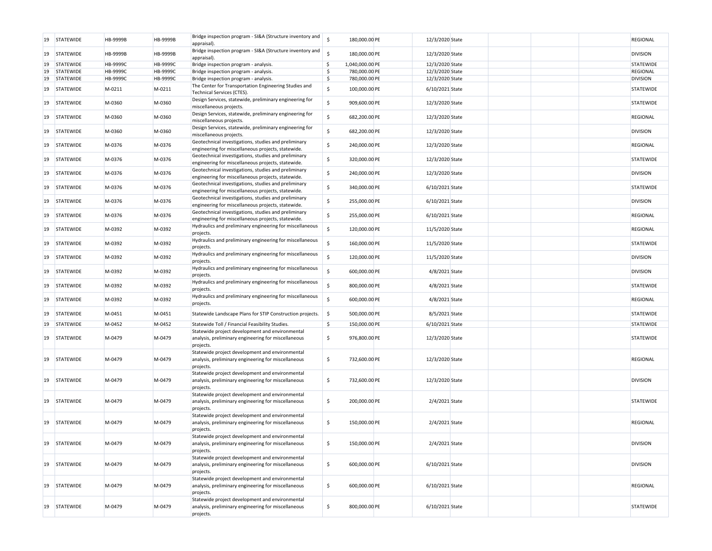| 19 | <b>STATEWIDE</b> | HB-9999B | HB-9999B        | Bridge inspection program - SI&A (Structure inventory and<br>appraisal).                                            | \$ | 180,000.00 PE   | 12/3/2020 State |  | <b>REGIONAL</b>  |
|----|------------------|----------|-----------------|---------------------------------------------------------------------------------------------------------------------|----|-----------------|-----------------|--|------------------|
| 19 | <b>STATEWIDE</b> | HB-9999B | HB-9999B        | Bridge inspection program - SI&A (Structure inventory and<br>appraisal).                                            | Ś  | 180,000.00 PE   | 12/3/2020 State |  | <b>DIVISION</b>  |
| 19 | <b>STATEWIDE</b> | HB-9999C | <b>HB-9999C</b> | Bridge inspection program - analysis.                                                                               | \$ | 1,040,000.00 PE | 12/3/2020 State |  | STATEWIDE        |
| 19 | <b>STATEWIDE</b> | HB-9999C | <b>HB-9999C</b> | Bridge inspection program - analysis.                                                                               | \$ | 780,000.00 PE   | 12/3/2020 State |  | <b>REGIONAL</b>  |
| 19 |                  | HB-9999C |                 |                                                                                                                     | \$ |                 |                 |  |                  |
|    | STATEWIDE        |          | <b>HB-9999C</b> | Bridge inspection program - analysis.                                                                               |    | 780,000.00 PE   | 12/3/2020 State |  | <b>DIVISION</b>  |
| 19 | <b>STATEWIDE</b> | M-0211   | M-0211          | The Center for Transportation Engineering Studies and<br>Technical Services (CTES).                                 | \$ | 100,000.00 PE   | 6/10/2021 State |  | STATEWIDE        |
| 19 | <b>STATEWIDE</b> | M-0360   | M-0360          | Design Services, statewide, preliminary engineering for<br>miscellaneous projects.                                  | \$ | 909,600.00 PE   | 12/3/2020 State |  | STATEWIDE        |
| 19 | <b>STATEWIDE</b> | M-0360   | M-0360          | Design Services, statewide, preliminary engineering for<br>miscellaneous projects.                                  | \$ | 682,200.00 PE   | 12/3/2020 State |  | REGIONAL         |
| 19 | <b>STATEWIDE</b> | M-0360   | M-0360          | Design Services, statewide, preliminary engineering for<br>miscellaneous projects.                                  | \$ | 682,200.00 PE   | 12/3/2020 State |  | <b>DIVISION</b>  |
| 19 | <b>STATEWIDE</b> | M-0376   | M-0376          | Geotechnical investigations, studies and preliminary<br>engineering for miscellaneous projects, statewide.          | \$ | 240,000.00 PE   | 12/3/2020 State |  | <b>REGIONAL</b>  |
| 19 | <b>STATEWIDE</b> | M-0376   | M-0376          | Geotechnical investigations, studies and preliminary<br>engineering for miscellaneous projects, statewide.          | \$ | 320,000.00 PE   | 12/3/2020 State |  | STATEWIDE        |
| 19 | <b>STATEWIDE</b> | M-0376   | M-0376          | Geotechnical investigations, studies and preliminary<br>engineering for miscellaneous projects, statewide.          | \$ | 240,000.00 PE   | 12/3/2020 State |  | <b>DIVISION</b>  |
| 19 | <b>STATEWIDE</b> | M-0376   | M-0376          | Geotechnical investigations, studies and preliminary<br>engineering for miscellaneous projects, statewide.          | \$ | 340,000.00 PE   | 6/10/2021 State |  | STATEWIDE        |
| 19 | <b>STATEWIDE</b> | M-0376   | M-0376          | Geotechnical investigations, studies and preliminary<br>engineering for miscellaneous projects, statewide.          | \$ | 255,000.00 PE   | 6/10/2021 State |  | <b>DIVISION</b>  |
| 19 | <b>STATEWIDE</b> | M-0376   | M-0376          | Geotechnical investigations, studies and preliminary<br>engineering for miscellaneous projects, statewide.          | \$ | 255,000.00 PE   | 6/10/2021 State |  | REGIONAL         |
| 19 | <b>STATEWIDE</b> | M-0392   | M-0392          | Hydraulics and preliminary engineering for miscellaneous<br>projects.                                               | \$ | 120,000.00 PE   | 11/5/2020 State |  | REGIONAL         |
| 19 | <b>STATEWIDE</b> | M-0392   | M-0392          | Hydraulics and preliminary engineering for miscellaneous<br>projects.                                               | \$ | 160,000.00 PE   | 11/5/2020 State |  | STATEWIDE        |
| 19 | <b>STATEWIDE</b> | M-0392   | M-0392          | Hydraulics and preliminary engineering for miscellaneous<br>projects.                                               | \$ | 120,000.00 PE   | 11/5/2020 State |  | <b>DIVISION</b>  |
| 19 | <b>STATEWIDE</b> | M-0392   | M-0392          | Hydraulics and preliminary engineering for miscellaneous<br>projects.                                               | \$ | 600,000.00 PE   | 4/8/2021 State  |  | <b>DIVISION</b>  |
| 19 | <b>STATEWIDE</b> | M-0392   | M-0392          | Hydraulics and preliminary engineering for miscellaneous<br>projects.                                               | \$ | 800,000.00 PE   | 4/8/2021 State  |  | STATEWIDE        |
| 19 | <b>STATEWIDE</b> | M-0392   | M-0392          | Hydraulics and preliminary engineering for miscellaneous<br>projects.                                               | \$ | 600,000.00 PE   | 4/8/2021 State  |  | REGIONAL         |
| 19 | <b>STATEWIDE</b> | M-0451   | M-0451          | Statewide Landscape Plans for STIP Construction projects.                                                           | \$ | 500,000.00 PE   | 8/5/2021 State  |  | STATEWIDE        |
| 19 | <b>STATEWIDE</b> | M-0452   | M-0452          | Statewide Toll / Financial Feasibility Studies.                                                                     | \$ | 150,000.00 PE   | 6/10/2021 State |  | STATEWIDE        |
| 19 | <b>STATEWIDE</b> | M-0479   | M-0479          | Statewide project development and environmental<br>analysis, preliminary engineering for miscellaneous<br>projects. | \$ | 976,800.00 PE   | 12/3/2020 State |  | STATEWIDE        |
| 19 | <b>STATEWIDE</b> | M-0479   | M-0479          | Statewide project development and environmental<br>analysis, preliminary engineering for miscellaneous<br>projects. | \$ | 732,600.00 PE   | 12/3/2020 State |  | REGIONAL         |
| 19 | <b>STATEWIDE</b> | M-0479   | M-0479          | Statewide project development and environmental<br>analysis, preliminary engineering for miscellaneous<br>projects. | \$ | 732,600.00 PE   | 12/3/2020 State |  | <b>DIVISION</b>  |
| 19 | <b>STATEWIDE</b> | M-0479   | M-0479          | Statewide project development and environmental<br>analysis, preliminary engineering for miscellaneous<br>projects. | \$ | 200,000.00 PE   | 2/4/2021 State  |  | STATEWIDE        |
| 19 | <b>STATEWIDE</b> | M-0479   | M-0479          | Statewide project development and environmental<br>analysis, preliminary engineering for miscellaneous<br>projects. | \$ | 150,000.00 PE   | 2/4/2021 State  |  | REGIONAL         |
| 19 | <b>STATEWIDE</b> | M-0479   | M-0479          | Statewide project development and environmental<br>analysis, preliminary engineering for miscellaneous<br>projects. | \$ | 150,000.00 PE   | 2/4/2021 State  |  | <b>DIVISION</b>  |
| 19 | <b>STATEWIDE</b> | M-0479   | M-0479          | Statewide project development and environmental<br>analysis, preliminary engineering for miscellaneous<br>projects. | \$ | 600,000.00 PE   | 6/10/2021 State |  | <b>DIVISION</b>  |
| 19 | <b>STATEWIDE</b> | M-0479   | M-0479          | Statewide project development and environmental<br>analysis, preliminary engineering for miscellaneous<br>projects. | \$ | 600,000.00 PE   | 6/10/2021 State |  | <b>REGIONAL</b>  |
| 19 | STATEWIDE        | M-0479   | M-0479          | Statewide project development and environmental<br>analysis, preliminary engineering for miscellaneous<br>projects. | \$ | 800,000.00 PE   | 6/10/2021 State |  | <b>STATEWIDE</b> |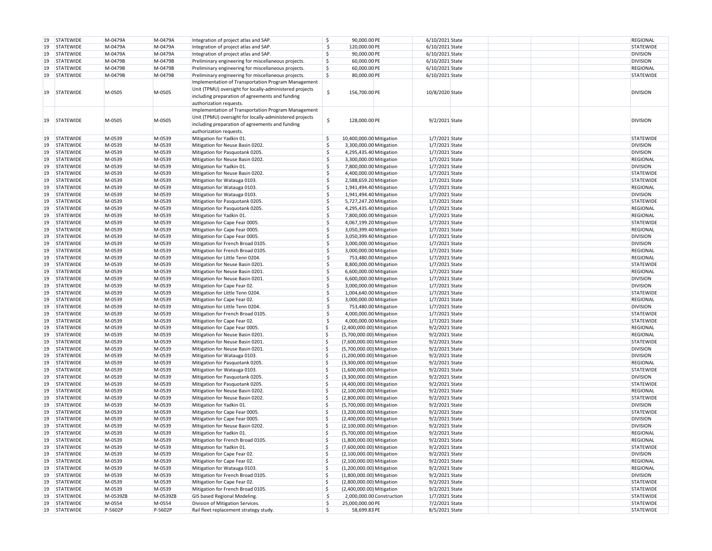| 19 | <b>STATEWIDE</b> | M-0479A  | M-0479A  | Integration of project atlas and SAP.                                                                                                                                                        | \$  | 90,000.00 PE              | 6/10/2021 State |  | <b>REGIONAL</b>  |
|----|------------------|----------|----------|----------------------------------------------------------------------------------------------------------------------------------------------------------------------------------------------|-----|---------------------------|-----------------|--|------------------|
| 19 | <b>STATEWIDE</b> | M-0479A  | M-0479A  | Integration of project atlas and SAP.                                                                                                                                                        | \$  | 120,000.00 PE             | 6/10/2021 State |  | STATEWIDE        |
| 19 | <b>STATEWIDE</b> | M-0479A  | M-0479A  | Integration of project atlas and SAP.                                                                                                                                                        | \$  | 90,000.00 PE              | 6/10/2021 State |  | <b>DIVISION</b>  |
|    |                  |          |          |                                                                                                                                                                                              |     |                           |                 |  |                  |
| 19 | STATEWIDE        | M-0479B  | M-0479B  | Preliminary engineering for miscellaneous projects.                                                                                                                                          | \$  | 60,000.00 PE              | 6/10/2021 State |  | <b>DIVISION</b>  |
| 19 | STATEWIDE        | M-0479B  | M-0479B  | Preliminary engineering for miscellaneous projects.                                                                                                                                          | \$  | 60,000.00 PE              | 6/10/2021 State |  | <b>REGIONAL</b>  |
|    | 19 STATEWIDE     | M-0479B  | M-0479B  | Preliminary engineering for miscellaneous projects.                                                                                                                                          | \$  | 80,000.00 PE              | 6/10/2021 State |  | STATEWIDE        |
| 19 | <b>STATEWIDE</b> | M-0505   | M-0505   | Implementation of Transportation Program Management<br>Unit (TPMU) oversight for locally-administered projects<br>including preparation of agreements and funding<br>authorization requests. | \$  | 156,700.00 PE             | 10/8/2020 State |  | <b>DIVISION</b>  |
| 19 | <b>STATEWIDE</b> | M-0505   | M-0505   | Implementation of Transportation Program Management<br>Unit (TPMU) oversight for locally-administered projects<br>including preparation of agreements and funding<br>authorization requests. | \$  | 128,000.00 PE             | 9/2/2021 State  |  | <b>DIVISION</b>  |
| 19 | <b>STATEWIDE</b> | M-0539   | M-0539   | Mitigation for Yadkin 01.                                                                                                                                                                    | \$  | 10,400,000.00 Mitigation  | 1/7/2021 State  |  | STATEWIDE        |
| 19 | <b>STATEWIDE</b> | M-0539   | M-0539   | Mitigation for Neuse Basin 0202.                                                                                                                                                             | \$  | 3,300,000.00 Mitigation   | 1/7/2021 State  |  | <b>DIVISION</b>  |
| 19 | STATEWIDE        | M-0539   | M-0539   | Mitigation for Pasquotank 0205.                                                                                                                                                              | \$  | 4,295,435.40 Mitigation   | 1/7/2021 State  |  | <b>DIVISION</b>  |
| 19 | <b>STATEWIDE</b> | M-0539   | M-0539   | Mitigation for Neuse Basin 0202.                                                                                                                                                             | \$  | 3,300,000.00 Mitigation   | 1/7/2021 State  |  | <b>REGIONAL</b>  |
| 19 | <b>STATEWIDE</b> | M-0539   | M-0539   | Mitigation for Yadkin 01.                                                                                                                                                                    | \$  | 7,800,000.00 Mitigation   | 1/7/2021 State  |  | <b>DIVISION</b>  |
| 19 | <b>STATEWIDE</b> | M-0539   | M-0539   | Mitigation for Neuse Basin 0202.                                                                                                                                                             | \$  | 4,400,000.00 Mitigation   | 1/7/2021 State  |  | <b>STATEWIDE</b> |
| 19 |                  |          |          |                                                                                                                                                                                              | \$  |                           |                 |  |                  |
|    | <b>STATEWIDE</b> | M-0539   | M-0539   | Mitigation for Watauga 0103.                                                                                                                                                                 |     | 2,588,659.20 Mitigation   | 1/7/2021 State  |  | <b>STATEWIDE</b> |
| 19 | <b>STATEWIDE</b> | M-0539   | M-0539   | Mitigation for Watauga 0103.                                                                                                                                                                 | \$  | 1,941,494.40 Mitigation   | 1/7/2021 State  |  | <b>REGIONAL</b>  |
| 19 | <b>STATEWIDE</b> | M-0539   | M-0539   | Mitigation for Watauga 0103.                                                                                                                                                                 | \$  | 1,941,494.40 Mitigation   | 1/7/2021 State  |  | <b>DIVISION</b>  |
| 19 | <b>STATEWIDE</b> | M-0539   | M-0539   | Mitigation for Pasquotank 0205.                                                                                                                                                              | \$  | 5,727,247.20 Mitigation   | 1/7/2021 State  |  | <b>STATEWIDE</b> |
| 19 | <b>STATEWIDE</b> | M-0539   | M-0539   | Mitigation for Pasquotank 0205.                                                                                                                                                              | \$  | 4,295,435.40 Mitigation   | 1/7/2021 State  |  | <b>REGIONAL</b>  |
| 19 | <b>STATEWIDE</b> | M-0539   | M-0539   | Mitigation for Yadkin 01.                                                                                                                                                                    | \$  | 7,800,000.00 Mitigation   | 1/7/2021 State  |  | <b>REGIONAL</b>  |
| 19 | <b>STATEWIDE</b> | M-0539   | M-0539   | Mitigation for Cape Fear 0005.                                                                                                                                                               | \$  | 4,067,199.20 Mitigation   | 1/7/2021 State  |  | STATEWIDE        |
| 19 | <b>STATEWIDE</b> | M-0539   | M-0539   | Mitigation for Cape Fear 0005.                                                                                                                                                               | \$  | 3,050,399.40 Mitigation   | 1/7/2021 State  |  | <b>REGIONAL</b>  |
| 19 |                  | M-0539   |          | Mitigation for Cape Fear 0005.                                                                                                                                                               | \$  |                           | 1/7/2021 State  |  | <b>DIVISION</b>  |
|    | <b>STATEWIDE</b> |          | M-0539   |                                                                                                                                                                                              |     | 3,050,399.40 Mitigation   |                 |  |                  |
| 19 | <b>STATEWIDE</b> | M-0539   | M-0539   | Mitigation for French Broad 0105.                                                                                                                                                            | \$  | 3,000,000.00 Mitigation   | 1/7/2021 State  |  | <b>DIVISION</b>  |
| 19 | <b>STATEWIDE</b> | M-0539   | M-0539   | Mitigation for French Broad 0105.                                                                                                                                                            | \$  | 3,000,000.00 Mitigation   | 1/7/2021 State  |  | <b>REGIONAL</b>  |
| 19 | <b>STATEWIDE</b> | M-0539   | M-0539   | Mitigation for Little Tenn 0204.                                                                                                                                                             | \$  | 753,480.00 Mitigation     | 1/7/2021 State  |  | <b>REGIONAL</b>  |
| 19 | <b>STATEWIDE</b> | M-0539   | M-0539   | Mitigation for Neuse Basin 0201.                                                                                                                                                             | \$  | 8,800,000.00 Mitigation   | 1/7/2021 State  |  | <b>STATEWIDE</b> |
| 19 | <b>STATEWIDE</b> | M-0539   | M-0539   | Mitigation for Neuse Basin 0201.                                                                                                                                                             | \$  | 6,600,000.00 Mitigation   | 1/7/2021 State  |  | <b>REGIONAL</b>  |
| 19 | <b>STATEWIDE</b> | M-0539   | M-0539   | Mitigation for Neuse Basin 0201.                                                                                                                                                             | \$  | 6,600,000.00 Mitigation   | 1/7/2021 State  |  | <b>DIVISION</b>  |
| 19 | <b>STATEWIDE</b> | M-0539   | M-0539   | Mitigation for Cape Fear 02.                                                                                                                                                                 | \$  | 3,000,000.00 Mitigation   | 1/7/2021 State  |  | <b>DIVISION</b>  |
| 19 | <b>STATEWIDE</b> | M-0539   | M-0539   | Mitigation for Little Tenn 0204.                                                                                                                                                             | \$  | 1,004,640.00 Mitigation   | 1/7/2021 State  |  | STATEWIDE        |
| 19 | <b>STATEWIDE</b> | M-0539   | M-0539   | Mitigation for Cape Fear 02.                                                                                                                                                                 | \$  | 3,000,000.00 Mitigation   | 1/7/2021 State  |  | <b>REGIONAL</b>  |
| 19 | <b>STATEWIDE</b> | M-0539   | M-0539   | Mitigation for Little Tenn 0204.                                                                                                                                                             | \$  | 753,480.00 Mitigation     | 1/7/2021 State  |  | <b>DIVISION</b>  |
|    |                  |          |          |                                                                                                                                                                                              | \$  |                           |                 |  |                  |
| 19 | <b>STATEWIDE</b> | M-0539   | M-0539   | Mitigation for French Broad 0105.                                                                                                                                                            |     | 4,000,000.00 Mitigation   | 1/7/2021 State  |  | <b>STATEWIDE</b> |
| 19 | <b>STATEWIDE</b> | M-0539   | M-0539   | Mitigation for Cape Fear 02.                                                                                                                                                                 | \$  | 4,000,000.00 Mitigation   | 1/7/2021 State  |  | <b>STATEWIDE</b> |
| 19 | <b>STATEWIDE</b> | M-0539   | M-0539   | Mitigation for Cape Fear 0005.                                                                                                                                                               | Š.  | (2,400,000.00) Mitigation | 9/2/2021 State  |  | <b>REGIONAL</b>  |
| 19 | STATEWIDE        | M-0539   | M-0539   | Mitigation for Neuse Basin 0201.                                                                                                                                                             | Š.  | (5,700,000.00) Mitigation | 9/2/2021 State  |  | <b>REGIONAL</b>  |
| 19 | <b>STATEWIDE</b> | M-0539   | M-0539   | Mitigation for Neuse Basin 0201.                                                                                                                                                             | \$  | (7,600,000.00) Mitigation | 9/2/2021 State  |  | <b>STATEWIDE</b> |
| 19 | <b>STATEWIDE</b> | M-0539   | M-0539   | Mitigation for Neuse Basin 0201                                                                                                                                                              | \$. | (5,700,000.00) Mitigation | 9/2/2021 State  |  | <b>DIVISION</b>  |
| 19 | <b>STATEWIDE</b> | M-0539   | M-0539   | Mitigation for Watauga 0103.                                                                                                                                                                 | \$. | (1,200,000.00) Mitigation | 9/2/2021 State  |  | <b>DIVISION</b>  |
| 19 | STATEWIDE        | M-0539   | M-0539   | Mitigation for Pasquotank 0205.                                                                                                                                                              | Š.  | (3,300,000.00) Mitigation | 9/2/2021 State  |  | <b>REGIONAL</b>  |
| 19 | <b>STATEWIDE</b> | M-0539   | M-0539   | Mitigation for Watauga 0103.                                                                                                                                                                 | \$. | (1,600,000.00) Mitigation | 9/2/2021 State  |  | <b>STATEWIDE</b> |
| 19 |                  | M-0539   | M-0539   |                                                                                                                                                                                              | \$. |                           | 9/2/2021 State  |  | <b>DIVISION</b>  |
|    | <b>STATEWIDE</b> |          |          | Mitigation for Pasquotank 0205.                                                                                                                                                              | \$  | (3,300,000.00) Mitigation |                 |  |                  |
| 19 | STATEWIDE        | M-0539   | M-0539   | Mitigation for Pasquotank 0205.                                                                                                                                                              |     | (4,400,000.00) Mitigation | 9/2/2021 State  |  | <b>STATEWIDE</b> |
| 19 | <b>STATEWIDE</b> | M-0539   | M-0539   | Mitigation for Neuse Basin 0202.                                                                                                                                                             | \$  | (2,100,000.00) Mitigation | 9/2/2021 State  |  | <b>REGIONAL</b>  |
| 19 | <b>STATEWIDE</b> | M-0539   | M-0539   | Mitigation for Neuse Basin 0202.                                                                                                                                                             | \$. | (2,800,000.00) Mitigation | 9/2/2021 State  |  | STATEWIDE        |
| 19 | STATEWIDE        | M-0539   | M-0539   | Mitigation for Yadkin 01.                                                                                                                                                                    | Ŝ.  | (5,700,000.00) Mitigation | 9/2/2021 State  |  | <b>DIVISION</b>  |
| 19 | STATEWIDE        | M-0539   | M-0539   | Mitigation for Cape Fear 0005.                                                                                                                                                               | \$. | (3,200,000.00) Mitigation | 9/2/2021 State  |  | STATEWIDE        |
| 19 | STATEWIDE        | M-0539   | M-0539   | Mitigation for Cape Fear 0005.                                                                                                                                                               | \$. | (2,400,000.00) Mitigation | 9/2/2021 State  |  | <b>DIVISION</b>  |
| 19 | <b>STATEWIDE</b> | M-0539   | M-0539   | Mitigation for Neuse Basin 0202.                                                                                                                                                             | Ŝ.  | (2,100,000.00) Mitigation | 9/2/2021 State  |  | <b>DIVISION</b>  |
|    | 19 STATEWIDE     | M-0539   | M-0539   | Mitigation for Yadkin 01.                                                                                                                                                                    | \$. | (5,700,000.00) Mitigation | 9/2/2021 State  |  | <b>REGIONAL</b>  |
|    | 19 STATEWIDE     | M-0539   | M-0539   | Mitigation for French Broad 0105.                                                                                                                                                            | \$  | (1,800,000.00) Mitigation | 9/2/2021 State  |  | REGIONAL         |
|    |                  |          |          |                                                                                                                                                                                              |     |                           |                 |  | <b>STATEWIDE</b> |
|    | 19 STATEWIDE     | M-0539   | M-0539   | Mitigation for Yadkin 01.                                                                                                                                                                    | \$  | (7,600,000.00) Mitigation | 9/2/2021 State  |  |                  |
| 19 | STATEWIDE        | M-0539   | M-0539   | Mitigation for Cape Fear 02.                                                                                                                                                                 | \$  | (2,100,000.00) Mitigation | 9/2/2021 State  |  | <b>DIVISION</b>  |
| 19 | <b>STATEWIDE</b> | M-0539   | M-0539   | Mitigation for Cape Fear 02.                                                                                                                                                                 | \$  | (2,100,000.00) Mitigation | 9/2/2021 State  |  | <b>REGIONAL</b>  |
| 19 | STATEWIDE        | M-0539   | M-0539   | Mitigation for Watauga 0103.                                                                                                                                                                 | \$  | (1,200,000.00) Mitigation | 9/2/2021 State  |  | <b>REGIONAL</b>  |
| 19 | STATEWIDE        | M-0539   | M-0539   | Mitigation for French Broad 0105.                                                                                                                                                            | \$  | (1,800,000.00) Mitigation | 9/2/2021 State  |  | <b>DIVISION</b>  |
| 19 | <b>STATEWIDE</b> | M-0539   | M-0539   | Mitigation for Cape Fear 02.                                                                                                                                                                 | \$  | (2,800,000.00) Mitigation | 9/2/2021 State  |  | <b>STATEWIDE</b> |
| 19 | STATEWIDE        | M-0539   | M-0539   | Mitigation for French Broad 0105.                                                                                                                                                            | \$. | (2,400,000.00) Mitigation | 9/2/2021 State  |  | <b>STATEWIDE</b> |
| 19 | <b>STATEWIDE</b> | M-0539ZB | M-0539ZB | GIS based Regional Modeling.                                                                                                                                                                 | \$  | 2,000,000.00 Construction | 1/7/2021 State  |  | <b>STATEWIDE</b> |
|    | 19 STATEWIDE     | M-0554   | M-0554   | Division of Mitigation Services.                                                                                                                                                             | S,  | 25,000,000.00 PE          | 7/2/2021 State  |  | <b>STATEWIDE</b> |
|    | 19 STATEWIDE     | P-5602P  | P-5602P  | Rail fleet replacement strategy study.                                                                                                                                                       | \$  | 58,699.83 PE              | 8/5/2021 State  |  | <b>STATEWIDE</b> |
|    |                  |          |          |                                                                                                                                                                                              |     |                           |                 |  |                  |